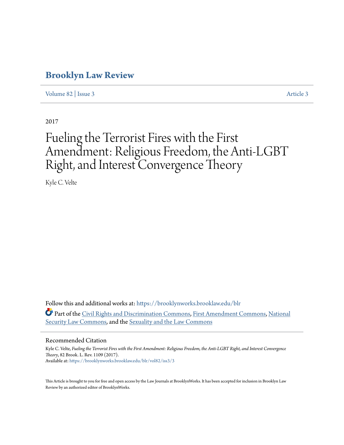# **[Brooklyn Law Review](https://brooklynworks.brooklaw.edu/blr?utm_source=brooklynworks.brooklaw.edu%2Fblr%2Fvol82%2Fiss3%2F3&utm_medium=PDF&utm_campaign=PDFCoverPages)**

[Volume 82](https://brooklynworks.brooklaw.edu/blr/vol82?utm_source=brooklynworks.brooklaw.edu%2Fblr%2Fvol82%2Fiss3%2F3&utm_medium=PDF&utm_campaign=PDFCoverPages) | [Issue 3](https://brooklynworks.brooklaw.edu/blr/vol82/iss3?utm_source=brooklynworks.brooklaw.edu%2Fblr%2Fvol82%2Fiss3%2F3&utm_medium=PDF&utm_campaign=PDFCoverPages) [Article 3](https://brooklynworks.brooklaw.edu/blr/vol82/iss3/3?utm_source=brooklynworks.brooklaw.edu%2Fblr%2Fvol82%2Fiss3%2F3&utm_medium=PDF&utm_campaign=PDFCoverPages)

2017

# Fueling the Terrorist Fires with the First Amendment: Religious Freedom, the Anti-LGBT Right, and Interest Convergence Theory

Kyle C. Velte

Follow this and additional works at: [https://brooklynworks.brooklaw.edu/blr](https://brooklynworks.brooklaw.edu/blr?utm_source=brooklynworks.brooklaw.edu%2Fblr%2Fvol82%2Fiss3%2F3&utm_medium=PDF&utm_campaign=PDFCoverPages) Part of the [Civil Rights and Discrimination Commons,](http://network.bepress.com/hgg/discipline/585?utm_source=brooklynworks.brooklaw.edu%2Fblr%2Fvol82%2Fiss3%2F3&utm_medium=PDF&utm_campaign=PDFCoverPages) [First Amendment Commons](http://network.bepress.com/hgg/discipline/1115?utm_source=brooklynworks.brooklaw.edu%2Fblr%2Fvol82%2Fiss3%2F3&utm_medium=PDF&utm_campaign=PDFCoverPages), [National](http://network.bepress.com/hgg/discipline/1114?utm_source=brooklynworks.brooklaw.edu%2Fblr%2Fvol82%2Fiss3%2F3&utm_medium=PDF&utm_campaign=PDFCoverPages) [Security Law Commons,](http://network.bepress.com/hgg/discipline/1114?utm_source=brooklynworks.brooklaw.edu%2Fblr%2Fvol82%2Fiss3%2F3&utm_medium=PDF&utm_campaign=PDFCoverPages) and the [Sexuality and the Law Commons](http://network.bepress.com/hgg/discipline/877?utm_source=brooklynworks.brooklaw.edu%2Fblr%2Fvol82%2Fiss3%2F3&utm_medium=PDF&utm_campaign=PDFCoverPages)

#### Recommended Citation

Kyle C. Velte, *Fueling the Terrorist Fires with the First Amendment: Religious Freedom, the Anti-LGBT Right, and Interest Convergence Theory*, 82 Brook. L. Rev. 1109 (2017). Available at: [https://brooklynworks.brooklaw.edu/blr/vol82/iss3/3](https://brooklynworks.brooklaw.edu/blr/vol82/iss3/3?utm_source=brooklynworks.brooklaw.edu%2Fblr%2Fvol82%2Fiss3%2F3&utm_medium=PDF&utm_campaign=PDFCoverPages)

This Article is brought to you for free and open access by the Law Journals at BrooklynWorks. It has been accepted for inclusion in Brooklyn Law Review by an authorized editor of BrooklynWorks.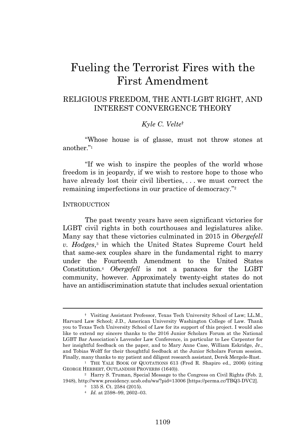# Fueling the Terrorist Fires with the First Amendment

# RELIGIOUS FREEDOM, THE ANTI-LGBT RIGHT, AND INTEREST CONVERGENCE THEORY

## *Kyle C. Velte*†

"Whose house is of glasse, must not throw stones at another." 1

"If we wish to inspire the peoples of the world whose freedom is in jeopardy, if we wish to restore hope to those who have already lost their civil liberties, ... we must correct the remaining imperfections in our practice of democracy." 2

#### **INTRODUCTION**

The past twenty years have seen significant victories for LGBT civil rights in both courthouses and legislatures alike. Many say that these victories culminated in 2015 in *Obergefell v. Hodges*, <sup>3</sup> in which the United States Supreme Court held that same-sex couples share in the fundamental right to marry under the Fourteenth Amendment to the United States Constitution.<sup>4</sup> *Obergefell* is not a panacea for the LGBT community, however. Approximately twenty-eight states do not have an antidiscrimination statute that includes sexual orientation

<sup>†</sup> Visiting Assistant Professor, Texas Tech University School of Law; LL.M., Harvard Law School; J.D., American University Washington College of Law. Thank you to Texas Tech University School of Law for its support of this project. I would also like to extend my sincere thanks to the 2016 Junior Scholars Forum at the National LGBT Bar Association's Lavender Law Conference, in particular to Lee Carpenter for her insightful feedback on the paper, and to Mary Anne Case, William Eskridge, Jr., and Tobias Wolff for their thoughtful feedback at the Junior Scholars Forum session. Finally, many thanks to my patient and diligent research assistant, Derek Mergele-Rust.

<sup>&</sup>lt;sup>1</sup> THE YALE BOOK OF QUOTATIONS 613 (Fred R. Shapiro ed., 2006) (citing GEORGE HERBERT, OUTLANDISH PROVERBS (1640)).

<sup>2</sup> Harry S. Truman, Special Message to the Congress on Civil Rights (Feb. 2, 1948), http://www.presidency.ucsb.edu/ws/?pid=13006 [https://perma.cc/TBQ3-DVC2].

<sup>3</sup> 135 S. Ct. 2584 (2015).

<sup>4</sup> *Id.* at 2598–99, 2602–03.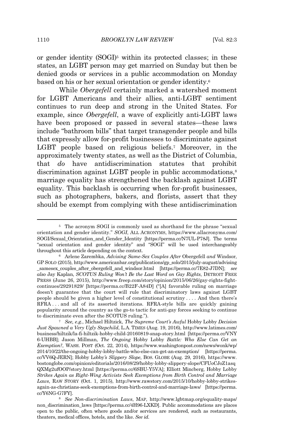or gender identity (SOGI)<sup>5</sup> within its protected classes; in these states, an LGBT person may get married on Sunday but then be denied goods or services in a public accommodation on Monday based on his or her sexual orientation or gender identity.<sup>6</sup>

While *Obergefell* certainly marked a watershed moment for LGBT Americans and their allies, anti-LGBT sentiment continues to run deep and strong in the United States. For example, since *Obergefell*, a wave of explicitly anti-LGBT laws have been proposed or passed in several states—these laws include "bathroom bills" that target transgender people and bills that expressly allow for-profit businesses to discriminate against LGBT people based on religious beliefs.<sup>7</sup> Moreover, in the approximately twenty states, as well as the District of Columbia, that *do* have antidiscrimination statutes that prohibit discrimination against LGBT people in public accommodations,<sup>8</sup> marriage equality has strengthened the backlash against LGBT equality. This backlash is occurring when for-profit businesses, such as photographers, bakers, and florists, assert that they should be exempt from complying with these antidiscrimination

<sup>&</sup>lt;sup>5</sup> The acronym SOGI is commonly used as shorthand for the phrase "sexual orientation and gender identity." *SOGI*, ALL ACRONYMS, https://www.allacronyms.com/ SOGI/Sexual\_Orientation\_and\_Gender\_Identity [https://perma.cc/N7UL-P78J]. The terms "sexual orientation and gender identity" and "SOGI" will be used interchangeably throughout this article depending on the context.

<sup>6</sup> Arlene Zarembka, *Advising Same-Sex Couples After* Obergefell *and* Windsor, GP SOLO (2015), http://www.americanbar.org/publications/gp\_solo/2015/july-august/advising \_samesex\_couples\_after\_obergefell\_and\_windsor.html [https://perma.cc/7E82-J7DN]; *see also* Jay Kaplan, *SCOTUS Ruling Won't Be the Last Word on Gay Rights*, DETROIT FREE PRESS (June 26, 2015), http://www.freep.com/story/opinion/2015/06/26/gay-rights-fightcontinues/29291829/ [https://perma.cc/B22F-A84D] ("[A] favorable ruling on marriage doesn't guarantee that the court will rule that discriminatory laws against LGBT people should be given a higher level of constitutional scrutiny . . . . And then there's RFRA . . . and all of its assorted iterations. RFRA-style bills are quickly gaining popularity around the country as the go-to tactic for anti-gay forces seeking to continue to discriminate even after the SCOTUS ruling.").

<sup>7</sup> *See, e.g.*, Michael Hiltzick, *The Supreme Court's Awful* Hobby Lobby *Decision Just Spawned a Very Ugly Stepchild*, L.A. TIMES (Aug. 19, 2016), http://www.latimes.com/ business/hiltzik/la-fi-hiltzik-hobby-child-20160819-snap-story.html [https://perma.cc/VNY 6-UHBB]; Jason Millman, *The Ongoing* Hobby Lobby *Battle: Who Else Can Get an Exemption?*, WASH. POST (Oct. 22, 2014), https://www.washingtonpost.com/news/wonk/wp/ 2014/10/22/the-ongoing-hobby-lobby-battle-who-else-can-get-an-exemption/ [https://perma. cc/VV6Q-JERN]; Hobby Lobby*'s Slippery Slope*, BOS. GLOBE (Aug. 29, 2016), https://www. bostonglobe.com/opinion/editorials/2016/08/29/hobby-lobby-slippery-slope/CFUoCJoZ1asq QXMg2ufOOP/story.html [https://perma.cc/6SBU-Y5VA]; Elliott Mincberg, Hobby Lobby *Strikes Again as Right-Wing Activists Seek Exemptions from Birth Control and Marriage Laws*, RAW STORY (Oct. 1, 2015), http://www.rawstory.com/2015/10/hobby-lobby-strikesagain-as-christians-seek-exemptions-from-birth-control-and-marriage-laws/ [https://perma. cc/Y6NG-G7FY].

<sup>8</sup> *See Non-discrimination Laws*, MAP, http://www.lgbtmap.org/equality-maps/ non\_discrimination\_laws [https://perma.cc/4H96-LXKD]. Public accommodations are places open to the public, often where goods and/or services are rendered, such as restaurants, theaters, medical offices, hotels, and the like. *See id.*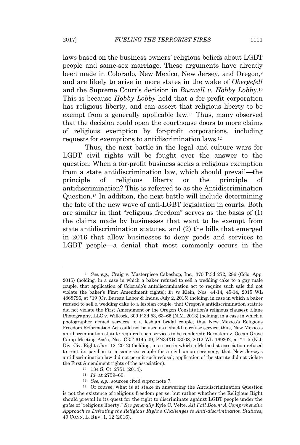laws based on the business owners' religious beliefs about LGBT people and same-sex marriage. These arguments have already been made in Colorado, New Mexico, New Jersey, and Oregon,<sup>9</sup> and are likely to arise in more states in the wake of *Obergefell* and the Supreme Court's decision in *Burwell v. Hobby Lobby*. 10 This is because *Hobby Lobby* held that a for-profit corporation has religious liberty, and can assert that religious liberty to be exempt from a generally applicable law.<sup>11</sup> Thus, many observed that the decision could open the courthouse doors to more claims of religious exemption by for-profit corporations, including requests for exemptions to antidiscrimination laws.<sup>12</sup>

Thus, the next battle in the legal and culture wars for LGBT civil rights will be fought over the answer to the question: When a for-profit business seeks a religious exemption from a state antidiscrimination law, which should prevail—the principle of religious liberty or the principle of antidiscrimination? This is referred to as the Antidiscrimination Question.<sup>13</sup> In addition, the next battle will include determining the fate of the new wave of anti-LGBT legislation in courts. Both are similar in that "religious freedom" serves as the basis of (1) the claims made by businesses that want to be exempt from state antidiscrimination statutes, and (2) the bills that emerged in 2016 that allow businesses to deny goods and services to LGBT people—a denial that most commonly occurs in the

- <sup>10</sup> 134 S. Ct. 2751 (2014).
	- <sup>11</sup> *Id.* at 2759–60.
- <sup>12</sup> *See, e.g.*, sources cited *supra* note 7.

<sup>9</sup> *See, e.g.*, Craig v. Masterpiece Cakeshop, Inc., 370 P.3d 272, 286 (Colo. App. 2015) (holding, in a case in which a baker refused to sell a wedding cake to a gay male couple, that application of Colorado's antidiscrimination act to require such sale did not violate the baker's First Amendment rights); *In re* Klein, Nos. 44-14, 45-14, 2015 WL 4868796, at \*19 (Or. Bureau Labor & Indus. July 2, 2015) (holding, in case in which a baker refused to sell a wedding cake to a lesbian couple, that Oregon's antidiscrimination statute did not violate the First Amendment or the Oregon Constitution's religious clauses); Elane Photography, LLC v. Willcock, 309 P.3d 53, 63–65 (N.M. 2013) (holding, in a case in which a photographer denied services to a lesbian bridal couple, that New Mexico's Religious Freedom Reformation Act could not be used as a shield to refuse service; thus, New Mexico's antidiscrimination statute required such services to be rendered); Bernstein v. Ocean Grove Camp Meeting Ass'n, Nos. CRT 6145-09, PN34XB-03008, 2012 WL 169302, at \*4–5 (N.J. Div. Civ. Rights Jan. 12, 2012) (holding, in a case in which a Methodist association refused to rent its pavilion to a same-sex couple for a civil union ceremony, that New Jersey's antidiscrimination law did not permit such refusal; application of the statute did not violate the First Amendment rights of the association).

<sup>13</sup> Of course, what is at stake in answering the Antidiscrimination Question is not the existence of religious freedom per se, but rather whether the Religious Right should prevail in its quest for the right to discriminate against LGBT people under the *guise* of "religious liberty." *See generally* Kyle C. Velte, *All Fall Down: A Comprehensive Approach to Defeating the Religious Right's Challenges to Anti-discrimination Statutes*, 49 CONN. L. REV. 1, 12 (2016).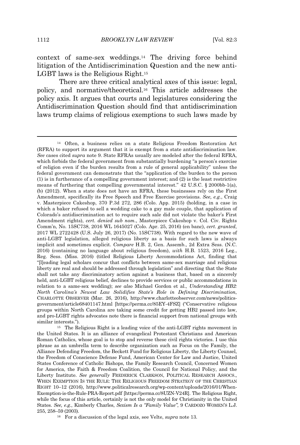context of same-sex weddings.<sup>14</sup> The driving force behind litigation of the Antidiscrimination Question and the new anti-LGBT laws is the Religious Right.<sup>15</sup>

There are three critical analytical axes of this issue: legal, policy, and normative/theoretical.<sup>16</sup> This article addresses the policy axis. It argues that courts and legislatures considering the Antidiscrimination Question should find that antidiscrimination laws trump claims of religious exemptions to such laws made by

<sup>15</sup> The Religious Right is a leading voice of the anti-LGBT rights movement in the United States. It is an alliance of evangelical Protestant Christians and American Roman Catholics, whose goal is to stop and reverse these civil rights victories. I use this phrase as an umbrella term to describe organization such as Focus on the Family, the Alliance Defending Freedom, the Beckett Fund for Religious Liberty, the Liberty Counsel, the Freedom of Conscience Defense Fund, American Center for Law and Justice, United States Conference of Catholic Bishops, the Family Research Council, Concerned Women for America, the Faith & Freedom Coalition, the Council for National Policy, and the Liberty Institute. *See generally* FREDERICK CLARKSON, POLITICAL RESEARCH ASSOCS., WHEN EXEMPTION IS THE RULE: THE RELIGIOUS FREEDOM STRATEGY OF THE CHRISTIAN RIGHT 10–12 (2016), http://www.politicalresearch.org/wp-content/uploads/2016/01/When-Exemption-is-the-Rule-PRA-Report.pdf [https://perma.cc/8UZN-V24R]. The Religious Right, while the focus of this article, certainly is not the only model for Christianity in the United States. *See, e.g.*, Kimberly Charles, *Sexism Is a "Family Value"*, 9 CARDOZO WOMEN'<sup>S</sup> L.J. 255, 258–59 (2003).

<sup>16</sup> For a discussion of the legal axis, see Velte, *supra* note 13*.*

<sup>14</sup> Often, a business relies on a state Religious Freedom Restoration Act (RFRA) to support its argument that it is exempt from a state antidiscrimination law. *See* cases cited *supra* note 9. State RFRAs usually are modeled after the federal RFRA, which forbids the federal government from substantially burdening "a person's exercise of religion even if the burden results from a rule of general applicability" unless the federal government can demonstrate that the "application of the burden to the person (1) is in furtherance of a compelling government interest; and (2) is the least restrictive means of furthering that compelling governmental interest."  $42 \text{ U.S.C.}$  § 2000bb-1(a), (b) (2012). When a state does not have an RFRA, these businesses rely on the First Amendment, specifically its Free Speech and Free Exercise provisions. *See, e.g.*, Craig v. Masterpiece Cakeshop, 370 P.3d 272, 286 (Colo. App. 2015) (holding, in a case in which a baker refused to sell a wedding cake to a gay male couple, that application of Colorado's antidiscrimination act to require such sale did not violate the baker's First Amendment rights), *cert. denied sub nom.*, Masterpiece Cakeshop v. Col. Civ. Rights Comm'n, No. 15SC738, 2016 WL 1645027 (Colo. Apr. 25, 2016) (en banc), *cert. granted*, 2017 WL 2722428 (U.S. July 26, 2017) (No. 15SC738). With regard to the new wave of anti-LGBT legislation, alleged religious liberty as a basis for such laws is always implicit and sometimes explicit. *Compare* H.B. 2, Gen. Assemb., 2d Extra Sess. (N.C. 2016) (containing no language about religious freedom), *with* H.B. 1523, 2016 Leg., Reg. Sess. (Miss. 2016) (titled Religious Liberty Accommodations Act, finding that "[l]eading legal scholars concur that conflicts between same-sex marriage and religious liberty are real and should be addressed through legislation" and directing that the State shall not take any discriminatory action against a business that, based on a sincerely held, anti-LGBT religious belief, declines to provide services or public accommodations in relation to a same-sex wedding); *see also* Michael Gordon et al., *Understanding HB2: North Carolina's Newest Law Solidifies State's Role in Defining Discrimination*, CHARLOTTE OBSERVER (Mar. 26, 2016), http://www.charlotteobserver.com/news/politicsgovernment/article68401147.html [https://perma.cc/85EY-4FSZ] ("Conservative religious groups within North Carolina are taking some credit for getting HB2 passed into law, and pro-LGBT rights advocates note there is financial support from national groups with similar interests.").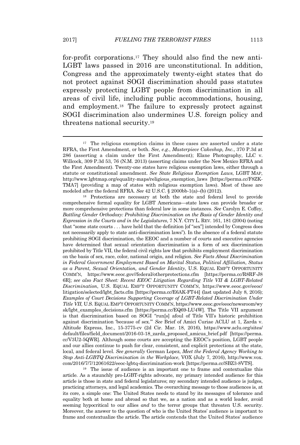for-profit corporations.<sup>17</sup> They should also find the new anti-LGBT laws passed in 2016 are unconstitutional. In addition, Congress and the approximately twenty-eight states that do not protect against SOGI discrimination should pass statutes expressly protecting LGBT people from discrimination in all areas of civil life, including public accommodations, housing, and employment.<sup>18</sup> The failure to expressly protect against SOGI discrimination also undermines U.S. foreign policy and threatens national security.<sup>19</sup>

<sup>19</sup> The issue of audience is an important one to frame and contextualize this article. As a staunchly pro-LGBT-rights advocate, my primary intended audience for this article is those in state and federal legislatures; my secondary intended audience is judges, practicing attorneys, and legal academics. The overarching message to those audiences is, at its core, a simple one: The United States needs to stand by its messages of tolerance and equality both at home and abroad so that we, as a nation and as a world leader, avoid seeming hypocritical to our allies *and* to the terror groups that threaten U.S. security. Moreover, the answer to the question of who is the United States' audience is important to frame and contextualize the article. The article contends that the United States' audience

<sup>&</sup>lt;sup>17</sup> The religious exemption claims in these cases are asserted under a state RFRA, the First Amendment, or both. *See, e.g.*, *Masterpiece Cakeshop, Inc.*, 370 P.3d at 286 (asserting a claim under the First Amendment); Elane Photography, LLC v. Willcock, 309 P.3d 53, 76 (N.M. 2013) (asserting claims under the New Mexico RFRA and the First Amendment). Twenty-one states have religious exemption laws, either through a statute or constitutional amendment. *See State Religious Exemption Laws*, LGBT MAP, http://www.lgbtmap.org/equality-maps/religious\_exemption\_laws [https://perma.cc/F8ZK-TMA7] (providing a map of states with religious exemption laws). Most of these are modeled after the federal RFRA. *See* 42 U.S.C. § 2000bb-1(a)–(b) (2012).

<sup>18</sup> Protections are necessary at both the state and federal level to provide comprehensive formal equality for LGBT Americans—state laws can provide broader or more comprehensive protections than federal law in some instances. *See* Carolyn E. Coffey, *Battling Gender Orthodoxy: Prohibiting Discrimination on the Basis of Gender Identity and Expression in the Courts and in the Legislatures*, 7 N.Y. CITY L. REV. 161, 181 (2004) (noting that "some state courts . . . have held that the definition [of "sex"] intended by Congress does not necessarily apply to state anti-discrimination laws"). In the absence of a federal statute prohibiting SOGI discrimination, the EEOC and a number of courts and executive agencies have determined that sexual orientation discrimination is a form of sex discrimination prohibited by Title VII, the federal civil rights law that prohibits employment discrimination on the basis of sex, race, color, national origin, and religion. *See Facts About Discrimination in Federal Government Employment Based on Marital Status, Political Affiliation, Status as a Parent, Sexual Orientation, and Gender Identity*, U.S. EQUAL EMP'<sup>T</sup> OPPORTUNITY COMM'N, https://www.eeoc.gov//federal/otherprotections.cfm [https://perma.cc/R8RF-J8 6R]; *see also Fact Sheet: Recent EEOC Litigation Regarding Title VII & LGBT-Related Discrimination*, U.S. EQUAL EMP'<sup>T</sup> OPPORTUNITY COMM'N, https://www.eeoc.gov/eeoc/ litigation/selected/lgbt\_facts.cfm [https://perma.cc/E6AK-FT44] (last updated July 8, 2016); *Examples of Court Decisions Supporting Coverage of LGBT-Related Discrimination Under Title VII*, U.S. EQUAL EMP'<sup>T</sup> OPPORTUNITY COMM'N, https://www.eeoc.gov/eeoc/newsroom/wy sk/lgbt\_examples\_decisions.cfm [https://perma.cc/EQ69-LU4W]. The Title VII argument is that discrimination based on SOGI "run[s] afoul of Title VII's historic prohibition against discrimination 'because of sex.'" *See* Brief of Amici Curiae ACLU at 1, Zarda v. Altitude Express, Inc., 15-3775-cv (2d Cir. Mar. 18, 2016), https://www.aclu.org/sites/ default/files/field\_document/2016-03-18\_zarda\_proposed\_amicus\_brief.pdf [https://perma. cc/V3U2-5QWR]. Although some courts are accepting the EEOC's position, LGBT people and our allies continue to push for clear, consistent, and explicit protections at the state, local, and federal level. *See generally* German Lopez, *Meet the Federal Agency Working to Stop Anti-LGBTQ Discrimination in the Workplace*, VOX (July 7, 2016), http://www.vox. com/2016/7/7/12061622/eeoc-lgbtq-discrimination-work [https://perma.cc/SBZ3-8VTS].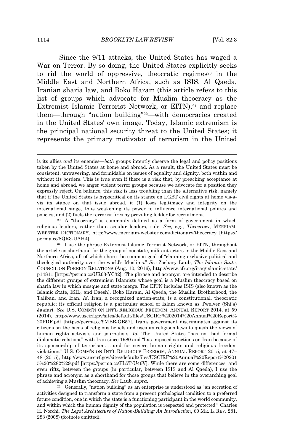Since the 9/11 attacks, the United States has waged a War on Terror. By so doing, the United States explicitly seeks to rid the world of oppressive, theocratic regimes<sup>20</sup> in the Middle East and Northern Africa, such as ISIS, Al Qaeda, Iranian sharia law, and Boko Haram (this article refers to this list of groups which advocate for Muslim theocracy as the Extremist Islamic Terrorist Network, or EITN),<sup>21</sup> and replace them—through "nation building"22—with democracies created in the United States' own image. Today, Islamic extremism is the principal national security threat to the United States; it represents the primary motivator of terrorism in the United

is its allies *and* its enemies—*both* groups intently observe the legal and policy positions taken by the United States at home and abroad. As a result, the United States must be consistent, unwavering, and formidable on issues of equality and dignity, both within and without its borders. This is true even if there is a risk that, by preaching acceptance at home and abroad, we anger violent terror groups because we advocate for a position they expressly reject. On balance, this risk is less troubling than the alternative risk, namely that if the United States is hypocritical on its stance on LGBT civil rights at home vis-àvis its stance on that issue abroad, it (1) loses legitimacy and integrity on the international stage, thus weakening its power to influence international politics and policies, and (2) fuels the terrorist fires by providing fodder for recruitment.

<sup>20</sup> A "theocracy" is commonly defined as a form of government in which religious leaders, rather than secular leaders, rule. *See, e.g.*, *Theocracy*, MERRIAM-WEBSTER DICTIONARY, http://www.merriam-webster.com/dictionary/theocracy [https:// perma.cc/8QR3-UAH4].

<sup>21</sup> I use the phrase Extremist Islamic Terrorist Network, or EITN, throughout the article as shorthand for the group of nonstate, militant actors in the Middle East and Northern Africa, all of which share the common goal of "claiming exclusive political and theological authority over the world's Muslims." *See* Zachary Laub, *The Islamic State*, COUNCIL ON FOREIGN RELATIONS (Aug. 10, 2016), http://www.cfr.org/iraq/islamic-state/ p14811 [https://perma.cc/UR63-YC32]. The phrase and acronym are intended to describe the different groups of extremism Islamists whose goal is a Muslim theocracy based on sharia law in which mosque and state merge. The EITN includes ISIS (also known as the Islamic State, ISIL, and Daesh), Boko Haram, Al Qaeda, the Muslim Brotherhood, the Taliban, and Iran. *Id.* Iran, a recognized nation-state, is a constitutional, theocratic republic; its official religion is a particular school of Islam known as Twelver (Shi'a) Jaafari. *See* U.S. COMM'<sup>N</sup> ON INT'<sup>L</sup> RELIGIOUS FREEDOM, ANNUAL REPORT 2014, at 59 (2014), http://www.uscirf.gov/sites/default/files/USCIRF%202014%20Annual%20Report% 20PDF.pdf [https://perma.cc/9MBB-GB57]. Iran's government discriminates against its citizens on the basis of religious beliefs and uses its religious laws to quash the views of human rights activists and journalists. *Id.* The United States "has not had formal diplomatic relations" with Iran since 1980 and "has imposed sanctions on Iran because of its sponsorship of terrorism . . . and for severe human rights and religious freedom violations." U.S. COMM'N ON INT'L RELIGIOUS FREEDOM, ANNUAL REPORT 2015, at 47– 48 (2015), http://www.uscirf.gov/sites/default/files/USCIRF%20Annual%20Report%20201 5%20%282%29.pdf [https://perma.cc/PL5T-U46V]. While there are some differences, and even rifts, between the groups (in particular, between ISIS and Al Qaeda), I use the phrase and acronym as a shorthand for those groups that believe in the overarching goal of achieving a Muslim theocracy. *See* Laub, *supra*.

<sup>22</sup> Generally, "nation building" as an enterprise is understood as "an accretion of activities designed to transform a state from a present pathological condition to a preferred future condition, one in which the state is a functioning participant in the world community, and within which the human dignity of the population is respected and protected." Charles H. Norchi, *The Legal Architecture of Nation-Building: An Introduction*, 60 ME. L. REV. 281, 283 (2008) (footnote omitted).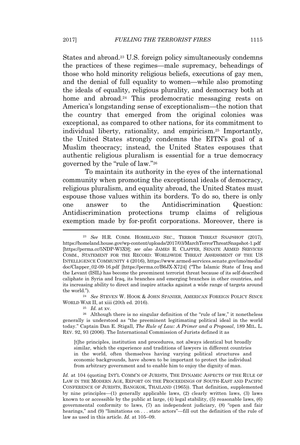States and abroad.<sup>23</sup> U.S. foreign policy simultaneously condemns the practices of these regimes—male supremacy, beheadings of those who hold minority religious beliefs, executions of gay men, and the denial of full equality to women—while also promoting the ideals of equality, religious plurality, and democracy both at home and abroad.<sup>24</sup> This prodemocratic messaging rests on America's longstanding sense of exceptionalism—the notion that the country that emerged from the original colonies was exceptional, as compared to other nations, for its commitment to individual liberty, rationality, and empiricism.<sup>25</sup> Importantly, the United States strongly condemns the EITN's goal of a Muslim theocracy; instead, the United States espouses that authentic religious pluralism is essential for a true democracy governed by the "rule of law."<sup>26</sup>

To maintain its authority in the eyes of the international community when promoting the exceptional ideals of democracy, religious pluralism, and equality abroad, the United States must espouse those values within its borders. To do so, there is only one answer to the Antidiscrimination Question: Antidiscrimination protections trump claims of religious exemption made by for-profit corporations. Moreover, there is

<sup>24</sup> *See* STEVEN W. HOOK & JOHN SPANIER, AMERICAN FOREIGN POLICY SINCE WORLD WAR II, at xiii (20th ed. 2016).

[t]he principles, institution and procedures, not always identical but broadly similar, which the experience and traditions of lawyers in different countries in the world, often themselves having varying political structures and economic backgrounds, have shown to be important to protect the individual from arbitrary government and to enable him to enjoy the dignity of man.

Id. at 104 (quoting INT'L COMM'N OF JURISTS, THE DYNAMIC ASPECTS OF THE RULE OF LAW IN THE MODERN AGE, REPORT ON THE PROCEEDINGS OF SOUTH-EAST AND PACIFIC CONFERENCE OF JURISTS, BANGKOK, THAILAND (1965)). That definition, supplemented by nine principles—(1) generally applicable laws, (2) clearly written laws, (3) laws known to or accessible by the public at large, (4) legal stability, (5) reasonable laws, (6) governmental conformity to laws, (7) an independent judiciary, (8) "open and fair hearings," and (9) "limitations on . . . state actors"—fill out the definition of the rule of law as used in this article. *Id.* at 105–09.

<sup>23</sup> *See* H.R. COMM. HOMELAND SEC., TERROR THREAT SNAPSHOT (2017), https://homeland.house.gov/wp-content/uploads/2017/03/MarchTerrorThreatSnapshot-1.pdf [https://perma.cc/5NDP-W5X9]; *see also* JAMES R. CLAPPER, SENATE ARMED SERVICES COMM., STATEMENT FOR THE RECORD: WORLDWIDE THREAT ASSESSMENT OF THE US INTELLIGENCE COMMUNITY 4 (2016), https://www.armed-services.senate.gov/imo/media/ doc/Clapper\_02-09-16.pdf [https://perma.cc/B6JX-X724] ("The Islamic State of Iraq and the Levant (ISIL) has become the preeminent terrorist threat because of its self-described caliphate in Syria and Iraq, its branches and emerging branches in other countries, and its increasing ability to direct and inspire attacks against a wide range of targets around the world.").

<sup>25</sup> *Id.* at xv.

<sup>26</sup> Although there is no singular definition of the "rule of law," it nonetheless generally is understood as "the preeminent legitimating political ideal in the world today." Captain Dan E. Stigall, *The Rule of Law: A Primer and a Proposal*, 189 MIL. L. REV. 92, 93 (2006). The International Commission of Jurists defined it as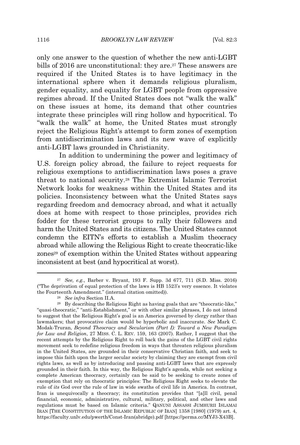only one answer to the question of whether the new anti-LGBT bills of 2016 are unconstitutional: they are.<sup>27</sup> These answers are required if the United States is to have legitimacy in the international sphere when it demands religious pluralism, gender equality, and equality for LGBT people from oppressive regimes abroad. If the United States does not "walk the walk" on these issues at home, its demand that other countries integrate these principles will ring hollow and hypocritical. To "walk the walk" at home, the United States must strongly reject the Religious Right's attempt to form zones of exemption from antidiscrimination laws and its new wave of explicitly anti-LGBT laws grounded in Christianity.

In addition to undermining the power and legitimacy of U.S. foreign policy abroad, the failure to reject requests for religious exemptions to antidiscrimination laws poses a grave threat to national security.<sup>28</sup> The Extremist Islamic Terrorist Network looks for weakness within the United States and its policies. Inconsistency between what the United States says regarding freedom and democracy abroad, and what it actually does at home with respect to those principles, provides rich fodder for these terrorist groups to rally their followers and harm the United States and its citizens. The United States cannot condemn the EITN's efforts to establish a Muslim theocracy abroad while allowing the Religious Right to create theocratic-like zones<sup>29</sup> of exemption within the United States without appearing inconsistent at best (and hypocritical at worst).

<sup>27</sup> *See, e.g.*, Barber v. Bryant, 193 F. Supp. 3d 677, 711 (S.D. Miss. 2016) ("The deprivation of equal protection of the laws is HB 1523's very essence. It violates the Fourteenth Amendment." (internal citation omitted)).

<sup>28</sup> *See infra* Section II.A.

<sup>29</sup> By describing the Religious Right as having goals that are "theocratic-like," "quasi-theocratic," "anti-Establishment," or with other similar phrases, I do not intend to suggest that the Religious Right's goal is an America governed by clergy rather than lawmakers; that provocative claim would be hyperbolic and inaccurate. *See* Mark C. Modak-Truran, *Beyond Theocracy and Secularism (Part I): Toward a New Paradigm for Law and Religion*, 27 MISS. C. L. REV. 159, 163 (2007). Rather, I suggest that the recent attempts by the Religious Right to roll back the gains of the LGBT civil rights movement seek to redefine religious freedom in ways that threaten religious pluralism in the United States, are grounded in their conservative Christian faith, and seek to impose this faith upon the larger secular society by claiming they are exempt from civil rights laws, as well as by introducing and passing anti-LGBT laws that are expressly grounded in their faith. In this way, the Religious Right's agenda, while not seeking a complete American theocracy, certainly can be said to be seeking to create zones of exemption that rely on theocratic principles: The Religious Right seeks to elevate the rule of *its* God over the rule of law in wide swaths of civil life in America. In contrast, Iran is unequivocally a theocracy; its constitution provides that "[a]ll civil, penal financial, economic, administrative, cultural, military, political, and other laws and regulations must be based on Islamic criteria." QANUNI ASSASSI JUMHURII ISLAMAI IRAN [THE CONSTITUTION OF THE ISLAMIC REPUBLIC OF IRAN] 1358 [1980] (1979) art. 4, https://faculty.unlv.edu/pwerth/Const-Iran(abridge).pdf [https://perma.cc/MYJ3-X43B].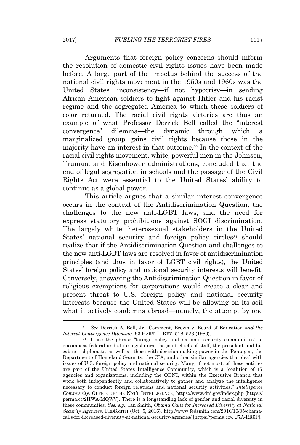Arguments that foreign policy concerns should inform the resolution of domestic civil rights issues have been made before. A large part of the impetus behind the success of the national civil rights movement in the 1950s and 1960s was the United States' inconsistency—if not hypocrisy—in sending African American soldiers to fight against Hitler and his racist regime and the segregated America to which these soldiers of color returned. The racial civil rights victories are thus an example of what Professor Derrick Bell called the "interest convergence" dilemma—the dynamic through which a marginalized group gains civil rights because those in the majority have an interest in that outcome.<sup>30</sup> In the context of the racial civil rights movement, white, powerful men in the Johnson, Truman, and Eisenhower administrations, concluded that the end of legal segregation in schools and the passage of the Civil Rights Act were essential to the United States' ability to continue as a global power.

This article argues that a similar interest convergence occurs in the context of the Antidiscrimination Question, the challenges to the new anti-LGBT laws, and the need for express statutory prohibitions against SOGI discrimination. The largely white, heterosexual stakeholders in the United States' national security and foreign policy circles<sup>31</sup> should realize that if the Antidiscrimination Question and challenges to the new anti-LGBT laws are resolved in favor of antidiscrimination principles (and thus in favor of LGBT civil rights), the United States' foreign policy and national security interests will benefit. Conversely, answering the Antidiscrimination Question in favor of religious exemptions for corporations would create a clear and present threat to U.S. foreign policy and national security interests because the United States will be allowing on its soil what it actively condemns abroad—namely, the attempt by one

<sup>30</sup> *See* Derrick A. Bell, Jr., Comment, Brown v. Board of Education *and the Interest-Convergence Dilemma*, 93 HARV. L. REV. 518, 523 (1980).

<sup>&</sup>lt;sup>31</sup> I use the phrase "foreign policy and national security communities" to encompass federal and state legislators, the joint chiefs of staff, the president and his cabinet, diplomats, as well as those with decision-making power in the Pentagon, the Department of Homeland Security, the CIA, and other similar agencies that deal with issues of U.S. foreign policy and national security. Many, if not most, of these entities are part of the United States Intelligence Community, which is a "coalition of 17 agencies and organizations, including the ODNI, within the Executive Branch that work both independently and collaboratively to gather and analyze the intelligence necessary to conduct foreign relations and national security activities." *Intelligence Community*, OFFICE OF THE NAT'<sup>L</sup> INTELLIGENCE, https://www.dni.gov/index.php [https:// perma.cc/2HWA-MQWV]. There is a longstanding lack of gender and racial diversity in these communities. *See, e.g.*, Ian Smith, *Obama Calls for Increased Diversity at National Security Agencies*, FEDSMITH (Oct. 5, 2016), http://www.fedsmith.com/2016/10/05/obamacalls-for-increased-diversity-at-national-security-agencies/ [https://perma.cc/JU7A-RR5P].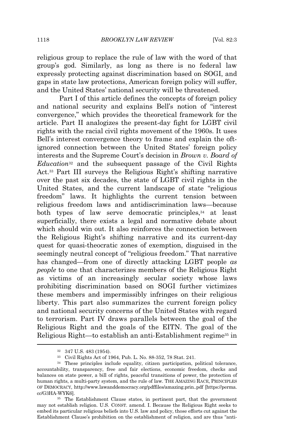religious group to replace the rule of law with the word of that group's god. Similarly, as long as there is no federal law expressly protecting against discrimination based on SOGI, and gaps in state law protections, American foreign policy will suffer, and the United States' national security will be threatened.

Part I of this article defines the concepts of foreign policy and national security and explains Bell's notion of "interest convergence," which provides the theoretical framework for the article. Part II analogizes the present-day fight for LGBT civil rights with the racial civil rights movement of the 1960s. It uses Bell's interest convergence theory to frame and explain the oftignored connection between the United States' foreign policy interests and the Supreme Court's decision in *Brown v. Board of Education*<sup>32</sup> and the subsequent passage of the Civil Rights Act.<sup>33</sup> Part III surveys the Religious Right's shifting narrative over the past six decades, the state of LGBT civil rights in the United States, and the current landscape of state "religious freedom" laws. It highlights the current tension between religious freedom laws and antidiscrimination laws—because both types of law serve democratic principles,<sup>34</sup> at least superficially, there exists a legal and normative debate about which should win out. It also reinforces the connection between the Religious Right's shifting narrative and its current-day quest for quasi-theocratic zones of exemption, disguised in the seemingly neutral concept of "religious freedom." That narrative has changed—from one of directly attacking LGBT people *as people* to one that characterizes members of the Religious Right as victims of an increasingly secular society whose laws prohibiting discrimination based on SOGI further victimizes these members and impermissibly infringes on their religious liberty. This part also summarizes the current foreign policy and national security concerns of the United States with regard to terrorism. Part IV draws parallels between the goal of the Religious Right and the goals of the EITN. The goal of the Religious Right—to establish an anti-Establishment regime<sup>35</sup> in

<sup>32</sup> 347 U.S. 483 (1954).

<sup>33</sup> Civil Rights Act of 1964, Pub. L. No. 88-352, 78 Stat. 241.

<sup>34</sup> These principles include equality, citizen participation, political tolerance, accountability, transparency, free and fair elections, economic freedom, checks and balances on state power, a bill of rights, peaceful transitions of power, the protection of human rights, a multi-party system, and the rule of law. THE AMAZING RACE, PRINCIPLES OF DEMOCRACY, http://www.lawanddemocracy.org/pdffiles/amazing.prin..pdf [https://perma. cc/G3HA-WYK6].

<sup>35</sup> The Establishment Clause states, in pertinent part, that the government may not establish religion. U.S. CONST. amend. I. Because the Religious Right seeks to embed its particular religious beliefs into U.S. law and policy, those efforts cut against the Establishment Clause's prohibition on the establishment of religion, and are thus "anti-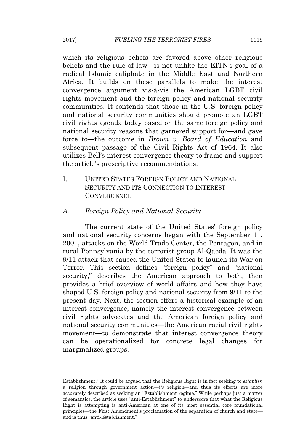which its religious beliefs are favored above other religious beliefs and the rule of law—is not unlike the EITN's goal of a radical Islamic caliphate in the Middle East and Northern Africa. It builds on these parallels to make the interest convergence argument vis-à-vis the American LGBT civil rights movement and the foreign policy and national security communities. It contends that those in the U.S. foreign policy and national security communities should promote an LGBT civil rights agenda today based on the same foreign policy and national security reasons that garnered support for—and gave force to—the outcome in *Brown v. Board of Education* and subsequent passage of the Civil Rights Act of 1964. It also utilizes Bell's interest convergence theory to frame and support the article's prescriptive recommendations.

I. UNITED STATES FOREIGN POLICY AND NATIONAL SECURITY AND ITS CONNECTION TO INTEREST **CONVERGENCE** 

#### *A. Foreign Policy and National Security*

The current state of the United States' foreign policy and national security concerns began with the September 11, 2001, attacks on the World Trade Center, the Pentagon, and in rural Pennsylvania by the terrorist group Al-Qaeda. It was the 9/11 attack that caused the United States to launch its War on Terror. This section defines "foreign policy" and "national security," describes the American approach to both, then provides a brief overview of world affairs and how they have shaped U.S. foreign policy and national security from 9/11 to the present day. Next, the section offers a historical example of an interest convergence, namely the interest convergence between civil rights advocates and the American foreign policy and national security communities—the American racial civil rights movement—to demonstrate that interest convergence theory can be operationalized for concrete legal changes for marginalized groups.

Establishment." It could be argued that the Religious Right is in fact seeking to *establish* a religion through government action—*its* religion—and thus its efforts are more accurately described as seeking an "Establishment regime." While perhaps just a matter of semantics, the article uses "anti-Establishment" to underscore that what the Religious Right is attempting is anti-American at one of its most essential core foundational principles—the First Amendment's proclamation of the separation of church and state and is thus "anti-Establishment."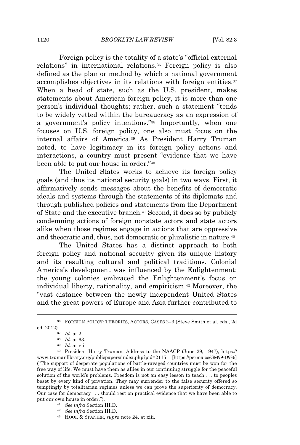1120 *BROOKLYN LAW REVIEW* [Vol. 82:3

Foreign policy is the totality of a state's "official external relations" in international relations.<sup>36</sup> Foreign policy is also defined as the plan or method by which a national government accomplishes objectives in its relations with foreign entities.<sup>37</sup> When a head of state, such as the U.S. president, makes statements about American foreign policy, it is more than one person's individual thoughts; rather, such a statement "tends to be widely vetted within the bureaucracy as an expression of a government's policy intentions."<sup>38</sup> Importantly, when one focuses on U.S. foreign policy, one also must focus on the internal affairs of America.<sup>39</sup> As President Harry Truman noted, to have legitimacy in its foreign policy actions and interactions, a country must present "evidence that we have been able to put our house in order."<sup>40</sup>

The United States works to achieve its foreign policy goals (and thus its national security goals) in two ways. First, it affirmatively sends messages about the benefits of democratic ideals and systems through the statements of its diplomats and through published policies and statements from the Department of State and the executive branch.<sup>41</sup> Second, it does so by publicly condemning actions of foreign nonstate actors and state actors alike when those regimes engage in actions that are oppressive and theocratic and, thus, not democratic or pluralistic in nature.<sup>42</sup>

The United States has a distinct approach to both foreign policy and national security given its unique history and its resulting cultural and political traditions. Colonial America's development was influenced by the Enlightenment; the young colonies embraced the Enlightenment's focus on individual liberty, rationality, and empiricism.<sup>43</sup> Moreover, the "vast distance between the newly independent United States and the great powers of Europe and Asia further contributed to

<sup>43</sup> HOOK & SPANIER, *supra* note 24, at xiii.

<sup>36</sup> FOREIGN POLICY: THEORIES, ACTORS, CASES 2–3 (Steve Smith et al. eds., 2d ed. 2012).

<sup>37</sup> *Id.* at 2.

<sup>38</sup> *Id.* at 63.

<sup>39</sup> *Id.* at vii.

<sup>40</sup> President Harry Truman, Address to the NAACP (June 29, 1947), https:// www.trumanlibrary.org/publicpapers/index.php?pid=2115 [https://perma.cc/GM99-D936] ("The support of desperate populations of battle-ravaged countries must be won for the free way of life. We must have them as allies in our continuing struggle for the peaceful solution of the world's problems. Freedom is not an easy lesson to teach . . . to peoples beset by every kind of privation. They may surrender to the false security offered so temptingly by totalitarian regimes unless we can prove the superiority of democracy. Our case for democracy . . . should rest on practical evidence that we have been able to put our own house in order.").

<sup>41</sup> *See infra* Section III.D.

<sup>42</sup> *See infra* Section III.D.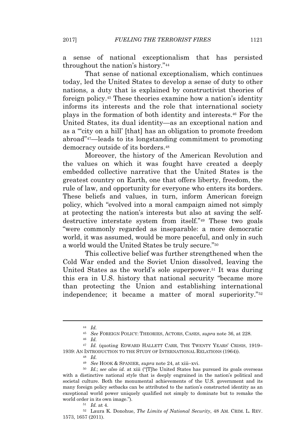sense of national exceptionalism that has persisted throughout the nation's history."<sup>44</sup>

That sense of national exceptionalism, which continues today, led the United States to develop a sense of duty to other nations, a duty that is explained by constructivist theories of foreign policy.<sup>45</sup> These theories examine how a nation's identity informs its interests and the role that international society plays in the formation of both identity and interests.<sup>46</sup> For the United States, its dual identity—as an exceptional nation and as a "'city on a hill' [that] has an obligation to promote freedom abroad"47—leads to its longstanding commitment to promoting democracy outside of its borders.<sup>48</sup>

Moreover, the history of the American Revolution and the values on which it was fought have created a deeply embedded collective narrative that the United States is the greatest country on Earth, one that offers liberty, freedom, the rule of law, and opportunity for everyone who enters its borders. These beliefs and values, in turn, inform American foreign policy, which "evolved into a moral campaign aimed not simply at protecting the nation's interests but also at saving the selfdestructive interstate system from itself."<sup>49</sup> These two goals "were commonly regarded as inseparable: a more democratic world, it was assumed, would be more peaceful, and only in such a world would the United States be truly secure."<sup>50</sup>

This collective belief was further strengthened when the Cold War ended and the Soviet Union dissolved, leaving the United States as the world's sole superpower.<sup>51</sup> It was during this era in U.S. history that national security "became more than protecting the Union and establishing international independence; it became a matter of moral superiority."<sup>52</sup>

<sup>44</sup> *Id.*

<sup>45</sup> *See* FOREIGN POLICY: THEORIES, ACTORS, CASES, *supra* note 36, at 228.

<sup>46</sup> *Id.*

<sup>&</sup>lt;sup>47</sup> *Id.* (quoting EDWARD HALLETT CARR, THE TWENTY YEARS' CRISIS, 1919– 1939: AN INTRODUCTION TO THE STUDY OF INTERNATIONAL RELATIONS (1964)).

<sup>48</sup> *Id.*

<sup>49</sup> *See* HOOK & SPANIER, *supra* note 24, at xiii–xvi.

<sup>50</sup> *Id.*; s*ee also id.* at xiii ("[T]he United States has pursued its goals overseas with a distinctive national style that is deeply engrained in the nation's political and societal culture. Both the monumental achievements of the U.S. government and its many foreign policy setbacks can be attributed to the nation's constructed identity as an exceptional world power uniquely qualified not simply to dominate but to remake the world order in its own image.").

<sup>51</sup> *Id.* at 4.

<sup>52</sup> Laura K. Donohue, *The Limits of National Security*, 48 AM. CRIM. L. REV. 1573, 1657 (2011).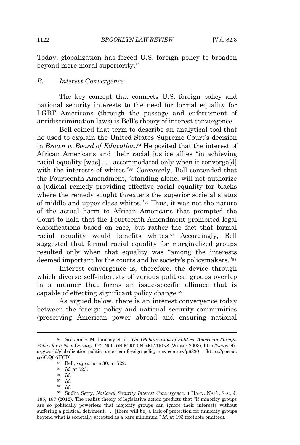Today, globalization has forced U.S. foreign policy to broaden beyond mere moral superiority.<sup>53</sup>

#### *B. Interest Convergence*

The key concept that connects U.S. foreign policy and national security interests to the need for formal equality for LGBT Americans (through the passage and enforcement of antidiscrimination laws) is Bell's theory of interest convergence.

Bell coined that term to describe an analytical tool that he used to explain the United States Supreme Court's decision in *Brown v. Board of Education*. <sup>54</sup> He posited that the interest of African Americans and their racial justice allies "in achieving racial equality [was] . . . accommodated only when it converge[d] with the interests of whites."<sup>55</sup> Conversely, Bell contended that the Fourteenth Amendment, "standing alone, will not authorize a judicial remedy providing effective racial equality for blacks where the remedy sought threatens the superior societal status of middle and upper class whites."<sup>56</sup> Thus, it was not the nature of the actual harm to African Americans that prompted the Court to hold that the Fourteenth Amendment prohibited legal classifications based on race, but rather the fact that formal racial equality would benefits whites.<sup>57</sup> Accordingly, Bell suggested that formal racial equality for marginalized groups resulted only when that equality was "among the interests deemed important by the courts and by society's policymakers."<sup>58</sup>

Interest convergence is, therefore, the device through which diverse self-interests of various political groups overlap in a manner that forms an issue-specific alliance that is capable of effecting significant policy change.<sup>59</sup>

As argued below, there is an interest convergence today between the foreign policy and national security communities (preserving American power abroad and ensuring national

- <sup>57</sup> *Id.*
- <sup>58</sup> *Id.*

<sup>53</sup> *See* James M. Lindsay et al., *The Globalization of Politics: American Foreign Policy for a New Century*, COUNCIL ON FOREIGN RELATIONS (Winter 2003), http://www.cfr. org/world/globalization-politics-american-foreign-policy-new-century/p6330 [https://perma. cc/9LQ6-7FCD].

<sup>54</sup> Bell, *supra* note 30, at 522.

<sup>55</sup> *Id.* at 523.

<sup>56</sup> *Id.*

<sup>59</sup> Sudha Setty, *National Security Interest Convergence*, 4 HARV. NAT'<sup>L</sup> SEC. J. 185, 187 (2012). The realist theory of legislative action predicts that "if minority groups are so politically powerless that majority groups can ignore their interests without suffering a political detriment, . . . [there will be] a lack of protection for minority groups beyond what is societally accepted as a bare minimum." *Id.* at 193 (footnote omitted).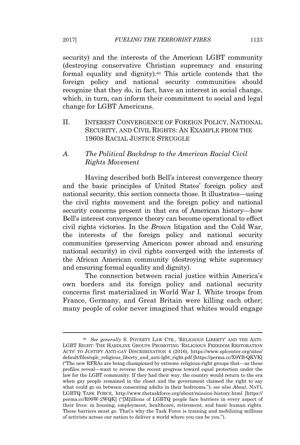security) and the interests of the American LGBT community (destroying conservative Christian supremacy and ensuring formal equality and dignity).<sup>60</sup> This article contends that the foreign policy and national security communities should recognize that they do, in fact, have an interest in social change, which, in turn, can inform their commitment to social and legal change for LGBT Americans.

II. INTEREST CONVERGENCE OF FOREIGN POLICY, NATIONAL SECURITY, AND CIVIL RIGHTS: AN EXAMPLE FROM THE 1960S RACIAL JUSTICE STRUGGLE

#### *A. The Political Backdrop to the American Racial Civil Rights Movement*

Having described both Bell's interest convergence theory and the basic principles of United States' foreign policy and national security, this section connects those. It illustrates—using the civil rights movement and the foreign policy and national security concerns present in that era of American history—how Bell's interest convergence theory can become operational to effect civil rights victories. In the *Brown* litigation and the Cold War, the interests of the foreign policy and national security communities (preserving American power abroad and ensuring national security) in civil rights converged with the interests of the African American community (destroying white supremacy and ensuring formal equality and dignity).

The connection between racial justice within America's own borders and its foreign policy and national security concerns first materialized in World War I. White troops from France, Germany, and Great Britain were killing each other; many people of color never imagined that whites would engage

<sup>60</sup> *See generally* S. POVERTY LAW CTR., 'RELIGIOUS LIBERTY' AND THE ANTI-LGBT RIGHT: THE HARDLINE GROUPS PROMOTING 'RELIGIOUS FREEDOM RESTORATION ACTS' TO JUSTIFY ANTI-GAY DISCRIMINATION 4 (2016), https://www.splcenter.org/sites/ default/files/splc\_religious\_liberty\_and\_anti-lgbt\_right.pdf [https://perma.cc/X9YB-QKVK] ("The new RFRAs are being championed by extreme religious-right groups that—as these profiles reveal—want to reverse the recent progress toward equal protection under the law for the LGBT community. If they had their way, the country would return to the era when gay people remained in the closet and the government claimed the right to say what could go on between consenting adults in their bedrooms."); *see also About*, NAT'<sup>L</sup> LGBTQ TASK FORCE, http://www.thetaskforce.org/about/mission-history.html [https:// perma.cc/R99W-2WQK] ("[M]illions of LGBTQ people face barriers in every aspect of their lives: in housing, employment, healthcare, retirement, and basic human rights. These barriers must go. That's why the Task Force is training and mobilizing millions of activists across our nation to deliver a world where you can be you.").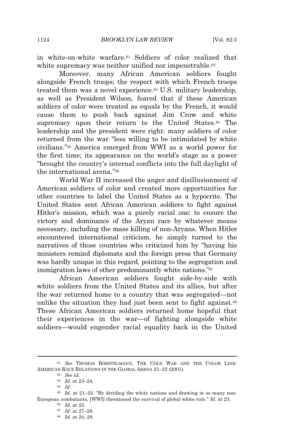in white-on-white warfare.<sup>61</sup> Soldiers of color realized that white supremacy was neither unified nor impenetrable.<sup>62</sup>

Moreover, many African American soldiers fought alongside French troops; the respect with which French troops treated them was a novel experience.<sup>63</sup> U.S. military leadership, as well as President Wilson, feared that if these American soldiers of color were treated as equals by the French, it would cause them to push back against Jim Crow and white supremacy upon their return to the United States.<sup>64</sup> The leadership and the president were right: many soldiers of color returned from the war "less willing to be intimidated by white civilians."<sup>65</sup> America emerged from WWI as a world power for the first time; its appearance on the world's stage as a power "brought the country's internal conflicts into the full daylight of the international arena."<sup>66</sup>

World War II increased the anger and disillusionment of American soldiers of color and created more opportunities for other countries to label the United States as a hypocrite. The United States sent African American soldiers to fight against Hitler's mission, which was a purely racial one: to ensure the victory and dominance of the Aryan race by whatever means necessary, including the mass killing of non-Aryans. When Hitler encountered international criticism, he simply turned to the narratives of those countries who criticized him by "having his ministers remind diplomats and the foreign press that Germany was hardly unique in this regard, pointing to the segregation and immigration laws of other predominantly white nations."<sup>67</sup>

African American soldiers fought side-by-side with white soldiers from the United States and its allies, but after the war returned home to a country that was segregated—not unlike the situation they had just been sent to fight against.<sup>68</sup> These African American soldiers returned home hopeful that their experiences in the war—of fighting alongside white soldiers—would engender racial equality back in the United

<sup>61</sup> *See* THOMAS BORSTELMANN, THE COLD WAR AND THE COLOR LINE: AMERICAN RACE RELATIONS IN THE GLOBAL ARENA 21–22 (2001).

<sup>62</sup> *See id.*

<sup>63</sup> *Id.* at 23–24.

<sup>64</sup> *Id.*

<sup>65</sup> *Id.* at 21–22. "By dividing the white nations and drawing in so many non-European combatants, [WWI] threatened the survival of global white rule." *Id.* at 23.

<sup>66</sup> *Id.* at 25. <sup>67</sup> *Id.* at 27–28.

<sup>68</sup> *Id.* at 24, 28.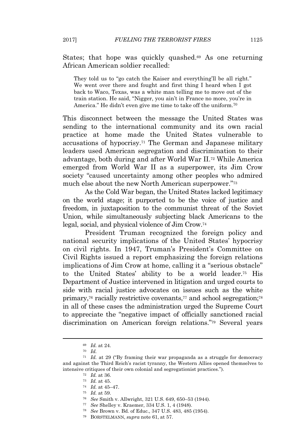States; that hope was quickly quashed.<sup>69</sup> As one returning African American soldier recalled:

They told us to "go catch the Kaiser and everything'll be all right." We went over there and fought and first thing I heard when I got back to Waco, Texas, was a white man telling me to move out of the train station. He said, "Nigger, you ain't in France no more, you're in America." He didn't even give me time to take off the uniform.<sup>70</sup>

This disconnect between the message the United States was sending to the international community and its own racial practice at home made the United States vulnerable to accusations of hypocrisy.<sup>71</sup> The German and Japanese military leaders used American segregation and discrimination to their advantage, both during and after World War II.<sup>72</sup> While America emerged from World War II as a superpower, its Jim Crow society "caused uncertainty among other peoples who admired much else about the new North American superpower."<sup>73</sup>

As the Cold War began, the United States lacked legitimacy on the world stage; it purported to be the voice of justice and freedom, in juxtaposition to the communist threat of the Soviet Union, while simultaneously subjecting black Americans to the legal, social, and physical violence of Jim Crow.<sup>74</sup>

President Truman recognized the foreign policy and national security implications of the United States' hypocrisy on civil rights. In 1947, Truman's President's Committee on Civil Rights issued a report emphasizing the foreign relations implications of Jim Crow at home, calling it a "serious obstacle" to the United States' ability to be a world leader.<sup>75</sup> His Department of Justice intervened in litigation and urged courts to side with racial justice advocates on issues such as the white primary,<sup>76</sup> racially restrictive covenants,<sup>77</sup> and school segregation;<sup>78</sup> in all of these cases the administration urged the Supreme Court to appreciate the "negative impact of officially sanctioned racial discrimination on American foreign relations."<sup>79</sup> Several years

<sup>69</sup> *Id.* at 24.

<sup>70</sup> *Id.*

<sup>71</sup> *Id.* at 29 ("By framing their war propaganda as a struggle for democracy and against the Third Reich's racist tyranny, the Western Allies opened themselves to intensive critiques of their own colonial and segregationist practices.").

<sup>72</sup> *Id.* at 36.

<sup>73</sup> *Id.* at 45.

<sup>74</sup> *Id.* at 45–47.

<sup>75</sup> *Id.* at 59.

<sup>76</sup> *See* Smith v. Allwright, 321 U.S. 649, 650–53 (1944).

<sup>77</sup> *See* Shelley v. Kraemer, 334 U.S. 1, 4 (1948).

<sup>78</sup> *See* Brown v. Bd. of Educ., 347 U.S. 483, 485 (1954).

<sup>79</sup> BORSTELMANN, *supra* note 61, at 57.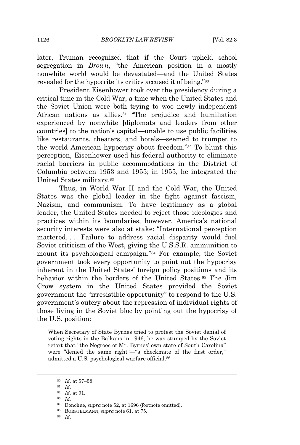later, Truman recognized that if the Court upheld school segregation in *Brown*, "the American position in a mostly nonwhite world would be devastated—and the United States revealed for the hypocrite its critics accused it of being."<sup>80</sup>

President Eisenhower took over the presidency during a critical time in the Cold War, a time when the United States and the Soviet Union were both trying to woo newly independent African nations as allies.<sup>81</sup> "The prejudice and humiliation experienced by nonwhite [diplomats and leaders from other countries] to the nation's capital—unable to use public facilities like restaurants, theaters, and hotels—seemed to trumpet to the world American hypocrisy about freedom."<sup>82</sup> To blunt this perception, Eisenhower used his federal authority to eliminate racial barriers in public accommodations in the District of Columbia between 1953 and 1955; in 1955, he integrated the United States military.<sup>83</sup>

Thus, in World War II and the Cold War, the United States was the global leader in the fight against fascism, Nazism, and communism. To have legitimacy as a global leader, the United States needed to reject those ideologies and practices within its boundaries, however. America's national security interests were also at stake: "International perception mattered. . . . Failure to address racial disparity would fuel Soviet criticism of the West, giving the U.S.S.R. ammunition to mount its psychological campaign."<sup>84</sup> For example, the Soviet government took every opportunity to point out the hypocrisy inherent in the United States' foreign policy positions and its behavior within the borders of the United States.<sup>85</sup> The Jim Crow system in the United States provided the Soviet government the "irresistible opportunity" to respond to the U.S. government's outcry about the repression of individual rights of those living in the Soviet bloc by pointing out the hypocrisy of the U.S. position:

When Secretary of State Byrnes tried to protest the Soviet denial of voting rights in the Balkans in 1946, he was stumped by the Soviet retort that "the Negroes of Mr. Byrnes' own state of South Carolina" were "denied the same right"—"a checkmate of the first order," admitted a U.S. psychological warfare official.<sup>86</sup>

<sup>86</sup> *Id.*

<sup>80</sup> *Id.* at 57–58.

<sup>81</sup> *Id.*

<sup>82</sup> *Id.* at 91.

<sup>83</sup> *Id.*

<sup>84</sup> Donohue, *supra* note 52, at 1696 (footnote omitted).

<sup>85</sup> BORSTELMANN, *supra* note 61, at 75.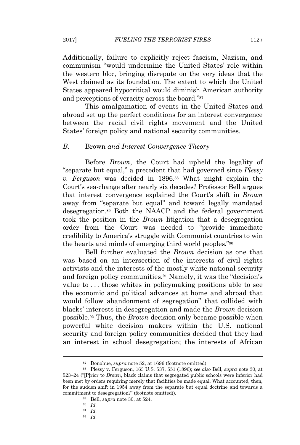Additionally, failure to explicitly reject fascism, Nazism, and communism "would undermine the United States' role within the western bloc, bringing disrepute on the very ideas that the West claimed as its foundation. The extent to which the United States appeared hypocritical would diminish American authority and perceptions of veracity across the board."<sup>87</sup>

This amalgamation of events in the United States and abroad set up the perfect conditions for an interest convergence between the racial civil rights movement and the United States' foreign policy and national security communities.

#### *B.* Brown *and Interest Convergence Theory*

Before *Brown*, the Court had upheld the legality of "separate but equal," a precedent that had governed since *Plessy v. Ferguson* was decided in 1896.<sup>88</sup> What might explain the Court's sea-change after nearly six decades? Professor Bell argues that interest convergence explained the Court's shift in *Brown* away from "separate but equal" and toward legally mandated desegregation.<sup>89</sup> Both the NAACP and the federal government took the position in the *Brown* litigation that a desegregation order from the Court was needed to "provide immediate credibility to America's struggle with Communist countries to win the hearts and minds of emerging third world peoples."<sup>90</sup>

Bell further evaluated the *Brown* decision as one that was based on an intersection of the interests of civil rights activists and the interests of the mostly white national security and foreign policy communities.<sup>91</sup> Namely, it was the "decision's value to . . . those whites in policymaking positions able to see the economic and political advances at home and abroad that would follow abandonment of segregation" that collided with blacks' interests in desegregation and made the *Brown* decision possible.<sup>92</sup> Thus, the *Brown* decision only became possible when powerful white decision makers within the U.S. national security and foreign policy communities decided that they had an interest in school desegregation; the interests of African

<sup>89</sup> Bell, *supra* note 30, at 524.

<sup>92</sup> *Id.*

<sup>87</sup> Donohue, *supra* note 52, at 1696 (footnote omitted).

<sup>88</sup> Plessy v. Ferguson, 163 U.S. 537, 551 (1896); *see also* Bell, *supra* note 30, at 523–24 ("[P]rior to *Brown*, black claims that segregated public schools were inferior had been met by orders requiring merely that facilities be made equal. What accounted, then, for the sudden shift in 1954 away from the separate but equal doctrine and towards a commitment to desegregation?" (footnote omitted)).

<sup>90</sup> *Id.*

<sup>91</sup> *Id.*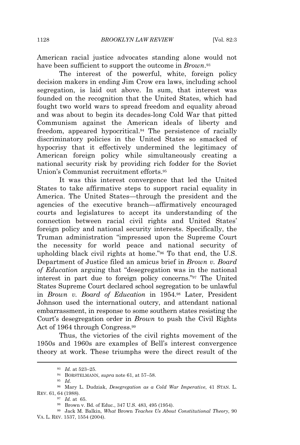American racial justice advocates standing alone would not have been sufficient to support the outcome in *Brown*. 93

The interest of the powerful, white, foreign policy decision makers in ending Jim Crow era laws, including school segregation, is laid out above. In sum, that interest was founded on the recognition that the United States, which had fought two world wars to spread freedom and equality abroad and was about to begin its decades-long Cold War that pitted Communism against the American ideals of liberty and freedom, appeared hypocritical.<sup>94</sup> The persistence of racially discriminatory policies in the United States so smacked of hypocrisy that it effectively undermined the legitimacy of American foreign policy while simultaneously creating a national security risk by providing rich fodder for the Soviet Union's Communist recruitment efforts.<sup>95</sup>

It was this interest convergence that led the United States to take affirmative steps to support racial equality in America. The United States—through the president and the agencies of the executive branch—affirmatively encouraged courts and legislatures to accept its understanding of the connection between racial civil rights and United States' foreign policy and national security interests. Specifically, the Truman administration "impressed upon the Supreme Court the necessity for world peace and national security of upholding black civil rights at home."<sup>96</sup> To that end, the U.S. Department of Justice filed an amicus brief in *Brown v. Board of Education* arguing that "desegregation was in the national interest in part due to foreign policy concerns."<sup>97</sup> The United States Supreme Court declared school segregation to be unlawful in *Brown v. Board of Education* in 1954.<sup>98</sup> Later, President Johnson used the international outcry, and attendant national embarrassment, in response to some southern states resisting the Court's desegregation order in *Brown* to push the Civil Rights Act of 1964 through Congress.<sup>99</sup>

Thus, the victories of the civil rights movement of the 1950s and 1960s are examples of Bell's interest convergence theory at work. These triumphs were the direct result of the

<sup>93</sup> *Id.* at 523–25.

<sup>94</sup> BORSTELMANN, *supra* note 61, at 57–58.

<sup>95</sup> *Id.*

<sup>96</sup> Mary L. Dudziak, *Desegregation as a Cold War Imperative*, 41 STAN. L. REV. 61, 64 (1988).

<sup>97</sup> *Id.* at 65.

<sup>98</sup> Brown v. Bd. of Educ., 347 U.S. 483, 495 (1954).

<sup>99</sup> Jack M. Balkin, *What* Brown *Teaches Us About Constitutional Theory*, 90 VA. L. REV. 1537, 1554 (2004).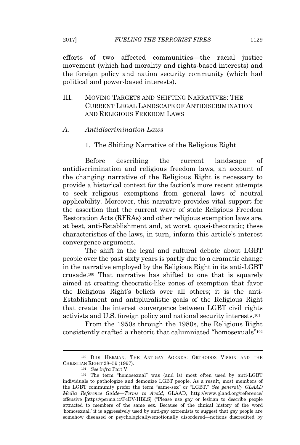efforts of two affected communities—the racial justice movement (which had morality and rights-based interests) and the foreign policy and nation security community (which had political and power-based interests).

- III. MOVING TARGETS AND SHIFTING NARRATIVES: THE CURRENT LEGAL LANDSCAPE OF ANTIDISCRIMINATION AND RELIGIOUS FREEDOM LAWS
- *A. Antidiscrimination Laws*
	- 1. The Shifting Narrative of the Religious Right

Before describing the current landscape of antidiscrimination and religious freedom laws, an account of the changing narrative of the Religious Right is necessary to provide a historical context for the faction's more recent attempts to seek religious exemptions from general laws of neutral applicability. Moreover, this narrative provides vital support for the assertion that the current wave of state Religious Freedom Restoration Acts (RFRAs) and other religious exemption laws are, at best, anti-Establishment and, at worst, quasi-theocratic; these characteristics of the laws, in turn, inform this article's interest convergence argument.

The shift in the legal and cultural debate about LGBT people over the past sixty years is partly due to a dramatic change in the narrative employed by the Religious Right in its anti-LGBT crusade.<sup>100</sup> That narrative has shifted to one that is squarely aimed at creating theocratic-like zones of exemption that favor the Religious Right's beliefs over all others; it is the anti-Establishment and antipluralistic goals of the Religious Right that create the interest convergence between LGBT civil rights activists and U.S. foreign policy and national security interests.<sup>101</sup>

From the 1950s through the 1980s, the Religious Right consistently crafted a rhetoric that calumniated "homosexuals"<sup>102</sup>

<sup>100</sup> DIDI HERMAN, THE ANTIGAY AGENDA: ORTHODOX VISION AND THE CHRISTIAN RIGHT 28–59 (1997).

<sup>101</sup> *See infra* Part V.

<sup>102</sup> The term "homosexual" was (and is) most often used by anti-LGBT individuals to pathologize and demonize LGBT people. As a result, most members of the LGBT community prefer the term "same-sex" or "LGBT." *See generally GLAAD Media Reference Guide—Terms to Avoid*, GLAAD, http://www.glaad.org/reference/ offensive [https://perma.cc/F4DV-HBLS] ("Please use gay or lesbian to describe people attracted to members of the same sex. Because of the clinical history of the word 'homosexual,' it is aggressively used by anti-gay extremists to suggest that gay people are somehow diseased or psychologically/emotionally disordered—notions discredited by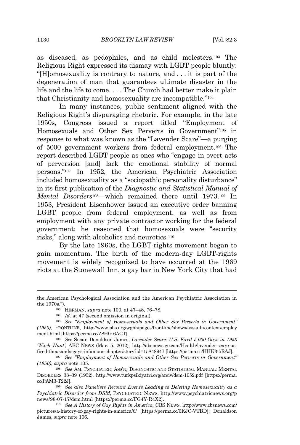as diseased, as pedophiles, and as child molesters.<sup>103</sup> The Religious Right expressed its dismay with LGBT people bluntly: "[H]omosexuality is contrary to nature, and . . . it is part of the degeneration of man that guarantees ultimate disaster in the life and the life to come. . . . The Church had better make it plain that Christianity and homosexuality are incompatible."<sup>104</sup>

In many instances, public sentiment aligned with the Religious Right's disparaging rhetoric. For example, in the late 1950s, Congress issued a report titled "Employment of Homosexuals and Other Sex Perverts in Government"<sup>105</sup> in response to what was known as the "Lavender Scare"—a purging of 5000 government workers from federal employment.<sup>106</sup> The report described LGBT people as ones who "engage in overt acts of perversion [and] lack the emotional stability of normal persons."<sup>107</sup> In 1952, the American Psychiatric Association included homosexuality as a "sociopathic personality disturbance" in its first publication of the *Diagnostic and Statistical Manual of Mental Disorders*108—which remained there until 1973.<sup>109</sup> In 1953, President Eisenhower issued an executive order banning LGBT people from federal employment, as well as from employment with any private contractor working for the federal government; he reasoned that homosexuals were "security risks," along with alcoholics and neurotics.<sup>110</sup>

By the late 1960s, the LGBT-rights movement began to gain momentum. The birth of the modern-day LGBT-rights movement is widely recognized to have occurred at the 1969 riots at the Stonewall Inn, a gay bar in New York City that had

the American Psychological Association and the American Psychiatric Association in the 1970s.").

<sup>103</sup> HERMAN, *supra* note 100, at 47–48, 76–78.

<sup>104</sup> *Id.* at 47 (second omission in original).

<sup>105</sup> *See "Employment of Homosexuals and Other Sex Perverts in Government" (1950)*, FRONTLINE, http://www.pbs.org/wgbh/pages/frontline/shows/assault/context/employ ment.html [https://perma.cc/Z8HG-6ACT].

<sup>106</sup> *See* Susan Donaldson James, *Lavender Scare: U.S. Fired 5,000 Gays in 1953 'Witch Hunt'*, ABC NEWS (Mar. 5. 2012), http://abcnews.go.com/Health/lavender-scare-usfired-thousands-gays-infamous-chapter/story?id=15848947 [https://perma.cc/HHK3-5RAJ]*.*

<sup>107</sup> *See "Employment of Homosexuals and Other Sex Perverts in Government" (1950)*, *supra* note 105.

<sup>108</sup> *See* AM. PSYCHIATRIC ASS'N, DIAGNOSTIC AND STATISTICAL MANUAL: MENTAL DISORDERS 38–39 (1952), http://www.turkpsikiyatri.org/arsiv/dsm-1952.pdf [https://perma. cc/PAM3-T22J].

<sup>109</sup> *See also Panelists Recount Events Leading to Deleting Homosexuality as a Psychiatric Disorder from DSM*, PSYCHIATRIC NEWS, http://www.psychiatricnews.org/p news/98-07-17/dsm.html [https://perma.cc/FG4Y-R4X2].

<sup>110</sup> *See A History of Gay Rights in America*, CBS NEWS, http://www.cbsnews.com/ pictures/a-history-of-gay-rights-in-america/6/ [https://perma.cc/6KJC-VTBD]; Donaldson James, *supra* note 106.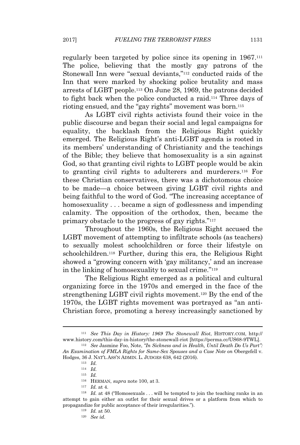regularly been targeted by police since its opening in 1967.<sup>111</sup> The police, believing that the mostly gay patrons of the Stonewall Inn were "sexual deviants,"<sup>112</sup> conducted raids of the Inn that were marked by shocking police brutality and mass arrests of LGBT people.<sup>113</sup> On June 28, 1969, the patrons decided to fight back when the police conducted a raid.<sup>114</sup> Three days of rioting ensued, and the "gay rights" movement was born.<sup>115</sup>

As LGBT civil rights activists found their voice in the public discourse and began their social and legal campaigns for equality, the backlash from the Religious Right quickly emerged. The Religious Right's anti-LGBT agenda is rooted in its members' understanding of Christianity and the teachings of the Bible; they believe that homosexuality is a sin against God, so that granting civil rights to LGBT people would be akin to granting civil rights to adulterers and murderers.<sup>116</sup> For these Christian conservatives, there was a dichotomous choice to be made—a choice between giving LGBT civil rights and being faithful to the word of God. "The increasing acceptance of homosexuality . . . became a sign of godlessness and impending calamity. The opposition of the orthodox, then, became the primary obstacle to the progress of gay rights."<sup>117</sup>

Throughout the 1960s, the Religious Right accused the LGBT movement of attempting to infiltrate schools (as teachers) to sexually molest schoolchildren or force their lifestyle on schoolchildren.<sup>118</sup> Further, during this era, the Religious Right showed a "growing concern with 'gay militancy,' and an increase in the linking of homosexuality to sexual crime."<sup>119</sup>

The Religious Right emerged as a political and cultural organizing force in the 1970s and emerged in the face of the strengthening LGBT civil rights movement.<sup>120</sup> By the end of the 1970s, the LGBT rights movement was portrayed as "an anti-Christian force, promoting a heresy increasingly sanctioned by

<sup>111</sup> *See This Day in History: 1969 The Stonewall Riot*, HISTORY.COM, http:// www.history.com/this-day-in-history/the-stonewall-riot [https://perma.cc/US68-9TWL]. <sup>112</sup> *See* Jasmine Foo, Note, *"In Sickness and in Health, Until Death Do Us Part":*

*An Examination of FMLA Rights for Same-Sex Spouses and a Case Note on* Obergefell v. Hodges, 36 J. NAT'L ASS'N ADMIN. L. JUDGES 638, 642 (2016).

<sup>113</sup> *Id.*

<sup>114</sup> *Id.*

<sup>115</sup> *Id.*

<sup>116</sup> HERMAN, *supra* note 100, at 3.

<sup>117</sup> *Id.* at 4.

<sup>&</sup>lt;sup>118</sup> *Id.* at 48 ("Homosexuals . . . will be tempted to join the teaching ranks in an attempt to gain either an outlet for their sexual drives or a platform from which to propagandize for public acceptance of their irregularities.").

<sup>119</sup> *Id.* at 50.

<sup>120</sup> *See id.*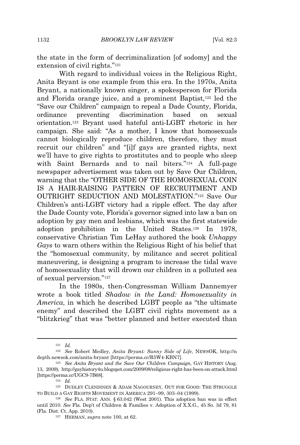the state in the form of decriminalization [of sodomy] and the extension of civil rights."<sup>121</sup>

With regard to individual voices in the Religious Right, Anita Bryant is one example from this era. In the 1970s, Anita Bryant, a nationally known singer, a spokesperson for Florida and Florida orange juice, and a prominent Baptist,<sup>122</sup> led the "Save our Children" campaign to repeal a Dade County, Florida, ordinance preventing discrimination based on sexual orientation.<sup>123</sup> Bryant used hateful anti-LGBT rhetoric in her campaign. She said: "As a mother, I know that homosexuals cannot biologically reproduce children, therefore, they must recruit our children" and "[i]f gays are granted rights, next we'll have to give rights to prostitutes and to people who sleep with Saint Bernards and to nail biters."<sup>124</sup> A full-page newspaper advertisement was taken out by Save Our Children, warning that the "OTHER SIDE OF THE HOMOSEXUAL COIN IS A HAIR-RAISING PATTERN OF RECRUITMENT AND OUTRIGHT SEDUCTION AND MOLESTATION."<sup>125</sup> Save Our Children's anti-LGBT victory had a ripple effect. The day after the Dade County vote, Florida's governor signed into law a ban on adoption by gay men and lesbians, which was the first statewide adoption prohibition in the United States.<sup>126</sup> In 1978, conservative Christian Tim LeHay authored the book *Unhappy Gays* to warn others within the Religious Right of his belief that the "homosexual community, by militance and secret political maneuvering, is designing a program to increase the tidal wave of homosexuality that will drown our children in a polluted sea of sexual perversion."<sup>127</sup>

In the 1980s, then-Congressman William Dannemyer wrote a book titled *Shadow in the Land: Homosexuality in America*, in which he described LGBT people as "the ultimate enemy" and described the LGBT civil rights movement as a "blitzkrieg" that was "better planned and better executed than

<sup>121</sup> *Id.*

<sup>122</sup> *See* Robert Medley, *Anita Bryant: Sunny Side of Life*, NEWSOK, http://n depth.newsok.com/anita-bryant [https://perma.cc/R5W4-KBN7].

<sup>123</sup> *See Anita Bryant and the Save Our Children Campaign*, GAY HISTORY (Aug. 13, 2009), http://gayhistory4u.blogspot.com/2009/08/religious-right-has-been-on-attack.html [https://perma.cc/UGC9-7B68].

<sup>124</sup> *Id.*

<sup>125</sup> DUDLEY CLENDINEN & ADAM NAGOURNEY, OUT FOR GOOD: THE STRUGGLE TO BUILD A GAY RIGHTS MOVEMENT IN AMERICA 291–99, 303–04 (1999).

<sup>126</sup> *See* FLA. STAT. ANN. § 63.042 (West 2001). This adoption ban was in effect until 2010. *See* Fla. Dep't of Children & Families v. Adoption of X.X.G., 45 So. 3d 79, 81 (Fla. Dist. Ct. App. 2010).

<sup>127</sup> HERMAN, *supra* note 100, at 62.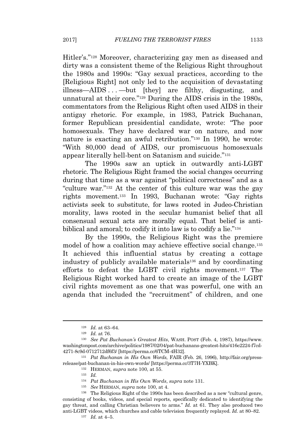Hitler's."<sup>128</sup> Moreover, characterizing gay men as diseased and dirty was a consistent theme of the Religious Right throughout the 1980s and 1990s: "Gay sexual practices, according to the [Religious Right] not only led to the acquisition of devastating illness—AIDS . . . —but [they] are filthy, disgusting, and unnatural at their core."<sup>129</sup> During the AIDS crisis in the 1980s, commentators from the Religious Right often used AIDS in their antigay rhetoric. For example, in 1983, Patrick Buchanan, former Republican presidential candidate, wrote: "The poor homosexuals. They have declared war on nature, and now nature is exacting an awful retribution."<sup>130</sup> In 1990, he wrote: "With 80,000 dead of AIDS, our promiscuous homosexuals appear literally hell-bent on Satanism and suicide."<sup>131</sup>

The 1990s saw an uptick in outwardly anti-LGBT rhetoric. The Religious Right framed the social changes occurring during that time as a war against "political correctness" and as a "culture war."<sup>132</sup> At the center of this culture war was the gay rights movement.<sup>133</sup> In 1993, Buchanan wrote: "Gay rights activists seek to substitute, for laws rooted in Judeo-Christian morality, laws rooted in the secular humanist belief that all consensual sexual acts are morally equal. That belief is antibiblical and amoral; to codify it into law is to codify a lie."<sup>134</sup>

By the 1990s, the Religious Right was the premiere model of how a coalition may achieve effective social change.<sup>135</sup> It achieved this influential status by creating a cottage industry of publicly available materials<sup>136</sup> and by coordinating efforts to defeat the LGBT civil rights movement.<sup>137</sup> The Religious Right worked hard to create an image of the LGBT civil rights movement as one that was powerful, one with an agenda that included the "recruitment" of children, and one

<sup>128</sup> *Id.* at 63–64.

<sup>129</sup> *Id.* at 76.

<sup>130</sup> *See Pat Buchanan's Greatest Hits*, WASH. POST (Feb. 4, 1987), https://www. washingtonpost.com/archive/politics/1987/02/04/pat-buchanans-greatest-hits/416e2224-f7cd-4271-8c9d-0712712df6f3/ [https://perma.cc/6TCM-4H32].

<sup>131</sup> *Pat Buchanan in His Own Words*, FAIR (Feb. 26, 1996), http://fair.org/pressrelease/pat-buchanan-in-his-own-words/ [https://perma.cc/3T7H-YXBK].

<sup>132</sup> HERMAN, *supra* note 100, at 55.

<sup>133</sup> *Id.*

<sup>134</sup> *Pat Buchanan in His Own Words*, *supra* note 131.

<sup>135</sup> *See* HERMAN, *supra* note 100, at 4.

<sup>136</sup> The Religious Right of the 1990s has been described as a new "cultural genre, consisting of books, videos, and special reports, specifically dedicated to identifying the gay threat, and calling Christian believers to arms." *Id.* at 61. They also produced two anti-LGBT videos, which churches and cable television frequently replayed. *Id.* at 80–82.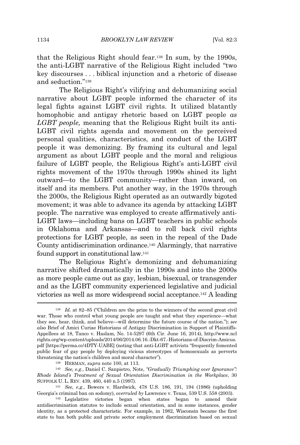that the Religious Right should fear.<sup>138</sup> In sum, by the 1990s, the anti-LGBT narrative of the Religious Right included "two key discourses . . . biblical injunction and a rhetoric of disease and seduction." 139

The Religious Right's vilifying and dehumanizing social narrative about LGBT people informed the character of its legal fights against LGBT civil rights. It utilized blatantly homophobic and antigay rhetoric based on LGBT people *as LGBT people,* meaning that the Religious Right built its anti-LGBT civil rights agenda and movement on the perceived personal qualities, characteristics, and conduct of the LGBT people it was demonizing. By framing its cultural and legal argument as about LGBT people and the moral and religious failure of LGBT people, the Religious Right's anti-LGBT civil rights movement of the 1970s through 1990s shined its light outward—to the LGBT community—rather than inward, on itself and its members. Put another way, in the 1970s through the 2000s, the Religious Right operated as an outwardly bigoted movement; it was able to advance its agenda by attacking LGBT people. The narrative was employed to create affirmatively anti-LGBT laws—including bans on LGBT teachers in public schools in Oklahoma and Arkansas—and to roll back civil rights protections for LGBT people, as seen in the repeal of the Dade County antidiscrimination ordinance.<sup>140</sup> Alarmingly, that narrative found support in constitutional law.<sup>141</sup>

The Religious Right's demonizing and dehumanizing narrative shifted dramatically in the 1990s and into the 2000s as more people came out as gay, lesbian, bisexual, or transgender and as the LGBT community experienced legislative and judicial victories as well as more widespread social acceptance.<sup>142</sup> A leading

<sup>138</sup> *Id.* at 82–85 ("Children are the prize to the winners of the second great civil war. Those who control what young people are taught and what they experience—what they see, hear, think, and believe—will determine the future course of the nation."); *see also* Brief of Amici Curiae Historians of Antigay Discrimination in Support of Plaintiffs-Appellees at 18, Tanco v. Haslam, No. 14-5297 (6th Cir. June 16, 2014), http://www.ncl rights.org/wp-content/uploads/2014/06/2014.06.16.-Dkt-67.-Historians-of-Discrim-Amicus. pdf [https://perma.cc/4DTY-UABE] (noting that anti-LGBT activists "frequently fomented public fear of gay people by deploying vicious stereotypes of homosexuals as perverts threatening the nation's children and moral character").

<sup>139</sup> HERMAN, *supra* note 100, at 113.

<sup>140</sup> *See, e.g.*, Daniel C. Sanpietro, Note, *"Gradually Triumphing over Ignorance": Rhode Island's Treatment of Sexual Orientation Discrimination in the Workplace*, 30 SUFFOLK U. L. REV. 439, 460, 440 n.5 (1997).

<sup>141</sup> *See, e.g.*, Bowers v. Hardwick, 478 U.S. 186, 191, 194 (1986) (upholding Georgia's criminal ban on sodomy), *overruled by* Lawrence v. Texas, 539 U.S. 558 (2003).

<sup>142</sup> Legislative victories began when states began to amend their antidiscrimination statutes to include sexual orientation, and in some instances, gender identity, as a protected characteristic. For example, in 1982, Wisconsin became the first state to ban both public and private sector employment discrimination based on sexual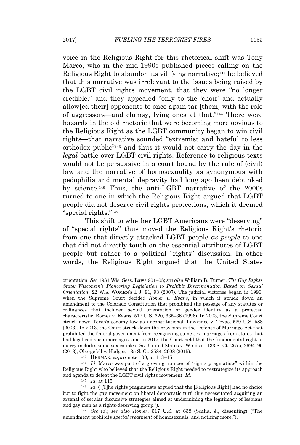voice in the Religious Right for this rhetorical shift was Tony Marco, who in the mid-1990s published pieces calling on the Religious Right to abandon its vilifying narrative;<sup>143</sup> he believed that this narrative was irrelevant to the issues being raised by the LGBT civil rights movement, that they were "no longer credible," and they appealed "only to the 'choir' and actually allow[ed their] opponents to once again tar [them] with the role of aggressors—and clumsy, lying ones at that."<sup>144</sup> There were hazards in the old rhetoric that were becoming more obvious to the Religious Right as the LGBT community began to win civil rights—that narrative sounded "extremist and hateful to less orthodox public"<sup>145</sup> and thus it would not carry the day in the *legal* battle over LGBT civil rights. Reference to religious texts would not be persuasive in a court bound by the rule of (civil) law and the narrative of homosexuality as synonymous with pedophilia and mental depravity had long ago been debunked by science.<sup>146</sup> Thus, the anti-LGBT narrative of the 2000s turned to one in which the Religious Right argued that LGBT people did not deserve civil rights protections, which it deemed "special rights."<sup>147</sup>

This shift to whether LGBT Americans were "deserving" of "special rights" thus moved the Religious Right's rhetoric from one that directly attacked LGBT people *as people* to one that did not directly touch on the essential attributes of LGBT people but rather to a political "rights" discussion. In other words, the Religious Right argued that the United States

<sup>143</sup> HERMAN, *supra* note 100, at 113–15.

<sup>144</sup> *Id.* Marco was part of a growing number of "rights pragmatists" within the Religious Right who believed that the Religious Right needed to restrategize its approach and agenda to defeat the LGBT civil rights movement. *Id.*

<sup>145</sup> *Id.* at 115.

<sup>146</sup> *Id.* ("[T]he rights pragmatists argued that the [Religious Right] had no choice but to fight the gay movement on liberal democratic turf; this necessitated acquiring an arsenal of secular discursive strategies aimed at undermining the legitimacy of lesbians and gay men as a rights-deserving group.").

<sup>147</sup> *See id.*; *see also Romer*, 517 U.S. at 638 (Scalia, J., dissenting) ("The amendment prohibits *special treatment* of homosexuals, and nothing more.").

orientation. *See* 1981 Wis. Sess. Laws 901–08; *see also* William B. Turner, *The Gay Rights State: Wisconsin's Pioneering Legislation to Prohibit Discrimination Based on Sexual Orientation*, 22 WIS. WOMEN'<sup>S</sup> L.J. 91, 93 (2007). The judicial victories began in 1996, when the Supreme Court decided *Romer v. Evans*, in which it struck down an amendment to the Colorado Constitution that prohibited the passage of any statutes or ordinances that included sexual orientation or gender identity as a protected characteristic. Romer v. Evans, 517 U.S. 620, 635–36 (1996). In 2003, the Supreme Court struck down Texas's sodomy law as unconstitutional. Lawrence v. Texas, 539 U.S. 588 (2003). In 2013, the Court struck down the provision in the Defense of Marriage Act that prohibited the federal government from recognizing same-sex marriages from states that had legalized such marriages, and in 2015, the Court held that the fundamental right to marry includes same-sex couples. *See* United States v. Windsor, 133 S. Ct. 2675, 2694–96 (2013); Obergefell v. Hodges, 135 S. Ct. 2584, 2608 (2015).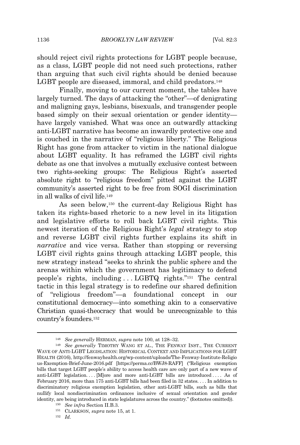should reject civil rights protections for LGBT people because, as a class, LGBT people did not need such protections, rather than arguing that such civil rights should be denied because LGBT people are diseased, immoral, and child predators.<sup>148</sup>

Finally, moving to our current moment, the tables have largely turned. The days of attacking the "other"—of denigrating and maligning gays, lesbians, bisexuals, and transgender people based simply on their sexual orientation or gender identity have largely vanished. What was once an outwardly attacking anti-LGBT narrative has become an inwardly protective one and is couched in the narrative of "religious liberty." The Religious Right has gone from attacker to victim in the national dialogue about LGBT equality. It has reframed the LGBT civil rights debate as one that involves a mutually exclusive contest between two rights-seeking groups: The Religious Right's asserted absolute right to "religious freedom" pitted against the LGBT community's asserted right to be free from SOGI discrimination in all walks of civil life.<sup>149</sup>

As seen below,<sup>150</sup> the current-day Religious Right has taken its rights-based rhetoric to a new level in its litigation and legislative efforts to roll back LGBT civil rights. This newest iteration of the Religious Right's *legal* strategy to stop and reverse LGBT civil rights further explains its shift in *narrative* and vice versa. Rather than stopping or reversing LGBT civil rights gains through attacking LGBT people, this new strategy instead "seeks to shrink the public sphere and the arenas within which the government has legitimacy to defend people's rights, including . . . LGBTQ rights." <sup>151</sup> The central tactic in this legal strategy is to redefine our shared definition of "religious freedom"—a foundational concept in our constitutional democracy—into something akin to a conservative Christian quasi-theocracy that would be unrecognizable to this country's founders.<sup>152</sup>

<sup>148</sup> *See generally* HERMAN, *supra* note 100, at 128–32.

<sup>149</sup> *See generally* TIMOTHY WANG ET AL., THE FENWAY INST., THE CURRENT WAVE OF ANTI-LGBT LEGISLATION: HISTORICAL CONTEXT AND IMPLICATIONS FOR LGBT HEALTH (2016), http://fenwayhealth.org/wp-content/uploads/The-Fenway-Institute-Religio us-Exemption-Brief-June-2016.pdf [https://perma.cc/BWJ8-RAFF] ("Religious exemption bills that target LGBT people's ability to access health care are only part of a new wave of anti-LGBT legislation. . . . [M]ore and more anti-LGBT bills are introduced . . . . As of February 2016, more than 175 anti-LGBT bills had been filed in 32 states. . . . In addition to discriminatory religious exemption legislation, other anti-LGBT bills, such as bills that nullify local nondiscrimination ordinances inclusive of sexual orientation and gender identity, are being introduced in state legislatures across the country." (footnotes omitted)).

<sup>150</sup> *See infra* Section II.B.3.

<sup>151</sup> CLARKSON, *supra* note 15, at 1.

<sup>152</sup> *Id.*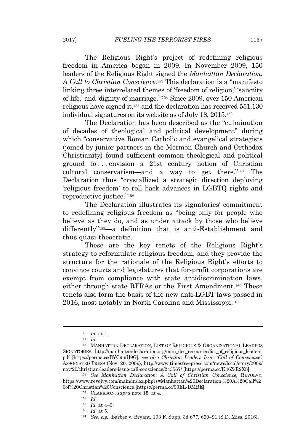The Religious Right's project of redefining religious freedom in America began in 2009. In November 2009, 150 leaders of the Religious Right signed the *Manhattan Declaration: A Call to Christian Conscience*. <sup>153</sup> This declaration is a "manifesto linking three interrelated themes of 'freedom of religion,' 'sanctity of life,' and 'dignity of marriage.'"<sup>154</sup> Since 2009, over 150 American religious have signed it,<sup>155</sup> and the declaration has received 551,130 individual signatures on its website as of July 18, 2015.<sup>156</sup>

The Declaration has been described as the "culmination of decades of theological and political development" during which "conservative Roman Catholic and evangelical strategists (joined by junior partners in the Mormon Church and Orthodox Christianity) found sufficient common theological and political ground to . . . envision a 21st century notion of Christian cultural conservatism—and a way to get there."<sup>157</sup> The Declaration thus "crystallized a strategic direction deploying 'religious freedom' to roll back advances in LGBTQ rights and reproductive justice."<sup>158</sup>

The Declaration illustrates its signatories' commitment to redefining religious freedom as "being only for people who believe as they do, and as under attack by those who believe differently"159—a definition that is anti-Establishment and thus quasi-theocratic.

These are the key tenets of the Religious Right's strategy to reformulate religious freedom, and they provide the structure for the rationale of the Religious Right's efforts to convince courts and legislatures that for-profit corporations are exempt from compliance with state antidiscrimination laws, either through state RFRAs or the First Amendment.<sup>160</sup> These tenets also form the basis of the new anti-LGBT laws passed in 2016, most notably in North Carolina and Mississippi.<sup>161</sup>

<sup>153</sup> *Id.* at 4.

<sup>154</sup> *Id.*

<sup>155</sup> MANHATTAN DECLARATION, LIST OF RELIGIOUS & ORGANIZATIONAL LEADERS SIGNATORIES, http://manhattandeclaration.org/man\_dec\_resources/list\_of\_religious\_leaders. pdf [https://perma.cc/BYC9-9H9G]; *see also Christian Leaders Issue 'Call of Conscience'*, ASSOCIATED PRESS (Nov. 20, 2009), http://www.timesfreepress.com/news/local/story/2009/ nov/20/christian-leaders-issue-call-conscience/243567/ [https://perma.cc/K46Z-R2X8].

<sup>156</sup> *See Manhattan Declaration: A Call of Christian Conscience*, REVOLVY, https://www.revolvy.com/main/index.php?s=Manhattan%20Declaration:%20A%20Call%2 0of%20Christian%20Conscience [https://perma.cc/93EL-DMBE].

<sup>157</sup> CLARKSON, *supra* note 15, at 4.

<sup>158</sup> *Id.*

<sup>159</sup> *Id.* at 4–5.

<sup>160</sup> *Id.* at 5.

<sup>161</sup> *See, e.g.*, Barber v. Bryant, 193 F. Supp. 3d 677, 690–91 (S.D. Miss. 2016).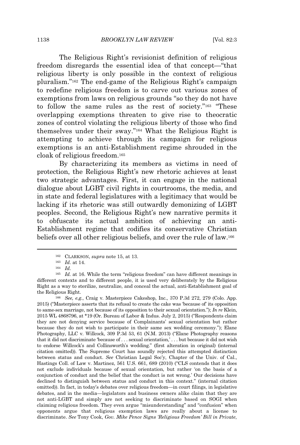The Religious Right's revisionist definition of religious freedom disregards the essential idea of that concept—"that religious liberty is only possible in the context of religious pluralism."<sup>162</sup> The end-game of the Religious Right's campaign to redefine religious freedom is to carve out various zones of exemptions from laws on religious grounds "so they do not have to follow the same rules as the rest of society."<sup>163</sup> "These overlapping exemptions threaten to give rise to theocratic zones of control violating the religious liberty of those who find themselves under their sway."<sup>164</sup> What the Religious Right is attempting to achieve through its campaign for religious exemptions is an anti-Establishment regime shrouded in the cloak of religious freedom.<sup>165</sup>

By characterizing its members as victims in need of protection, the Religious Right's new rhetoric achieves at least two strategic advantages. First, it can engage in the national dialogue about LGBT civil rights in courtrooms, the media, and in state and federal legislatures with a legitimacy that would be lacking if its rhetoric was still outwardly demonizing of LGBT peoples. Second, the Religious Right's new narrative permits it to obfuscate its actual ambition of achieving an anti-Establishment regime that codifies its conservative Christian beliefs over all other religious beliefs, and over the rule of law.<sup>166</sup>

<sup>166</sup> *See, e.g.*, Craig v. Masterpiece Cakeshop, Inc., 370 P.3d 272, 279 (Colo. App. 2015) ("Masterpiece asserts that its refusal to create the cake was 'because of' its opposition to same-sex marriage, not because of its opposition to their sexual orientation."); *In re* Klein, 2015 WL 4868796, at \*19 (Or. Bureau of Labor & Indus. July 2, 2015) ("Respondents claim they are not denying service because of Complainants' sexual orientation but rather because they do not wish to participate in their same sex wedding ceremony."); Elane Photography, LLC v. Willcock, 309 P.3d 53, 61 (N.M. 2013) ("Elane Photography reasons that it did not discriminate 'because of . . . sexual orientation,' . . . but because it did not wish to endorse Willcock's and Collinsworth's wedding." (first alteration in original) (internal citation omitted)). The Supreme Court has soundly rejected this attempted distinction between status and conduct. *See* Christian Legal Soc'y, Chapter of the Univ. of Cal., Hastings Coll. of Law v. Martinez, 561 U.S. 661, 689 (2010) ("CLS contends that it does not exclude individuals because of sexual orientation, but rather 'on the basis of a conjunction of conduct and the belief that the conduct is not wrong.' Our decisions have declined to distinguish between status and conduct in this context." (internal citation omitted)). In fact, in today's debates over religious freedom—in court filings, in legislative debates, and in the media—legislators and business owners alike claim that they are not anti-LGBT and simply are not seeking to discriminate based on SOGI when claiming religious freedom. They even argue "misunderstanding" and "confusion" when opponents argue that religious exemption laws are really about a license to discriminate. *See* Tony Cook, *Gov. Mike Pence Signs 'Religious Freedom' Bill in Private*,

<sup>162</sup> CLARKSON, *supra* note 15, at 13.

<sup>163</sup> *Id.* at 14.

<sup>164</sup> *Id.*

<sup>165</sup> *Id.* at 16. While the term "religious freedom" can have different meanings in different contexts and to different people, it is used very deliberately by the Religious Right as a way to sterilize, neutralize, and conceal the actual, anti-Establishment goal of the Religious Right.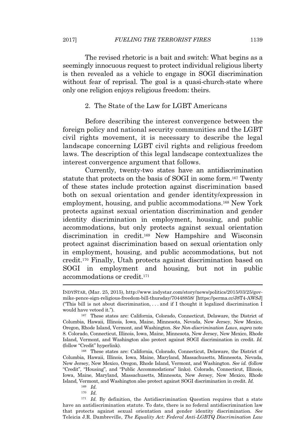The revised rhetoric is a bait and switch: What begins as a seemingly innocuous request to protect individual religious liberty is then revealed as a vehicle to engage in SOGI discrimination without fear of reprisal. The goal is a quasi-church-state where only one religion enjoys religious freedom: theirs.

2. The State of the Law for LGBT Americans

Before describing the interest convergence between the foreign policy and national security communities and the LGBT civil rights movement, it is necessary to describe the legal landscape concerning LGBT civil rights and religious freedom laws. The description of this legal landscape contextualizes the interest convergence argument that follows.

Currently, twenty-two states have an antidiscrimination statute that protects on the basis of SOGI in some form.<sup>167</sup> Twenty of these states include protection against discrimination based both on sexual orientation and gender identity/expression in employment, housing, and public accommodations.<sup>168</sup> New York protects against sexual orientation discrimination and gender identity discrimination in employment, housing, and public accommodations, but only protects against sexual orientation discrimination in credit.<sup>169</sup> New Hampshire and Wisconsin protect against discrimination based on sexual orientation only in employment, housing, and public accommodations, but not credit.<sup>170</sup> Finally, Utah protects against discrimination based on SOGI in employment and housing, but not in public accommodations or credit.<sup>171</sup>

<sup>170</sup> *Id.*

INDYSTAR, (Mar. 25, 2015), http://www.indystar.com/story/news/politics/2015/03/25/govmike-pence-sign-religious-freedom-bill-thursday/70448858/ [https://perma.cc/J8T4-AWSJ] ("This bill is not about discrimination, . . . and if I thought it legalized discrimination I would have vetoed it.").

<sup>167</sup> These states are: California, Colorado, Connecticut, Delaware, the District of Columbia, Hawaii, Illinois, Iowa, Maine, Minnesota, Nevada, New Jersey, New Mexico, Oregon, Rhode Island, Vermont, and Washington. *See Non-discrimination Laws*, *supra* note 8. Colorado, Connecticut, Illinois, Iowa, Maine, Minnesota, New Jersey, New Mexico, Rhode Island, Vermont, and Washington also protect against SOGI discrimination in credit. *Id.* (follow "Credit" hyperlink).

<sup>168</sup> These states are: California, Colorado, Connecticut, Delaware, the District of Columbia, Hawaii, Illinois, Iowa, Maine, Maryland, Massachusetts, Minnesota, Nevada, New Jersey, New Mexico, Oregon, Rhode Island, Vermont, and Washington. *See id.* (follow "Credit", "Housing", and "Public Accommodations" links). Colorado, Connecticut, Illinois, Iowa, Maine, Maryland, Massachusetts, Minnesota, New Jersey, New Mexico, Rhode Island, Vermont, and Washington also protect against SOGI discrimination in credit. *Id.*

<sup>169</sup> *Id.*

<sup>171</sup> *Id.* By definition, the Antidiscrimination Question requires that a state have an antidiscrimination statute. To date, there is no federal antidiscrimination law that protects against sexual orientation and gender identity discrimination. *See* Teleicia J.R. Dambreville, *The Equality Act: Federal Anti-LGBTQ Discrimination Law*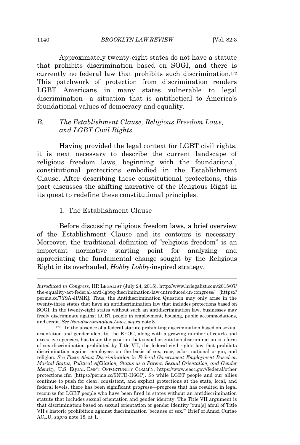Approximately twenty-eight states do not have a statute that prohibits discrimination based on SOGI, and there is currently no federal law that prohibits such discrimination.<sup>172</sup> This patchwork of protection from discrimination renders LGBT Americans in many states vulnerable to legal discrimination—a situation that is antithetical to America's foundational values of democracy and equality.

# *B. The Establishment Clause, Religious Freedom Laws, and LGBT Civil Rights*

Having provided the legal context for LGBT civil rights, it is next necessary to describe the current landscape of religious freedom laws, beginning with the foundational, constitutional protections embodied in the Establishment Clause. After describing these constitutional protections, this part discusses the shifting narrative of the Religious Right in its quest to redefine these constitutional principles.

#### 1. The Establishment Clause

Before discussing religious freedom laws, a brief overview of the Establishment Clause and its contours is necessary. Moreover, the traditional definition of "religious freedom" is an important normative starting point for analyzing and appreciating the fundamental change sought by the Religious Right in its overhauled, *Hobby Lobby*-inspired strategy.

*Introduced in Congress*, HR LEGALIST (July 24, 2015), http://www.hrlegalist.com/2015/07/ the-equality-act-federal-anti-lgbtq-discrimination-law-introduced-in-congress/ [https:// perma.cc/7Y9A-JPMK]. Thus, the Antidiscrimination Question may only arise in the twenty-three states that have an antidiscrimination law that includes protections based on SOGI. In the twenty-eight states without such an antidiscrimination law, businesses may freely discriminate against LGBT people in employment, housing, public accommodations, and credit. *See Non-discrimination Laws*, *supra* note 8.

<sup>172</sup> In the absence of a federal statute prohibiting discrimination based on sexual orientation and gender identity, the EEOC, along with a growing number of courts and executive agencies, has taken the position that sexual orientation discrimination is a form of sex discrimination prohibited by Title VII, the federal civil rights law that prohibits discrimination against employees on the basis of sex, race, color, national origin, and religion. *See Facts About Discrimination in Federal Government Employment Based on Marital Status, Political Affiliation, Status as a Parent, Sexual Orientation, and Gender Identity*, U.S. EQUAL EMP'<sup>T</sup> OPPORTUNITY COMM'N, https://www.eeoc.gov//federal/other protections.cfm [https://perma.cc/5NTD-H6GP]. So while LGBT people and our allies continue to push for clear, consistent, and explicit protections at the state, local, and federal levels, there has been significant progress—progress that has resulted in legal recourse for LGBT people who have been fired in states without an antidiscrimination statute that includes sexual orientation and gender identity. The Title VII argument is that discrimination based on sexual orientation or gender identity "run[s] afoul of Title VII's historic prohibition against discrimination 'because of sex.'" Brief of Amici Curiae ACLU, *supra* note 18, at 1.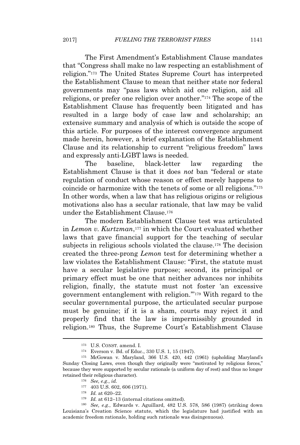The First Amendment's Establishment Clause mandates that "Congress shall make no law respecting an establishment of religion." <sup>173</sup> The United States Supreme Court has interpreted the Establishment Clause to mean that neither state nor federal governments may "pass laws which aid one religion, aid all religions, or prefer one religion over another." <sup>174</sup> The scope of the Establishment Clause has frequently been litigated and has resulted in a large body of case law and scholarship; an extensive summary and analysis of which is outside the scope of this article. For purposes of the interest convergence argument made herein, however, a brief explanation of the Establishment Clause and its relationship to current "religious freedom" laws and expressly anti-LGBT laws is needed.

The baseline, black-letter law regarding the Establishment Clause is that it does *not* ban "federal or state regulation of conduct whose reason or effect merely happens to coincide or harmonize with the tenets of some or all religions." 175 In other words, when a law that has religious origins or religious motivations also has a secular rationale, that law may be valid under the Establishment Clause.<sup>176</sup>

The modern Establishment Clause test was articulated in *Lemon v. Kurtzman*, <sup>177</sup> in which the Court evaluated whether laws that gave financial support for the teaching of secular subjects in religious schools violated the clause.<sup>178</sup> The decision created the three-prong *Lemon* test for determining whether a law violates the Establishment Clause: "First, the statute must have a secular legislative purpose; second, its principal or primary effect must be one that neither advances nor inhibits religion, finally, the statute must not foster 'an excessive government entanglement with religion.'" <sup>179</sup> With regard to the secular governmental purpose, the articulated secular purpose must be genuine; if it is a sham, courts may reject it and properly find that the law is impermissibly grounded in religion.<sup>180</sup> Thus, the Supreme Court's Establishment Clause

<sup>173</sup> U.S. CONST. amend. I.

<sup>174</sup> Everson v. Bd. of Educ., 330 U.S. 1, 15 (1947).

<sup>175</sup> McGowan v. Maryland, 366 U.S. 420, 442 (1961) (upholding Maryland's Sunday Closing Laws, even though they originally were "motivated by religious forces," because they were supported by secular rationale (a uniform day of rest) and thus no longer retained their religious character).

<sup>176</sup> *See, e.g.*, *id.*

<sup>177</sup> 403 U.S. 602, 606 (1971).

<sup>178</sup> *Id.* at 620–22.

<sup>179</sup> *Id.* at 612–13 (internal citations omitted).

<sup>180</sup> *See, e.g.*, Edwards v. Aguillard, 482 U.S. 578, 586 (1987) (striking down Louisiana's Creation Science statute, which the legislature had justified with an academic freedom rationale, holding such rationale was disingenuous).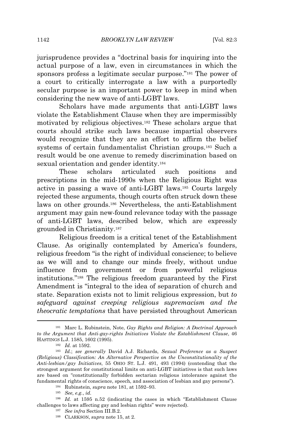jurisprudence provides a "doctrinal basis for inquiring into the actual purpose of a law, even in circumstances in which the sponsors profess a legitimate secular purpose."<sup>181</sup> The power of a court to critically interrogate a law with a purportedly secular purpose is an important power to keep in mind when considering the new wave of anti-LGBT laws.

Scholars have made arguments that anti-LGBT laws violate the Establishment Clause when they are impermissibly motivated by religious objectives.<sup>182</sup> These scholars argue that courts should strike such laws because impartial observers would recognize that they are an effort to affirm the belief systems of certain fundamentalist Christian groups.<sup>183</sup> Such a result would be one avenue to remedy discrimination based on sexual orientation and gender identity.<sup>184</sup>

These scholars articulated such positions and prescriptions in the mid-1990s when the Religious Right was active in passing a wave of anti-LGBT laws.<sup>185</sup> Courts largely rejected these arguments, though courts often struck down these laws on other grounds.<sup>186</sup> Nevertheless, the anti-Establishment argument may gain new-found relevance today with the passage of anti-LGBT laws, described below, which are expressly grounded in Christianity.<sup>187</sup>

Religious freedom is a critical tenet of the Establishment Clause. As originally contemplated by America's founders, religious freedom "is the right of individual conscience; to believe as we will and to change our minds freely, without undue influence from government or from powerful religious institutions."<sup>188</sup> The religious freedom guaranteed by the First Amendment is "integral to the idea of separation of church and state. Separation exists not to limit religious expression, but *to safeguard against creeping religious supremacism and the theocratic temptations* that have persisted throughout American

<sup>181</sup> Marc L. Rubinstein, Note, *Gay Rights and Religion: A Doctrinal Approach to the Argument that Anti-gay-rights Initiatives Violate the Establishment Clause*, 46 HASTINGS L.J. 1585, 1602 (1995).

<sup>182</sup> *Id.* at 1592.

<sup>183</sup> *Id.*; *see generally* David A.J. Richards, *Sexual Preference as a Suspect (Religious) Classification: An Alternative Perspective on the Unconstitutionality of the Anti-lesbian/gay Initiatives*, 55 OHIO ST. L.J. 491, 493 (1994) (contending that the strongest argument for constitutional limits on anti-LGBT initiatives is that such laws are based on "constitutionally forbidden sectarian religious intolerance against the fundamental rights of conscience, speech, and association of lesbian and gay persons").

<sup>184</sup> Rubinstein, *supra* note 181, at 1592–93.

<sup>185</sup> *See, e.g.*, *id.*

<sup>186</sup> *Id.* at 1595 n.52 (indicating the cases in which "Establishment Clause challenges to laws affecting gay and lesbian rights" were rejected).

<sup>187</sup> *See infra* Section III.B.2.

<sup>188</sup> CLARKSON, *supra* note 15, at 2.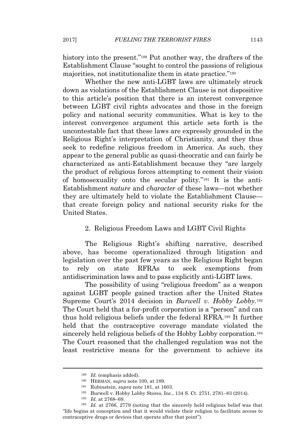history into the present."<sup>189</sup> Put another way, the drafters of the Establishment Clause "sought to control the passions of religious majorities, not institutionalize them in state practice."<sup>190</sup>

Whether the new anti-LGBT laws are ultimately struck down as violations of the Establishment Clause is not dispositive to this article's position that there is an interest convergence between LGBT civil rights advocates and those in the foreign policy and national security communities. What is key to the interest convergence argument this article sets forth is the uncontestable fact that these laws are expressly grounded in the Religious Right's interpretation of Christianity, and they thus seek to redefine religious freedom in America. As such, they appear to the general public as quasi-theocratic and can fairly be characterized as anti-Establishment because they "are largely the product of religious forces attempting to cement their vision of homosexuality onto the secular polity."<sup>191</sup> It is the anti-Establishment *nature* and *character* of these laws—not whether they are ultimately held to violate the Establishment Clause that create foreign policy and national security risks for the United States.

#### 2. Religious Freedom Laws and LGBT Civil Rights

The Religious Right's shifting narrative, described above, has become operationalized through litigation and legislation over the past few years as the Religious Right began to rely on state RFRAs to seek exemptions from antidiscrimination laws and to pass explicitly anti-LGBT laws.

The possibility of using "religious freedom" as a weapon against LGBT people gained traction after the United States Supreme Court's 2014 decision in *Burwell v. Hobby Lobby.*<sup>192</sup> The Court held that a for-profit corporation is a "person" and can thus hold religious beliefs under the federal RFRA.<sup>193</sup> It further held that the contraceptive coverage mandate violated the sincerely held religious beliefs of the Hobby Lobby corporation.<sup>194</sup> The Court reasoned that the challenged regulation was not the least restrictive means for the government to achieve its

<sup>189</sup> *Id.* (emphasis added).

<sup>190</sup> HERMAN, *supra* note 100, at 189.

<sup>191</sup> Rubinstein, *supra* note 181, at 1603.

<sup>192</sup> Burwell v. Hobby Lobby Stores, Inc., 134 S. Ct. 2751, 2781–83 (2014).

<sup>193</sup> *Id.* at 2768–69.

<sup>194</sup> *Id.* at 2766, 2779 (noting that the sincerely held religious belief was that "life begins at conception and that it would violate their religion to facilitate access to contraceptive drugs or devices that operate after that point").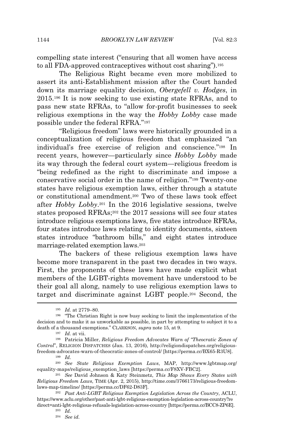compelling state interest ("ensuring that all women have access to all FDA-approved contraceptives without cost sharing").<sup>195</sup>

The Religious Right became even more mobilized to assert its anti-Establishment mission after the Court handed down its marriage equality decision, *Obergefell v. Hodges*, in 2015.<sup>196</sup> It is now seeking to use existing state RFRAs, and to pass new state RFRAs, to "allow for-profit businesses to seek religious exemptions in the way the *Hobby Lobby* case made possible under the federal RFRA."<sup>197</sup>

"Religious freedom" laws were historically grounded in a conceptualization of religious freedom that emphasized "an individual's free exercise of religion and conscience."<sup>198</sup> In recent years, however—particularly since *Hobby Lobby* made its way through the federal court system—religious freedom is "being redefined as the right to discriminate and impose a conservative social order in the name of religion."<sup>199</sup> Twenty-one states have religious exemption laws, either through a statute or constitutional amendment.<sup>200</sup> Two of these laws took effect after *Hobby Lobby*.<sup>201</sup> In the 2016 legislative sessions, twelve states proposed RFRAs;<sup>202</sup> the 2017 sessions will see four states introduce religious exemptions laws, five states introduce RFRAs, four states introduce laws relating to identity documents, sixteen states introduce "bathroom bills," and eight states introduce marriage-related exemption laws.<sup>203</sup>

The backers of these religious exemption laws have become more transparent in the past two decades in two ways. First, the proponents of these laws have made explicit what members of the LGBT-rights movement have understood to be their goal all along, namely to use religious exemption laws to target and discriminate against LGBT people.<sup>204</sup> Second, the

<sup>195</sup> *Id.* at 2779–80.

<sup>196</sup> "The Christian Right is now busy seeking to limit the implementation of the decision and to make it as unworkable as possible, in part by attempting to subject it to a death of a thousand exemptions." CLARKSON, *supra* note 15, at 9.

<sup>197</sup> *Id.* at vii.

<sup>198</sup> Patricia Miller, *Religious Freedom Advocates Warn of "Theocratic Zones of Control*", RELIGION DISPATCHES (Jan. 13, 2016), http://religiondispatches.org/religiousfreedom-advocates-warn-of-theocratic-zones-of-control/ [https://perma.cc/BX65-R3U8].

<sup>199</sup> *Id.*

<sup>200</sup> *See State Religious Exemption Laws*, MAP, http://www.lgbtmap.org/ equality-maps/religious\_exemption\_laws [https://perma.cc/F8XV-FBC2].

<sup>201</sup> *See* David Johnson & Katy Steinmetz, *This Map Shows Every States with Religious Freedom Laws*, TIME (Apr. 2, 2015), http://time.com/3766173/religious-freedomlaws-map-timeline/ [https://perma.cc/DF62-D83F].

<sup>202</sup> *Past Anti-LGBT Religious Exemption Legislation Across the Country*, ACLU, https://www.aclu.org/other/past-anti-lgbt-religious-exemption-legislation-across-country?re direct=anti-lgbt-religious-refusals-legislation-across-country [https://perma.cc/BCC8-ZP6E].

<sup>203</sup> *Id.*

<sup>204</sup> *See id.*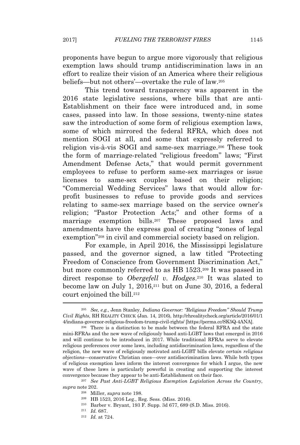proponents have begun to argue more vigorously that religious exemption laws should trump antidiscrimination laws in an effort to realize their vision of an America where their religious beliefs—but not others'—overtake the rule of law.<sup>205</sup>

This trend toward transparency was apparent in the 2016 state legislative sessions, where bills that are anti-Establishment on their face were introduced and, in some cases, passed into law. In those sessions, twenty-nine states saw the introduction of some form of religious exemption laws, some of which mirrored the federal RFRA, which does not mention SOGI at all, and some that expressly referred to religion vis-à-vis SOGI and same-sex marriage.<sup>206</sup> These took the form of marriage-related "religious freedom" laws; "First Amendment Defense Acts," that would permit government employees to refuse to perform same-sex marriages or issue licenses to same-sex couples based on their religion; "Commercial Wedding Services" laws that would allow forprofit businesses to refuse to provide goods and services relating to same-sex marriage based on the service owner's religion; "Pastor Protection Acts;" and other forms of a marriage exemption bills.<sup>207</sup> These proposed laws and amendments have the express goal of creating "zones of legal exemption"<sup>208</sup> in civil and commercial society based on religion.

For example, in April 2016, the Mississippi legislature passed, and the governor signed, a law titled "Protecting Freedom of Conscience from Government Discrimination Act," but more commonly referred to as HB 1523.<sup>209</sup> It was passed in direct response to *Obergefell v. Hodges*. <sup>210</sup> It was slated to become law on July 1, 2016,<sup>211</sup> but on June 30, 2016, a federal court enjoined the bill.<sup>212</sup>

<sup>205</sup> *See, e.g.*, Jenn Stanley, *Indiana Governor: "Religious Freedom" Should Trump Civil Rights*, RH REALITY CHECK (Jan. 14, 2016), http://rhrealitycheck.org/article/2016/01/1 4/indiana-governor-religious-freedom-trump-civil-rights/ [https://perma.cc/SK5Q-4ANA].

<sup>206</sup> There is a distinction to be made between the federal RFRA and the state mini-RFRAs and the new wave of religiously based anti-LGBT laws that emerged in 2016 and will continue to be introduced in 2017. While traditional RFRAs serve to elevate religious preferences over some laws, including antidiscrimination laws, regardless of the religion, the new wave of religiously motivated anti-LGBT bills elevate *certain religious objections*—conservative Christian ones—over antidiscrimination laws. While both types of religious exemption laws inform the interest convergence for which I argue, the new wave of these laws is particularly powerful in creating and supporting the interest convergence because they appear to be anti-Establishment on their face.

<sup>207</sup> *See Past Anti-LGBT Religious Exemption Legislation Across the Country*, *supra* note 202.

<sup>208</sup> Miller, *supra* note 198.

<sup>209</sup> HB 1523, 2016 Leg., Reg. Sess. (Miss. 2016).

<sup>210</sup> Barber v. Bryant, 193 F. Supp. 3d 677, 689 (S.D. Miss. 2016).

<sup>211</sup> *Id.* 687.

<sup>212</sup> *Id.* at 724.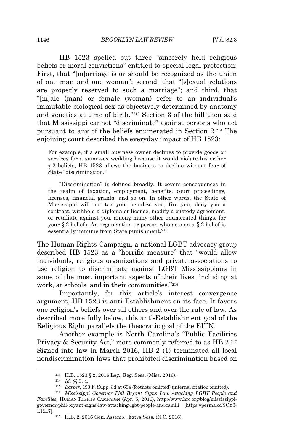HB 1523 spelled out three "sincerely held religious beliefs or moral convictions" entitled to special legal protection: First, that "[m]arriage is or should be recognized as the union of one man and one woman"; second, that "[s]exual relations are properly reserved to such a marriage"; and third, that "[m]ale (man) or female (woman) refer to an individual's immutable biological sex as objectively determined by anatomy and genetics at time of birth."<sup>213</sup> Section 3 of the bill then said that Mississippi cannot "discriminate" against persons who act pursuant to any of the beliefs enumerated in Section 2.<sup>214</sup> The enjoining court described the everyday impact of HB 1523:

For example, if a small business owner declines to provide goods or services for a same-sex wedding because it would violate his or her § 2 beliefs, HB 1523 allows the business to decline without fear of State "discrimination."

"Discrimination" is defined broadly. It covers consequences in the realm of taxation, employment, benefits, court proceedings, licenses, financial grants, and so on. In other words, the State of Mississippi will not tax you, penalize you, fire you, deny you a contract, withhold a diploma or license, modify a custody agreement, or retaliate against you, among many other enumerated things, for your § 2 beliefs. An organization or person who acts on a § 2 belief is essentially immune from State punishment.<sup>215</sup>

The Human Rights Campaign, a national LGBT advocacy group described HB 1523 as a "horrific measure" that "would allow individuals, religious organizations and private associations to use religion to discriminate against LGBT Mississippians in some of the most important aspects of their lives, including at work, at schools, and in their communities."<sup>216</sup>

Importantly, for this article's interest convergence argument, HB 1523 is anti-Establishment on its face. It favors one religion's beliefs over all others and over the rule of law. As described more fully below, this anti-Establishment goal of the Religious Right parallels the theocratic goal of the EITN.

Another example is North Carolina's "Public Facilities Privacy & Security Act," more commonly referred to as HB 2.217 Signed into law in March 2016, HB 2 (1) terminated all local nondiscrimination laws that prohibited discrimination based on

<sup>213</sup> H.B. 1523 § 2, 2016 Leg., Reg. Sess. (Miss. 2016).

<sup>214</sup> *Id.* §§ 3, 4.

<sup>215</sup> *Barber*, 193 F. Supp. 3d at 694 (footnote omitted) (internal citation omitted).

<sup>216</sup> *Mississippi Governor Phil Bryant Signs Law Attacking LGBT People and Families*, HUMAN RIGHTS CAMPAIGN (Apr. 5, 2016), http://www.hrc.org/blog/mississippigovernor-phil-bryant-signs-law-attacking-lgbt-people-and-famili [https://perma.cc/SCY3- ERH7].

<sup>217</sup> H.B. 2, 2016 Gen. Assemb., Extra Sess. (N.C. 2016).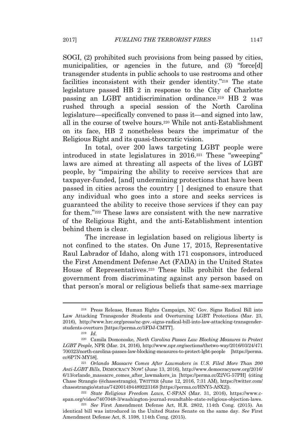SOGI, (2) prohibited such provisions from being passed by cities, municipalities, or agencies in the future, and (3) "force[d] transgender students in public schools to use restrooms and other facilities inconsistent with their gender identity."<sup>218</sup> The state legislature passed HB 2 in response to the City of Charlotte passing an LGBT antidiscrimination ordinance.<sup>219</sup> HB 2 was rushed through a special session of the North Carolina legislature—specifically convened to pass it—and signed into law, all in the course of twelve hours.<sup>220</sup> While not anti-Establishment on its face, HB 2 nonetheless bears the imprimatur of the Religious Right and its quasi-theocratic vision.

In total, over 200 laws targeting LGBT people were introduced in state legislatures in 2016.<sup>221</sup> These "sweeping" laws are aimed at threating all aspects of the lives of LGBT people, by "impairing the ability to receive services that are taxpayer-funded, [and] undermining protections that have been passed in cities across the country [ ] designed to ensure that any individual who goes into a store and seeks services is guaranteed the ability to receive those services if they can pay for them."<sup>222</sup> These laws are consistent with the new narrative of the Religious Right, and the anti-Establishment intention behind them is clear.

The increase in legislation based on religious liberty is not confined to the states. On June 17, 2015, Representative Raul Labrador of Idaho, along with 171 cosponsors, introduced the First Amendment Defense Act (FADA) in the United States House of Representatives.<sup>223</sup> These bills prohibit the federal government from discriminating against any person based on that person's moral or religious beliefs that same-sex marriage

<sup>218</sup> Press Release, Human Rights Campaign, NC Gov. Signs Radical Bill into Law Attacking Transgender Students and Overturning LGBT Protections (Mar. 23, 2016), http://www.hrc.org/press/nc-gov.-signs-radical-bill-into-law-attacking-transgenderstudents-overturn [https://perma.cc/5FDJ-CMTT].

<sup>219</sup> *Id.*

<sup>220</sup> Camila Domonoske, *North Carolina Passes Law Blocking Measures to Protect LGBT People*, NPR (Mar. 24, 2016), http://www.npr.org/sections/thetwo-way/2016/03/24/471 700323/north-carolina-passes-law-blocking-measures-to-protect-lgbt-people [https://perma. cc/6P7N-MY58].

<sup>221</sup> *Orlando Massacre Comes After Lawmakers in U.S. Filed More Than 200 Anti-LGBT Bills*, DEMOCRACY NOW! (June 13, 2016), http://www.democracynow.org/2016/ 6/13/orlando\_massacre\_comes\_after\_lawmakers\_in [https://perma.cc/Z2VG-57PH] (citing Chase Strangio (@chasestrangio), TWITTER (June 12, 2016, 7:31 AM), https://twitter.com/ chasestrangio/status/742001494489223168 [https://perma.cc/HNY5-ASX2]).

<sup>222</sup> *State Religious Freedom Laws*, C-SPAN (Mar. 31, 2016), https://www.cspan.org/video/?407048-3/washington-journal-roundtable-state-religious-objection-laws.

<sup>223</sup> *See* First Amendment Defense Act, H.R. 2802, 114th Cong. (2015). An identical bill was introduced in the United States Senate on the same day. *See* First Amendment Defense Act, S. 1598, 114th Cong. (2015).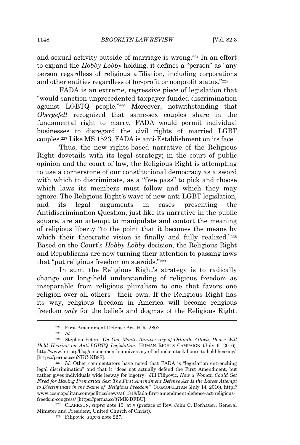and sexual activity outside of marriage is wrong.<sup>224</sup> In an effort to expand the *Hobby Lobby* holding, it defines a "person" as "any person regardless of religious affiliation, including corporations and other entities regardless of for-profit or nonprofit status."<sup>225</sup>

FADA is an extreme, regressive piece of legislation that "would sanction unprecedented taxpayer-funded discrimination against LGBTQ people."<sup>226</sup> Moreover, notwithstanding that *Obergefell* recognized that same-sex couples share in the fundamental right to marry, FADA would permit individual businesses to disregard the civil rights of married LGBT couples.<sup>227</sup> Like MS 1523, FADA is anti-Establishment on its face.

Thus, the new rights-based narrative of the Religious Right dovetails with its legal strategy; in the court of public opinion and the court of law, the Religious Right is attempting to use a cornerstone of our constitutional democracy as a sword with which to discriminate, as a "free pass" to pick and choose which laws its members must follow and which they may ignore. The Religious Right's wave of new anti-LGBT legislation, and its legal arguments in cases presenting the Antidiscrimination Question, just like its narrative in the public square, are an attempt to manipulate and contort the meaning of religious liberty "to the point that it becomes the means by which their theocratic vision is finally and fully realized."228 Based on the Court's *Hobby Lobby* decision, the Religious Right and Republicans are now turning their attention to passing laws that "put religious freedom on steroids."<sup>229</sup>

In sum, the Religious Right's strategy is to radically change our long-held understanding of religious freedom as inseparable from religious pluralism to one that favors one religion over all others—their own. If the Religious Right has its way, religious freedom in America will become religious freedom *only* for the beliefs and dogmas of the Religious Right;

<sup>224</sup> First Amendment Defense Act, H.R. 2802.

<sup>225</sup> *Id.*

<sup>226</sup> Stephen Peters, *On One Month Anniversary of Orlando Attack, House Will Hold Hearing on Anti-LGBTQ Legislation*, HUMAN RIGHTS CAMPAIGN (July 6, 2016), http://www.hrc.org/blog/on-one-month-anniversary-of-orlando-attack-house-to-hold-hearing/ [https://perma.cc/6NKC-NB8S].

<sup>227</sup> *Id.* Other commentators have noted that FADA is "legislation entrenching legal discrimination" and that it "does not actually defend the First Amendment, but rather gives individuals wide leeway for bigotry." Jill Filipovic, *How a Woman Could Get Fired for Having Premarital Sex: The First Amendment Defense Act Is the Latest Attempt to Discriminate in the Name of "Religious Freedom"*, COSMOPOLITAN (July 14, 2016), http:// www.cosmopolitan.com/politics/news/a61318/fada-first-amendment-defense-act-religiousfreedom-congress/ [https://perma.cc/87MK-DFBU].

<sup>228</sup> CLARKSON, *supra* note 15, at v (preface of Rev. John C. Dorhauer, General Minister and President, United Church of Christ).

<sup>229</sup> Filipovic, *supra* note 227.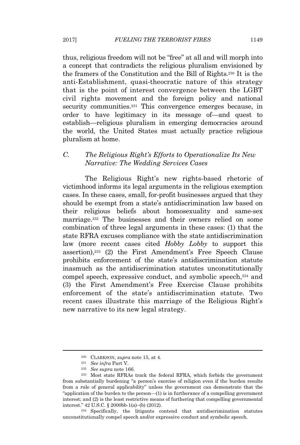thus, religious freedom will not be "free" at all and will morph into a concept that contradicts the religious pluralism envisioned by the framers of the Constitution and the Bill of Rights.<sup>230</sup> It is the anti-Establishment, quasi-theocratic nature of this strategy that is the point of interest convergence between the LGBT civil rights movement and the foreign policy and national security communities.<sup>231</sup> This convergence emerges because, in order to have legitimacy in its message of—and quest to establish—religious pluralism in emerging democracies around the world, the United States must actually practice religious pluralism at home.

## *C. The Religious Right's Efforts to Operationalize Its New Narrative: The Wedding Services Cases*

The Religious Right's new rights-based rhetoric of victimhood informs its legal arguments in the religious exemption cases. In these cases, small, for-profit businesses argued that they should be exempt from a state's antidiscrimination law based on their religious beliefs about homosexuality and same-sex marriage.<sup>232</sup> The businesses and their owners relied on some combination of three legal arguments in these cases: (1) that the state RFRA excuses compliance with the state antidiscrimination law (more recent cases cited *Hobby Lobby* to support this assertion),<sup>233</sup> (2) the First Amendment's Free Speech Clause prohibits enforcement of the state's antidiscrimination statute inasmuch as the antidiscrimination statutes unconstitutionally compel speech, expressive conduct, and symbolic speech,<sup>234</sup> and (3) the First Amendment's Free Exercise Clause prohibits enforcement of the state's antidiscrimination statute. Two recent cases illustrate this marriage of the Religious Right's new narrative to its new legal strategy.

<sup>230</sup> CLARKSON, *supra* note 15, at 4.

<sup>231</sup> *See infra* Part V.

<sup>232</sup> *See supra* note 166.

<sup>233</sup> Most state RFRAs track the federal RFRA, which forbids the government from substantially burdening "a person's exercise of religion even if the burden results from a rule of general applicability" unless the government can demonstrate that the "application of the burden to the person—(1) is in furtherance of a compelling government interest; and (2) is the least restrictive means of furthering that compelling governmental interest." 42 U.S.C. § 2000bb-1(a)–(b) (2012).

<sup>234</sup> Specifically, the litigants contend that antidiscrimination statutes unconstitutionally compel speech and/or expressive conduct and symbolic speech.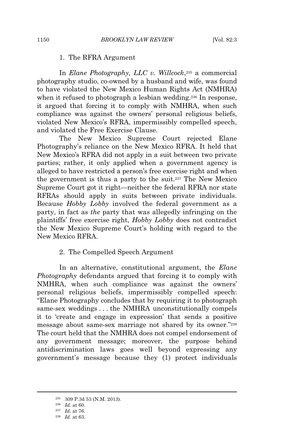#### 1. The RFRA Argument

In *Elane Photography, LLC v. Willcock*, <sup>235</sup> a commercial photography studio, co-owned by a husband and wife, was found to have violated the New Mexico Human Rights Act (NMHRA) when it refused to photograph a lesbian wedding.<sup>236</sup> In response, it argued that forcing it to comply with NMHRA, when such compliance was against the owners' personal religious beliefs, violated New Mexico's RFRA, impermissibly compelled speech, and violated the Free Exercise Clause.

The New Mexico Supreme Court rejected Elane Photography's reliance on the New Mexico RFRA. It held that New Mexico's RFRA did not apply in a suit between two private parties; rather, it only applied when a government agency is alleged to have restricted a person's free exercise right and when the government is thus a party to the suit.<sup>237</sup> The New Mexico Supreme Court got it right—neither the federal RFRA nor state RFRAs should apply in suits between private individuals. Because *Hobby Lobby* involved the federal government as a party, in fact as *the* party that was allegedly infringing on the plaintiffs' free exercise right, *Hobby Lobby* does not contradict the New Mexico Supreme Court's holding with regard to the New Mexico RFRA.

#### 2. The Compelled Speech Argument

In an alternative, constitutional argument, the *Elane Photography* defendants argued that forcing it to comply with NMHRA, when such compliance was against the owners' personal religious beliefs, impermissibly compelled speech: "Elane Photography concludes that by requiring it to photograph same-sex weddings . . . the NMHRA unconstitutionally compels it to 'create and engage in expression' that sends a positive message about same-sex marriage not shared by its owner."<sup>238</sup> The court held that the NMHRA does not compel endorsement of any government message; moreover, the purpose behind antidiscrimination laws goes well beyond expressing any government's message because they (1) protect individuals

<sup>235</sup> 309 P.3d 53 (N.M. 2013).

<sup>236</sup> *Id.* at 60.

<sup>237</sup> *Id.* at 76.

<sup>238</sup> *Id.* at 63.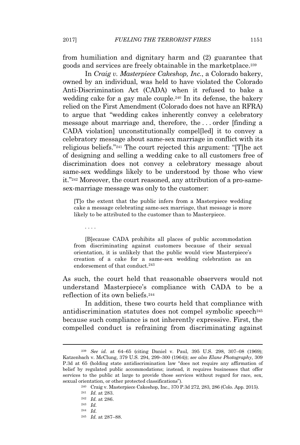from humiliation and dignitary harm and (2) guarantee that goods and services are freely obtainable in the marketplace.<sup>239</sup>

In *Craig v. Masterpiece Cakeshop, Inc.*, a Colorado bakery, owned by an individual, was held to have violated the Colorado Anti-Discrimination Act (CADA) when it refused to bake a wedding cake for a gay male couple.<sup>240</sup> In its defense, the bakery relied on the First Amendment (Colorado does not have an RFRA) to argue that "wedding cakes inherently convey a celebratory message about marriage and, therefore, the . . . order [finding a CADA violation unconstitutionally compelled it to convey a celebratory message about same-sex marriage in conflict with its religious beliefs."<sup>241</sup> The court rejected this argument: "[T]he act of designing and selling a wedding cake to all customers free of discrimination does not convey a celebratory message about same-sex weddings likely to be understood by those who view it."<sup>242</sup> Moreover, the court reasoned, any attribution of a pro-samesex-marriage message was only to the customer:

[T]o the extent that the public infers from a Masterpiece wedding cake a message celebrating same-sex marriage, that message is more likely to be attributed to the customer than to Masterpiece.

. . . .

[B]ecause CADA prohibits all places of public accommodation from discriminating against customers because of their sexual orientation, it is unlikely that the public would view Masterpiece's creation of a cake for a same-sex wedding celebration as an endorsement of that conduct.<sup>243</sup>

As such, the court held that reasonable observers would not understand Masterpiece's compliance with CADA to be a reflection of its own beliefs.<sup>244</sup>

In addition, these two courts held that compliance with antidiscrimination statutes does not compel symbolic speech<sup>245</sup> because such compliance is not inherently expressive. First, the compelled conduct is refraining from discriminating against

<sup>239</sup> *See id.* at 64–65 (citing Daniel v. Paul, 395 U.S. 298, 307–08 (1969); Katzenbach v. McClung, 379 U.S. 294, 299–300 (1964)); *see also Elane Photography*, 309 P.3d at 65 (holding state antidiscrimination law "does not require any affirmation of belief by regulated public accommodations; instead, it requires businesses that offer services to the public at large to provide those services without regard for race, sex, sexual orientation, or other protected classifications").

<sup>240</sup> Craig v. Masterpiece Cakeshop, Inc., 370 P.3d 272, 283, 286 (Colo. App. 2015).

<sup>241</sup> *Id.* at 283.

<sup>242</sup> *Id.* at 286.

<sup>243</sup> *Id.*

<sup>244</sup> *Id.*

<sup>245</sup> *Id.* at 287–88.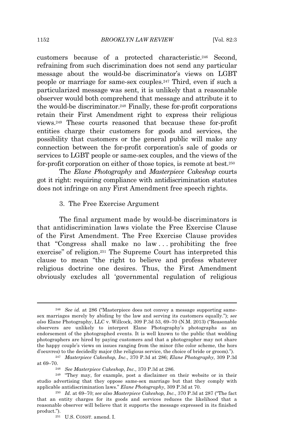customers because of a protected characteristic.<sup>246</sup> Second, refraining from such discrimination does not send any particular message about the would-be discriminator's views on LGBT people or marriage for same-sex couples.<sup>247</sup> Third, even if such a particularized message was sent, it is unlikely that a reasonable observer would both comprehend that message and attribute it to the would-be discriminator.<sup>248</sup> Finally, these for-profit corporations retain their First Amendment right to express their religious views.<sup>249</sup> These courts reasoned that because these for-profit entities charge their customers for goods and services, the possibility that customers or the general public will make any connection between the for-profit corporation's sale of goods or services to LGBT people or same-sex couples, and the views of the for-profit corporation on either of those topics, is remote at best.<sup>250</sup>

The *Elane Photography* and *Masterpiece Cakeshop* courts got it right: requiring compliance with antidiscrimination statutes does not infringe on any First Amendment free speech rights.

#### 3. The Free Exercise Argument

The final argument made by would-be discriminators is that antidiscrimination laws violate the Free Exercise Clause of the First Amendment. The Free Exercise Clause provides that "Congress shall make no law . . . prohibiting the free exercise" of religion.<sup>251</sup> The Supreme Court has interpreted this clause to mean "the right to believe and profess whatever religious doctrine one desires. Thus, the First Amendment obviously excludes all 'governmental regulation of religious

<sup>246</sup> *See id.* at 286 ("Masterpiece does not convey a message supporting samesex marriages merely by abiding by the law and serving its customers equally."); *see also* Elane Photography, LLC v. Willcock, 309 P.3d 53, 69–70 (N.M. 2013) ("Reasonable observers are unlikely to interpret Elane Photography's photographs as an endorsement of the photographed events. It is well known to the public that wedding photographers are hired by paying customers and that a photographer may not share the happy couple's views on issues ranging from the minor (the color scheme, the hors d'oeuvres) to the decidedly major (the religious service, the choice of bride or groom).").

<sup>247</sup> *Masterpiece Cakeshop, Inc*., 370 P.3d at 286; *Elane Photography*, 309 P.3d at 69–70.

<sup>248</sup> *See Masterpiece Cakeshop, Inc.*, 370 P.3d at 286.

<sup>249</sup> "They may, for example, post a disclaimer on their website or in their studio advertising that they oppose same-sex marriage but that they comply with applicable antidiscrimination laws." *Elane Photography*, 309 P.3d at 70.

<sup>250</sup> *Id.* at 69–70; *see also Masterpiece Cakeshop, Inc.*, 370 P.3d at 287 ("The fact that an entity charges for its goods and services reduces the likelihood that a reasonable observer will believe that it supports the message expressed in its finished product.").

<sup>251</sup> U.S. CONST. amend. I.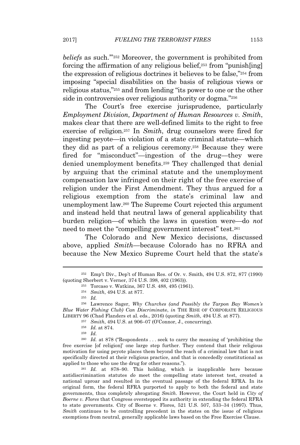beliefs as such.<sup>"'252</sup> Moreover, the government is prohibited from forcing the affirmation of any religious belief,<sup>253</sup> from "punish[ing] the expression of religious doctrines it believes to be false,"<sup>254</sup> from imposing "special disabilities on the basis of religious views or religious status,"<sup>255</sup> and from lending "its power to one or the other side in controversies over religious authority or dogma."<sup>256</sup>

The Court's free exercise jurisprudence, particularly *Employment Division, Department of Human Resources v. Smith*, makes clear that there are well-defined limits to the right to free exercise of religion.<sup>257</sup> In *Smith*, drug counselors were fired for ingesting peyote—in violation of a state criminal statute—which they did as part of a religious ceremony.<sup>258</sup> Because they were fired for "misconduct"—ingestion of the drug—they were denied unemployment benefits.<sup>259</sup> They challenged that denial by arguing that the criminal statute and the unemployment compensation law infringed on their right of the free exercise of religion under the First Amendment. They thus argued for a religious exemption from the state's criminal law and unemployment law.<sup>260</sup> The Supreme Court rejected this argument and instead held that neutral laws of general applicability that burden religion—of which the laws in question were—do *not* need to meet the "compelling government interest" test.<sup>261</sup>

The Colorado and New Mexico decisions, discussed above, applied *Smith*—because Colorado has no RFRA and because the New Mexico Supreme Court held that the state's

<sup>257</sup> *Smith*, 494 U.S. at 906–07 (O'Connor, J., concurring).

<sup>260</sup> *Id.* at 878 ("Respondents . . . seek to carry the meaning of 'prohibiting the free exercise [of religion]' one large step further. They contend that their religious motivation for using peyote places them beyond the reach of a criminal law that is not specifically directed at their religious practice, and that is concededly constitutional as applied to those who use the drug for other reasons.").

<sup>261</sup> *Id.* at 878–90. This holding, which is inapplicable here because antidiscrimination statutes *do* meet the compelling state interest test, created a national uproar and resulted in the eventual passage of the federal RFRA. In its original form, the federal RFRA purported to apply to both the federal and state governments, thus completely abrogating *Smith*. However, the Court held in *City of Boerne v. Flores* that Congress overstepped its authority in extending the federal RFRA to state governments. City of Boerne v. Flores, 521 U.S. 507, 533–34 (1997). Thus, *Smith* continues to be controlling precedent in the states on the issue of religious exemptions from neutral, generally applicable laws based on the Free Exercise Clause.

<sup>252</sup> Emp't Div., Dep't of Human Res. of Or. v. Smith, 494 U.S. 872, 877 (1990) (quoting Sherbert v. Verner, 374 U.S. 398, 402 (1963)).

<sup>253</sup> Torcaso v. Watkins, 367 U.S. 488, 495 (1961).

<sup>254</sup> *Smith*, 494 U.S. at 877.

<sup>255</sup> *Id.*

<sup>256</sup> Lawrence Sager, *Why Churches (and Possibly the Tarpon Bay Women's Blue Water Fishing Club) Can Discrimina*te, *in* THE RISE OF CORPORATE RELIGIOUS LIBERTY 96 (Chad Flanders et al. eds., 2016) (quoting *Smith*, 494 U.S. at 877).

<sup>258</sup> *Id.* at 874.

<sup>259</sup> *Id.*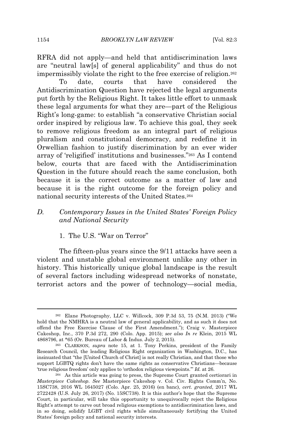RFRA did not apply—and held that antidiscrimination laws are "neutral law[s] of general applicability" and thus do not impermissibly violate the right to the free exercise of religion.<sup>262</sup>

To date, courts that have considered the Antidiscrimination Question have rejected the legal arguments put forth by the Religious Right. It takes little effort to unmask these legal arguments for what they are—part of the Religious Right's long-game: to establish "a conservative Christian social order inspired by religious law. To achieve this goal, they seek to remove religious freedom as an integral part of religious pluralism and constitutional democracy, and redefine it in Orwellian fashion to justify discrimination by an ever wider array of 'religified' institutions and businesses."<sup>263</sup> As I contend below, courts that are faced with the Antidiscrimination Question in the future should reach the same conclusion, both because it is the correct outcome as a matter of law and because it is the right outcome for the foreign policy and national security interests of the United States.<sup>264</sup>

## *D. Contemporary Issues in the United States' Foreign Policy and National Security*

1. The U.S. "War on Terror"

The fifteen-plus years since the 9/11 attacks have seen a violent and unstable global environment unlike any other in history. This historically unique global landscape is the result of several factors including widespread networks of nonstate, terrorist actors and the power of technology—social media,

<sup>262</sup> Elane Photography, LLC v. Willcock, 309 P.3d 53, 75 (N.M. 2013) ("We hold that the NMHRA is a neutral law of general applicability, and as such it does not offend the Free Exercise Clause of the First Amendment."); Craig v. Masterpiece Cakeshop, Inc., 370 P.3d 272, 290 (Colo. App. 2015); *see also In re* Klein, 2015 WL 4868796, at \*65 (Or. Bureau of Labor & Indus. July 2, 2015).

<sup>263</sup> CLARKSON, *supra* note 15, at 1. Tony Perkins, president of the Family Research Council, the leading Religious Right organization in Washington, D.C., has insinuated that "the [United Church of Christ] is not really Christian, and that those who support LGBTQ rights don't have the same rights as conservative Christians—because 'true religious freedom' only applies to 'orthodox religious viewpoints.'" *Id.* at 26.

<sup>264</sup> As this article was going to press, the Supreme Court granted certiorari in *Masterpiece Cakeshop*. *See* Masterpiece Cakeshop v. Col. Civ. Rights Comm'n, No. 15SC738, 2016 WL 1645027 (Colo. Apr. 25, 2016) (en banc), *cert. granted*, 2017 WL 2722428 (U.S. July 26, 2017) (No. 15SC738). It is this author's hope that the Supreme Court, in particular, will take this opportunity to unequivocally reject the Religious Right's attempt to carve out broad religious exemptions to antidiscrimination laws, and in so doing, solidify LGBT civil rights while simultaneously fortifying the United States' foreign policy and national security interests.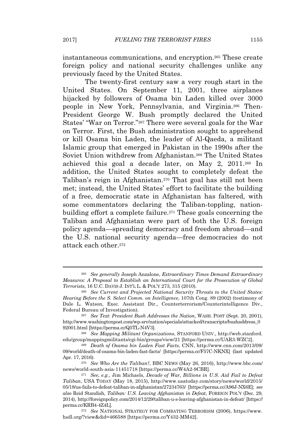instantaneous communications, and encryption.<sup>265</sup> These create foreign policy and national security challenges unlike any previously faced by the United States.

The twenty-first century saw a very rough start in the United States. On September 11, 2001, three airplanes hijacked by followers of Osama bin Laden killed over 3000 people in New York, Pennsylvania, and Virginia.<sup>266</sup> Then-President George W. Bush promptly declared the United States' "War on Terror."<sup>267</sup> There were several goals for the War on Terror. First, the Bush administration sought to apprehend or kill Osama bin Laden, the leader of Al-Qaeda, a militant Islamic group that emerged in Pakistan in the 1990s after the Soviet Union withdrew from Afghanistan.<sup>268</sup> The United States achieved this goal a decade later, on May 2, 2011.<sup>269</sup> In addition, the United States sought to completely defeat the Taliban's reign in Afghanistan.<sup>270</sup> That goal has still not been met; instead, the United States' effort to facilitate the building of a free, democratic state in Afghanistan has faltered, with some commentators declaring the Taliban-toppling, nationbuilding effort a complete failure.<sup>271</sup> These goals concerning the Taliban and Afghanistan were part of both the U.S. foreign policy agenda—spreading democracy and freedom abroad—and the U.S. national security agenda—free democracies do not attack each other.<sup>272</sup>

<sup>265</sup> *See generally* Joseph Anzalone, *Extraordinary Times Demand Extraordinary Measures: A Proposal to Establish an International Court for the Prosecution of Global Terrorists*, 16 U.C. DAVIS J. INT'<sup>L</sup> L. & POL'<sup>Y</sup> 273, 315 (2010).

<sup>266</sup> *See Current and Projected National Security Threats to the United States: Hearing Before the S. Select Comm. on Intelligence*, 107th Cong. 89 (2002) (testimony of Dale L. Watson, Exec. Assistant Dir., Counterterrorism/Counterintelligence Div., Federal Bureau of Investigation).

<sup>267</sup> *See Text: President Bush Addresses the Nation*, WASH. POST (Sept. 20, 2001), http://www.washingtonpost.com/wp-srv/nation/specials/attacked/transcripts/bushaddress\_0 92001.html [https://perma.cc/Q5TL-N4V3].

<sup>268</sup> *See Mapping Militant Organizations*, STANFORD UNIV., http://web.stanford. edu/group/mappingmilitants/cgi-bin/groups/view/21 [https://perma.cc/UAR3-WZC2].

<sup>269</sup> *Death of Osama bin Laden Fast Facts*, CNN, http://www.cnn.com/2013/09/ 09/world/death-of-osama-bin-laden-fast-facts/ [https://perma.cc/F57C-NKNX] (last updated Apr. 17, 2016).

<sup>270</sup> *See Who Are the Taliban?*, BBC NEWS (May 26, 2016), http://www.bbc.com/ news/world-south-asia-11451718 [https://perma.cc/W4A2-9CBR].

<sup>271</sup> *See, e.g.*, Jim Michaels, *Decade of War, Billions in U.S. Aid Fail to Defeat Taliban*, USA TODAY (May 18, 2015), http://www.usatoday.com/story/news/world/2015/ 05/18/us-fails-to-defeat-taliban-in-afghanistan/27234763/ [https://perma.cc/A96J-NX6E]; *see also* Reid Standish, *Taliban: U.S. Leaving Afghanistan in Defeat*, FOREIGN POL'<sup>Y</sup> (Dec. 29, 2014), http://foreignpolicy.com/2014/12/29/taliban-u-s-leaving-afghanistan-in-defeat/ [https:// perma.cc/KRB4-4Z4L].

<sup>272</sup> *See* NATIONAL STRATEGY FOR COMBATING TERRORISM (2006), https://www. hsdl.org/?view&did=466588 [https://perma.cc/Y432-MM42].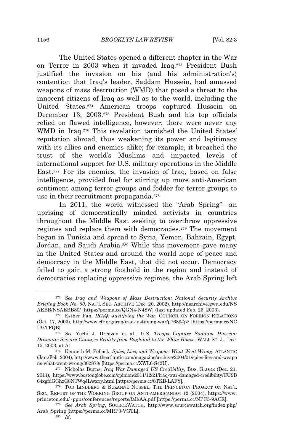The United States opened a different chapter in the War on Terror in 2003 when it invaded Iraq.<sup>273</sup> President Bush justified the invasion on his (and his administration's) contention that Iraq's leader, Saddam Hussein, had amassed weapons of mass destruction (WMD) that posed a threat to the innocent citizens of Iraq as well as to the world, including the United States.<sup>274</sup> American troops captured Hussein on December 13, 2003.<sup>275</sup> President Bush and his top officials relied on flawed intelligence, however; there were never any WMD in Iraq.<sup>276</sup> This revelation tarnished the United States' reputation abroad, thus weakening its power and legitimacy with its allies and enemies alike; for example, it breached the trust of the world's Muslims and impacted levels of international support for U.S. military operations in the Middle East.<sup>277</sup> For its enemies, the invasion of Iraq, based on false intelligence, provided fuel for stirring up more anti-American sentiment among terror groups and fodder for terror groups to use in their recruitment propaganda.<sup>278</sup>

In 2011, the world witnessed the "Arab Spring"—an uprising of democratically minded activists in countries throughout the Middle East seeking to overthrow oppressive regimes and replace them with democracies.<sup>279</sup> The movement began in Tunisia and spread to Syria, Yemen, Bahrain, Egypt, Jordan, and Saudi Arabia.<sup>280</sup> While this movement gave many in the United States and around the world hope of peace and democracy in the Middle East, that did not occur. Democracy failed to gain a strong foothold in the region and instead of democracies replacing oppressive regimes, the Arab Spring left

<sup>273</sup> *See Iraq and Weapons of Mass Destruction: National Security Archive Briefing Book No. 80*, NAT'<sup>L</sup> SEC. ARCHIVE (Dec. 20, 2002), http://nsarchive.gwu.edu/NS AEBB/NSAEBB80/ [https://perma.cc/QGN4-N48W] (last updated Feb. 26, 2003).

<sup>274</sup> Esther Pan, *IRAQ: Justifying the War*, COUNCIL ON FOREIGN RELATIONS (Oct. 17, 2003), http://www.cfr.org/iraq/iraq-justifying-war/p7689#p2 [https://perma.cc/NC U9-TFQB].

<sup>275</sup> *See* Yochi J. Dreazen et al., *U.S. Troops Capture Saddam Hussein: Dramatic Seizure Changes Reality from Baghdad to the White House*, WALL ST. J., Dec. 15, 2003, at A1.

<sup>276</sup> Kenneth M. Pollack, *Spies, Lies, and Weapons: What Went Wrong*, ATLANTIC (Jan./Feb. 2004), http://www.theatlantic.com/magazine/archive/2004/01/spies-lies-and-weapo ns-what-went-wrong/302878/ [https://perma.cc/XWL6-S42U].

<sup>277</sup> Nicholas Burns, *Iraq War Damaged US Credibility*, BOS. GLOBE (Dec. 21, 2011), https://www.bostonglobe.com/opinion/2011/12/21/iraq-war-damaged-credibility/CU9B 64xgfdGGhzG8NTWqJL/story.html [https://perma.cc/8TKB-LAFY].

<sup>278</sup> TOD LINDBERG & SUZANNE NOSSEL, THE PRINCETON PROJECT ON NAT'L SEC., REPORT OF THE WORKING GROUP ON ANTI-AMERICANISM 12 (2004), https://www. princeton.edu/~ppns/conferences/reports/fall/AA.pdf [https://perma.cc/NPC5-9ACR].

<sup>279</sup> *See Arab Spring*, SOURCEWATCH, http://www.sourcewatch.org/index.php/ Arab\_Spring [https://perma.cc/MRP3-VGTL].

<sup>280</sup> *Id.*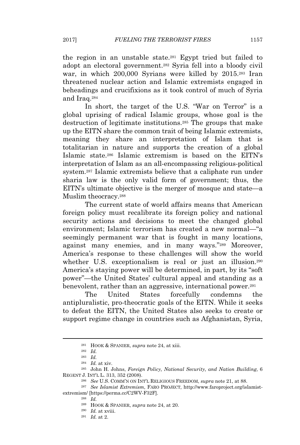the region in an unstable state.<sup>281</sup> Egypt tried but failed to adopt an electoral government.<sup>282</sup> Syria fell into a bloody civil war, in which 200,000 Syrians were killed by 2015.<sup>283</sup> Iran threatened nuclear action and Islamic extremists engaged in beheadings and crucifixions as it took control of much of Syria

and Iraq.<sup>284</sup> In short, the target of the U.S. "War on Terror" is a global uprising of radical Islamic groups, whose goal is the destruction of legitimate institutions.<sup>285</sup> The groups that make up the EITN share the common trait of being Islamic extremists, meaning they share an interpretation of Islam that is totalitarian in nature and supports the creation of a global Islamic state.<sup>286</sup> Islamic extremism is based on the EITN's interpretation of Islam as an all-encompassing religious-political system.<sup>287</sup> Islamic extremists believe that a caliphate run under sharia law is the only valid form of government; thus, the EITN's ultimate objective is the merger of mosque and state—a Muslim theocracy.<sup>288</sup>

The current state of world affairs means that American foreign policy must recalibrate its foreign policy and national security actions and decisions to meet the changed global environment; Islamic terrorism has created a new normal—"a seemingly permanent war that is fought in many locations, against many enemies, and in many ways."<sup>289</sup> Moreover, America's response to these challenges will show the world whether U.S. exceptionalism is real or just an illusion.<sup>290</sup> America's staying power will be determined, in part, by its "soft power"—the United States' cultural appeal and standing as a benevolent, rather than an aggressive, international power.<sup>291</sup>

The United States forcefully condemns the antipluralistic, pro-theocratic goals of the EITN. While it seeks to defeat the EITN, the United States also seeks to create or support regime change in countries such as Afghanistan, Syria,

<sup>291</sup> *Id.* at 2.

<sup>281</sup> HOOK & SPANIER, *supra* note 24, at xiii.

<sup>282</sup> *Id.*

<sup>283</sup> *Id.*

<sup>284</sup> *Id.* at xiv.

<sup>285</sup> John H. Johns, *Foreign Policy, National Security, and Nation Building*, 6 REGENT J. INT'L L. 313, 352 (2008).

<sup>286</sup> *See* U.S. COMM'N ON INT'<sup>L</sup> RELIGIOUS FREEDOM, *supra* note 21, at 88.

<sup>287</sup> *See Islamist Extremism*, FARO PROJECT, http://www.faroproject.org/islamistextremism/ [https://perma.cc/C2WV-F32F].

<sup>288</sup> *Id.*

<sup>289</sup> HOOK & SPANIER, *supra* note 24, at 20.

<sup>290</sup> *Id.* at xviii.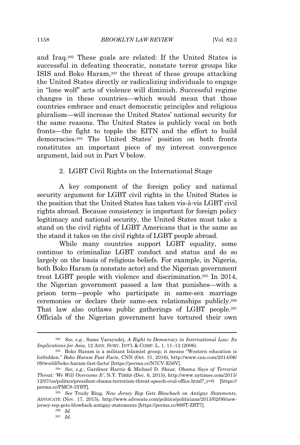and Iraq.<sup>292</sup> These goals are related: If the United States is successful in defeating theocratic, nonstate terror groups like ISIS and Boko Haram,<sup>293</sup> the threat of these groups attacking the United States directly or radicalizing individuals to engage in "lone wolf" acts of violence will diminish. Successful regime changes in these countries—which would mean that those countries embrace and enact democratic principles and religious pluralism—will increase the United States' national security for the same reasons. The United States is publicly vocal on both fronts—the fight to topple the EITN and the effort to build democracies.<sup>294</sup> The United States' position on both fronts constitutes an important piece of my interest convergence argument, laid out in Part V below.

#### 2. LGBT Civil Rights on the International Stage

A key component of the foreign policy and national security argument for LGBT civil rights in the United States is the position that the United States has taken vis-à-vis LGBT civil rights abroad. Because consistency is important for foreign policy legitimacy and national security, the United States must take a stand on the civil rights of LGBT Americans that is the same as the stand it takes on the civil rights of LGBT people abroad.

While many countries support LGBT equality, some continue to criminalize LGBT conduct and status and do so largely on the basis of religious beliefs. For example, in Nigeria, both Boko Haram (a nonstate actor) and the Nigerian government treat LGBT people with violence and discrimination.<sup>295</sup> In 2014, the Nigerian government passed a law that punishes—with a prison term—people who participate in same-sex marriage ceremonies or declare their same-sex relationships publicly.<sup>296</sup> That law also outlaws public gatherings of LGBT people.<sup>297</sup> Officials of the Nigerian government have tortured their own

<sup>292</sup> *See, e.g.*, Same Varayudej, *A Right to Democracy in International Law: Its Implications for Asia*, 12 ANN. SURV. INT'<sup>L</sup> & COMP. L. 1, 11–12 (2006).

<sup>293</sup> Boko Haram is a militant Islamist group; it means "Western education is forbidden." *Boko Haram Fast Facts*, CNN (Oct. 31, 2016), http://www.cnn.com/2014/06/ 09/world/boko-haram-fast-facts/ [https://perma.cc/N7CV-E56V].

<sup>294</sup> *See, e.g.*, Gardiner Harris & Michael D. Shear, *Obama Says of Terrorist Threat: 'We Will Overcome It'*, N.Y. TIMES (Dec. 6, 2015), http://www.nytimes.com/2015/ 12/07/us/politics/president-obama-terrorism-threat-speech-oval-office.html?\_r=0 [https:// perma.cc/PMC8-5YBT].

<sup>295</sup> *See* Trudy Ring, *New Jersey Rep Gets Blowback on Antigay Statements*, ADVOCATE (Nov. 17, 2015), http://www.advocate.com/politics/politicians/2015/02/06/newjersey-rep-gets-blowback-antigay-statements [https://perma.cc/88ST-ZBT7].

<sup>296</sup> *Id.*

<sup>297</sup> *Id.*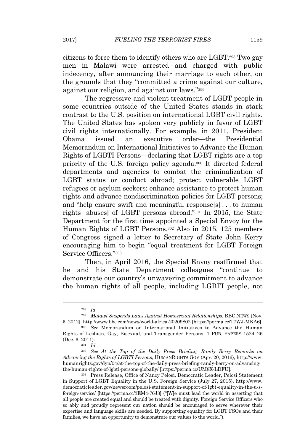citizens to force them to identify others who are LGBT.<sup>298</sup> Two gay men in Malawi were arrested and charged with public indecency, after announcing their marriage to each other, on the grounds that they "committed a crime against our culture, against our religion, and against our laws."<sup>299</sup>

The regressive and violent treatment of LGBT people in some countries outside of the United States stands in stark contrast to the U.S. position on international LGBT civil rights. The United States has spoken very publicly in favor of LGBT civil rights internationally. For example, in 2011, President Obama issued an executive order—the Presidential Memorandum on International Initiatives to Advance the Human Rights of LGBTI Persons—declaring that LGBT rights are a top priority of the U.S. foreign policy agenda.<sup>300</sup> It directed federal departments and agencies to combat the criminalization of LGBT status or conduct abroad; protect vulnerable LGBT refugees or asylum seekers; enhance assistance to protect human rights and advance nondiscrimination policies for LGBT persons; and "help ensure swift and meaningful response[s] . . . to human rights [abuses] of LGBT persons abroad."<sup>301</sup> In 2015, the State Department for the first time appointed a Special Envoy for the Human Rights of LGBT Persons.<sup>302</sup> Also in 2015, 125 members of Congress signed a letter to Secretary of State John Kerry encouraging him to begin "equal treatment for LGBT Foreign Service Officers."<sup>303</sup>

Then, in April 2016, the Special Envoy reaffirmed that he and his State Department colleagues "continue to demonstrate our country's unwavering commitment to advance the human rights of all people, including LGBTI people, not

<sup>298</sup> *Id.*

<sup>299</sup> *Malawi Suspends Laws Against Homosexual Relationships*, BBC NEWS (Nov. 5, 2012), http://www.bbc.com/news/world-africa-20209802 [https://perma.cc/T7WJ-MKA6].

<sup>300</sup> *See* Memorandum on International Initiatives to Advance the Human Rights of Lesbian, Gay, Bisexual, and Transgender Persons, 1 PUB. PAPERS 1524–26 (Dec. 6, 2011).

<sup>301</sup> *Id.*

<sup>302</sup> *See At the Top of the Daily Press Briefing, Randy Berry Remarks on Advancing the Rights of LGBTI Persons*, HUMANRIGHTS.GOV (Apr. 20, 2016), http://www. humanrights.gov/dyn/04/at-the-top-of-the-daily-press-briefing-randy-berry-on-advancingthe-human-rights-of-lgbti-persons-globally/ [https://perma.cc/UM8X-LDFU].

<sup>303</sup> Press Release, Office of Nancy Pelosi, Democratic Leader, Pelosi Statement in Support of LGBT Equality in the U.S. Foreign Service (July 27, 2015), http://www. democraticleader.gov/newsroom/pelosi-statement-in-support-of-lgbt-equality-in-the-u-sforeign-service/ [https://perma.cc/3EM4-76J3] ("[W]e must lead the world in asserting that all people are created equal and should be treated with dignity. Foreign Service Officers who so ably and proudly represent our nation should be encouraged to serve wherever their expertise and language skills are needed. By supporting equality for LGBT FSOs and their families, we have an opportunity to demonstrate our values to the world.").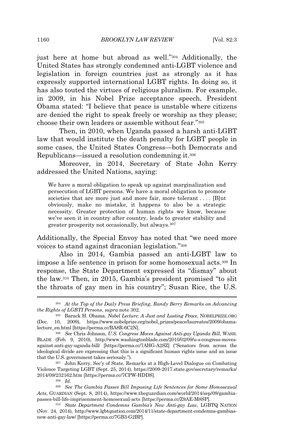just here at home but abroad as well."<sup>304</sup> Additionally, the United States has strongly condemned anti-LGBT violence and legislation in foreign countries just as strongly as it has expressly supported international LGBT rights. In doing so, it has also touted the virtues of religious pluralism. For example, in 2009, in his Nobel Prize acceptance speech, President Obama stated: "I believe that peace is unstable where citizens are denied the right to speak freely or worship as they please; choose their own leaders or assemble without fear."<sup>305</sup>

Then, in 2010, when Uganda passed a harsh anti-LGBT law that would institute the death penalty for LGBT people in some cases, the United States Congress—both Democrats and Republicans—issued a resolution condemning it.<sup>306</sup>

Moreover, in 2014, Secretary of State John Kerry addressed the United Nations, saying:

We have a moral obligation to speak up against marginalization and persecution of LGBT persons. We have a moral obligation to promote societies that are more just and more fair, more tolerant . . . . [B]ut obviously, make no mistake, it happens to also be a strategic necessity. Greater protection of human rights we know, because we've seen it in country after country, leads to greater stability and greater prosperity not occasionally, but always.<sup>307</sup>

Additionally, the Special Envoy has noted that "we need more voices to stand against draconian legislation."<sup>308</sup>

Also in 2014, Gambia passed an anti-LGBT law to impose a life sentence in prison for some homosexual acts.<sup>309</sup> In response, the State Department expressed its "dismay" about the law.<sup>310</sup> Then, in 2015, Gambia's president promised "to slit the throats of gay men in his country"; Susan Rice, the U.S.

<sup>307</sup> John Kerry, Sec'y of State, Remarks at a High-Level Dialogue on Combating Violence Targeting LGBT (Sept. 25, 2014), https://2009-2017.state.gov/secretary/remarks/ 2014/09/232162.htm [https://perma.cc/7CPW-HDDS].

<sup>304</sup> *At the Top of the Daily Press Briefing, Randy Berry Remarks on Advancing the Rights of LGBTI Persons*, *supra* note 302.

<sup>305</sup> Barack H. Obama, *Nobel Lecture: A Just and Lasting Peace*, NOBELPRIZE.ORG (Dec. 10, 2009), https://www.nobelprize.org/nobel\_prizes/peace/laureates/2009/obamalecture\_en.html [https://perma.cc/BA8R-6C2N].

<sup>306</sup> *See* Chris Johnson, *U.S. Congress Moves Against Anti-gay Uganda Bill*, WASH. BLADE (Feb. 9, 2010), http://www.washingtonblade.com/2010/02/09/u-s-congress-movesagainst-anti-gay-uganda-bill/ [https://perma.cc/7AHG-A2SZ] ("Senators from across the ideological divide are expressing that this is a significant human rights issue and an issue that the U.S. government takes seriously.").

<sup>308</sup> *Id.*

<sup>309</sup> *See The Gambia Passes Bill Imposing Life Sentences for Some Homosexual Acts*, GUARDIAN (Sept. 8, 2014), https://www.theguardian.com/world/2014/sep/09/gambiapasses-bill-life-imprisonment-homosexual-acts [https://perma.cc/Z9AE-M8SP].

<sup>310</sup> *State Department Condemns Gambia's New Anti-gay Law*, LGBTQ NATION (Nov. 24, 2014), http://www.lgbtqnation.com/2014/11/state-department-condemns-gambiasnew-anti-gay-law/ [https://perma.cc/7GB3-G2BP].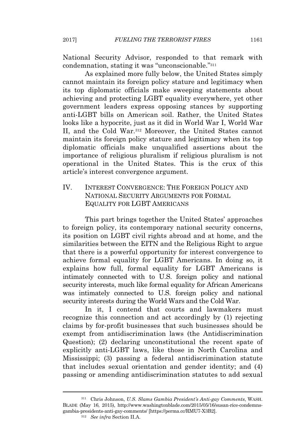National Security Advisor, responded to that remark with condemnation, stating it was "unconscionable."<sup>311</sup>

As explained more fully below, the United States simply cannot maintain its foreign policy stature and legitimacy when its top diplomatic officials make sweeping statements about achieving and protecting LGBT equality everywhere, yet other government leaders express opposing stances by supporting anti-LGBT bills on American soil. Rather, the United States looks like a hypocrite, just as it did in World War I, World War II, and the Cold War.<sup>312</sup> Moreover, the United States cannot maintain its foreign policy stature and legitimacy when its top diplomatic officials make unqualified assertions about the importance of religious pluralism if religious pluralism is not operational in the United States. This is the crux of this article's interest convergence argument.

# IV. INTEREST CONVERGENCE: THE FOREIGN POLICY AND NATIONAL SECURITY ARGUMENTS FOR FORMAL EQUALITY FOR LGBT AMERICANS

This part brings together the United States' approaches to foreign policy, its contemporary national security concerns, its position on LGBT civil rights abroad and at home, and the similarities between the EITN and the Religious Right to argue that there is a powerful opportunity for interest convergence to achieve formal equality for LGBT Americans. In doing so, it explains how full, formal equality for LGBT Americans is intimately connected with to U.S. foreign policy and national security interests, much like formal equality for African Americans was intimately connected to U.S. foreign policy and national security interests during the World Wars and the Cold War.

In it, I contend that courts and lawmakers must recognize this connection and act accordingly by (1) rejecting claims by for-profit businesses that such businesses should be exempt from antidiscrimination laws (the Antidiscrimination Question); (2) declaring unconstitutional the recent spate of explicitly anti-LGBT laws, like those in North Carolina and Mississippi; (3) passing a federal antidiscrimination statute that includes sexual orientation and gender identity; and (4) passing or amending antidiscrimination statutes to add sexual

<sup>311</sup> Chris Johnson, *U.S. Slams Gambia President's Anti-gay Comments*, WASH. BLADE (May 16, 2015), http://www.washingtonblade.com/2015/05/16/susan-rice-condemnsgambia-presidents-anti-gay-comments/ [https://perma.cc/RMU7-X3B2].

<sup>312</sup> *See infra* Section II.A.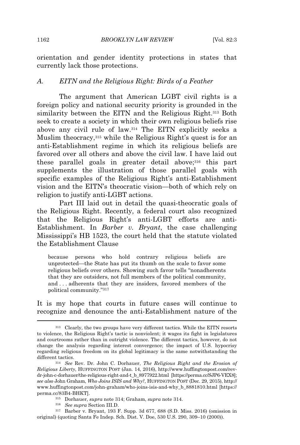orientation and gender identity protections in states that currently lack those protections.

#### *A. EITN and the Religious Right: Birds of a Feather*

The argument that American LGBT civil rights is a foreign policy and national security priority is grounded in the similarity between the EITN and the Religious Right.<sup>313</sup> Both seek to create a society in which their own religious beliefs rise above any civil rule of law.<sup>314</sup> The EITN explicitly seeks a Muslim theocracy,<sup>315</sup> while the Religious Right's quest is for an anti-Establishment regime in which its religious beliefs are favored over all others and above the civil law. I have laid out these parallel goals in greater detail above;<sup>316</sup> this part supplements the illustration of those parallel goals with specific examples of the Religious Right's anti-Establishment vision and the EITN's theocratic vision—both of which rely on religion to justify anti-LGBT actions.

Part III laid out in detail the quasi-theocratic goals of the Religious Right. Recently, a federal court also recognized that the Religious Right's anti-LGBT efforts are anti-Establishment. In *Barber v. Bryant*, the case challenging Mississippi's HB 1523, the court held that the statute violated the Establishment Clause

because persons who hold contrary religious beliefs are unprotected—the State has put its thumb on the scale to favor some religious beliefs over others. Showing such favor tells "nonadherents that they are outsiders, not full members of the political community, and . . . adherents that they are insiders, favored members of the political community."<sup>317</sup>

It is my hope that courts in future cases will continue to recognize and denounce the anti-Establishment nature of the

<sup>313</sup> Clearly, the two groups have very different tactics. While the EITN resorts to violence, the Religious Right's tactic is nonviolent; it wages its fight in legislatures and courtrooms rather than in outright violence. The different tactics, however, do not change the analysis regarding interest convergence; the impact of U.S. hypocrisy regarding religious freedom on its global legitimacy is the same notwithstanding the different tactics.

<sup>314</sup> *See* Rev. Dr. John C. Dorhauer, *The Religious Right and the Erosion of Religious Liberty*, HUFFINGTON POST (Jan. 14, 2016), http://www.huffingtonpost.com/revdr-john-c-dorhauer/the-religious-right-and-t\_b\_8977922.html [https://perma.cc/SJP6-VEX8]; *see also* John Graham, *Who Joins ISIS and Why?*, HUFFINGTON POST (Dec. 29, 2015), http:// www.huffingtonpost.com/john-graham/who-joins-isis-and-why\_b\_8881810.html [https:// perma.cc/83B4-BHKT].

<sup>315</sup> Dorhauer, *supra* note 314; Graham, *supra* note 314.

<sup>316</sup> *See supra* Section III.D.

<sup>317</sup> Barber v. Bryant, 193 F. Supp. 3d 677, 688 (S.D. Miss. 2016) (omission in original) (quoting Santa Fe Indep. Sch. Dist. V. Doe, 530 U.S. 290, 309–10 (2000)).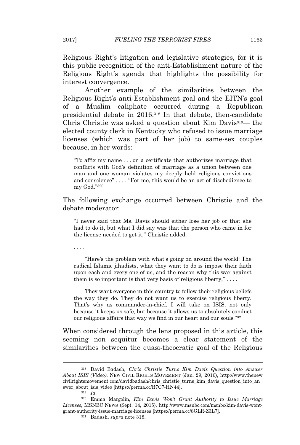Religious Right's litigation and legislative strategies, for it is this public recognition of the anti-Establishment nature of the Religious Right's agenda that highlights the possibility for interest convergence.

Another example of the similarities between the Religious Right's anti-Establishment goal and the EITN's goal of a Muslim caliphate occurred during a Republican presidential debate in 2016.<sup>318</sup> In that debate, then-candidate Chris Christie was asked a question about Kim Davis319— the elected county clerk in Kentucky who refused to issue marriage licenses (which was part of her job) to same-sex couples because, in her words:

"To affix my name . . . on a certificate that authorizes marriage that conflicts with God's definition of marriage as a union between one man and one woman violates my deeply held religious convictions and conscience" . . . . "For me, this would be an act of disobedience to my God."<sup>320</sup>

The following exchange occurred between Christie and the debate moderator:

"I never said that Ms. Davis should either lose her job or that she had to do it, but what I did say was that the person who came in for the license needed to get it," Christie added.

. . . .

"Here's the problem with what's going on around the world: The radical Islamic jihadists, what they want to do is impose their faith upon each and every one of us, and the reason why this war against them is so important is that very basis of religious liberty," $\dots$ .

They want everyone in this country to follow their religious beliefs the way they do. They do not want us to exercise religious liberty. That's why as commander-in-chief, I will take on ISIS, not only because it keeps us safe, but because it allows us to absolutely conduct our religious affairs that way we find in our heart and our souls."<sup>321</sup>

When considered through the lens proposed in this article, this seeming non sequitur becomes a clear statement of the similarities between the quasi-theocratic goal of the Religious

<sup>318</sup> David Badash, *Chris Christie Turns Kim Davis Question into Answer About ISIS (Video)*, NEW CIVIL RIGHTS MOVEMENT (Jan. 29, 2016), http://www.thenew civilrightsmovement.com/davidbadash/chris\_christie\_turns\_kim\_davis\_question\_into\_an swer\_about\_isis\_video [https://perma.cc/R7C7-HN44].

<sup>319</sup> *Id.*

<sup>320</sup> Emma Margolin, *Kim Davis Won't Grant Authority to Issue Marriage Licenses*, MSNBC NEWS (Sept. 14, 2015), http://www.msnbc.com/msnbc/kim-davis-wontgrant-authority-issue-marriage-licenses [https://perma.cc/8GLR-Z3L7].

<sup>321</sup> Badash, *supra* note 318.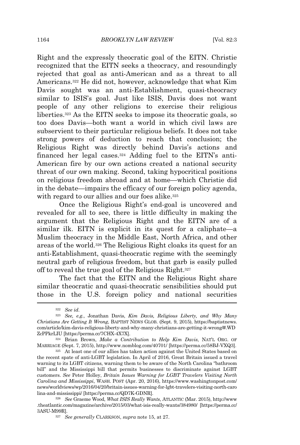Right and the expressly theocratic goal of the EITN. Christie recognized that the EITN seeks a theocracy, and resoundingly rejected that goal as anti-American and as a threat to all Americans.<sup>322</sup> He did not, however, acknowledge that what Kim Davis sought was an anti-Establishment, quasi-theocracy similar to ISIS's goal. Just like ISIS, Davis does not want people of any other religions to exercise their religious liberties.<sup>323</sup> As the EITN seeks to impose its theocratic goals, so too does Davis—both want a world in which civil laws are subservient to their particular religious beliefs. It does not take strong powers of deduction to reach that conclusion; the Religious Right was directly behind Davis's actions and financed her legal cases.<sup>324</sup> Adding fuel to the EITN's anti-American fire by our own actions created a national security threat of our own making. Second, taking hypocritical positions on religious freedom abroad and at home—which Christie did in the debate—impairs the efficacy of our foreign policy agenda, with regard to our allies and our foes alike.<sup>325</sup>

Once the Religious Right's end-goal is uncovered and revealed for all to see, there is little difficulty in making the argument that the Religious Right and the EITN are of a similar ilk. EITN is explicit in its quest for a caliphate—a Muslim theocracy in the Middle East, North Africa, and other areas of the world.<sup>326</sup> The Religious Right cloaks its quest for an anti-Establishment, quasi-theocratic regime with the seemingly neutral garb of religious freedom, but that garb is easily pulled off to reveal the true goal of the Religious Right.<sup>327</sup>

The fact that the EITN and the Religious Right share similar theocratic and quasi-theocratic sensibilities should put those in the U.S. foreign policy and national securities

<sup>324</sup> Brian Brown, *Make a Contribution to Help Kim Davis*, NAT'<sup>L</sup> ORG. OF MARRIAGE (Sept. 7, 2015), http://www.nomblog.com/40701/ [https://perma.cc/58BJ-VXQ3].

<sup>325</sup> At least one of our allies has taken action against the United States based on the recent spate of anti-LGBT legislation. In April of 2016, Great Britain issued a travel warning to its LGBT citizens, warning them to be aware of the North Carolina "bathroom bill" and the Mississippi bill that permits businesses to discriminate against LGBT customers. *See* Peter Holley, *Britain Issues Warning for LGBT Travelers Visiting North Carolina and Mississippi*, WASH. POST (Apr. 20, 2016), https://www.washingtonpost.com/ news/worldviews/wp/2016/04/20/britain-issues-warning-for-lgbt-travelers-visiting-north-caro lina-and-mississippi/ [https://perma.cc/QD7K-GDNR].

<sup>326</sup> *See* Graeme Wood, *What ISIS Really Wants*, ATLANTIC (Mar. 2015), http://www .theatlantic.com/magazine/archive/2015/03/what-isis-really-wants/384980/ [https://perma.cc/ 3ASU-M99R].

<sup>327</sup> *See generally* CLARKSON, *supra* note 15, at 27.

<sup>322</sup> *See id.*

<sup>323</sup> *See, e.g.*, Jonathan Davis, *Kim Davis, Religious Liberty, and Why Many Christians Are Getting It Wrong*, BAPTIST NEWS GLOB. (Sept. 9, 2015), https://baptistnews. com/article/kim-davis-religious-liberty-and-why-many-christians-are-getting-it-wrong/#.WD ZcPPkrLIU [https://perma.cc/7CHX-4X7X].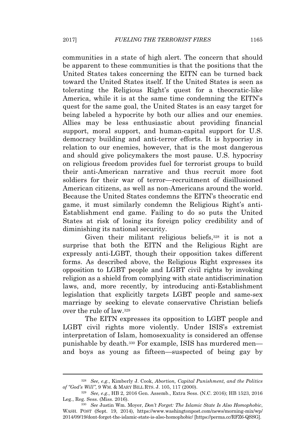communities in a state of high alert. The concern that should be apparent to these communities is that the positions that the United States takes concerning the EITN can be turned back toward the United States itself. If the United States is seen as tolerating the Religious Right's quest for a theocratic-like America, while it is at the same time condemning the EITN's quest for the same goal, the United States is an easy target for being labeled a hypocrite by both our allies and our enemies. Allies may be less enthusiastic about providing financial support, moral support, and human-capital support for U.S. democracy building and anti-terror efforts. It is hypocrisy in relation to our enemies, however, that is the most dangerous and should give policymakers the most pause. U.S. hypocrisy on religious freedom provides fuel for terrorist groups to build their anti-American narrative and thus recruit more foot soldiers for their war of terror—recruitment of disillusioned American citizens, as well as non-Americans around the world. Because the United States condemns the EITN's theocratic end game, it must similarly condemn the Religious Right's anti-Establishment end game. Failing to do so puts the United States at risk of losing its foreign policy credibility and of diminishing its national security.

Given their militant religious beliefs, $328$  it is not a surprise that both the EITN and the Religious Right are expressly anti-LGBT, though their opposition takes different forms. As described above, the Religious Right expresses its opposition to LGBT people and LGBT civil rights by invoking religion as a shield from complying with state antidiscrimination laws, and, more recently, by introducing anti-Establishment legislation that explicitly targets LGBT people and same-sex marriage by seeking to elevate conservative Christian beliefs over the rule of law.<sup>329</sup>

The EITN expresses its opposition to LGBT people and LGBT civil rights more violently. Under ISIS's extremist interpretation of Islam, homosexuality is considered an offense punishable by death.<sup>330</sup> For example, ISIS has murdered men and boys as young as fifteen—suspected of being gay by

<sup>328</sup> *See, e.g.*, Kimberly J. Cook, *Abortion, Capital Punishment, and the Politics of "God's Will"*, 9 WM. & MARY BILL RTS. J. 105, 117 (2000).

<sup>329</sup> *See, e.g.*, HB 2, 2016 Gen. Assemb., Extra Sess. (N.C. 2016); HB 1523, 2016 Leg., Reg. Sess. (Miss. 2016).

<sup>330</sup> *See* Justin Wm. Moyer, *Don't Forget: The Islamic State Is Also Homophobic*, WASH. POST (Sept. 19, 2014), https://www.washingtonpost.com/news/morning-mix/wp/ 2014/09/19/dont-forget-the-islamic-state-is-also-homophobic/ [https://perma.cc/RFZ6-QSSG].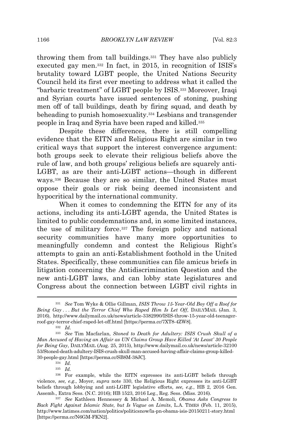throwing them from tall buildings.<sup>331</sup> They have also publicly executed gay men.<sup>332</sup> In fact, in 2015, in recognition of ISIS's brutality toward LGBT people, the United Nations Security Council held its first ever meeting to address what it called the "barbaric treatment" of LGBT people by ISIS.<sup>333</sup> Moreover, Iraqi and Syrian courts have issued sentences of stoning, pushing men off of tall buildings, death by firing squad, and death by beheading to punish homosexuality.<sup>334</sup> Lesbians and transgender people in Iraq and Syria have been raped and killed.<sup>335</sup>

Despite these differences, there is still compelling evidence that the EITN and Religious Right are similar in two critical ways that support the interest convergence argument: both groups seek to elevate their religious beliefs above the rule of law, and both groups' religious beliefs are squarely anti-LGBT, as are their anti-LGBT actions—though in different ways.<sup>336</sup> Because they are so similar, the United States must oppose their goals or risk being deemed inconsistent and hypocritical by the international community.

When it comes to condemning the EITN for any of its actions, including its anti-LGBT agenda, the United States is limited to public condemnations and, in some limited instances, the use of military force.<sup>337</sup> The foreign policy and national security communities have many more opportunities to meaningfully condemn and contest the Religious Right's attempts to gain an anti-Establishment foothold in the United States. Specifically, these communities can file amicus briefs in litigation concerning the Antidiscrimination Question and the new anti-LGBT laws, and can lobby state legislatures and Congress about the connection between LGBT civil rights in

<sup>331</sup> *See* Tom Wyke & Ollie Gillman, *ISIS Throw 15-Year-Old Boy Off a Roof for Being Gay . . . But the Terror Chief Who Raped Him Is Let Off*, DAILYMAIL (Jan. 3, 2016), http://www.dailymail.co.uk/news/article-3382990/ISIS-throw-15-year-old-teenagerroof-gay-terror-chief-raped-let-off.html [https://perma.cc/7XT8-4ZW8].

<sup>332</sup> *Id.*

<sup>333</sup> *See* Tim Macfarlan, *Stoned to Death for Adultery: ISIS Crush Skull of a Man Accused of Having an Affair as UN Claims Group Have Killed 'At Least' 30 People for Being Gay*, DAILYMAIL (Aug. 25, 2015), http://www.dailymail.co.uk/news/article-32100 53/Stoned-death-adultery-ISIS-crush-skull-man-accused-having-affair-claims-group-killed-30-people-gay.html [https://perma.cc/SB8M-38JC].

<sup>334</sup> *Id.*

<sup>335</sup> *Id.*

<sup>336</sup> For example, while the EITN expresses its anti-LGBT beliefs through violence, *see, e.g.*, Moyer, *supra* note 330, the Religious Right expresses its anti-LGBT beliefs through lobbying and anti-LGBT legislative efforts, *see, e.g.*, HB 2, 2016 Gen. Assemb., Extra Sess. (N.C. 2016); HB 1523, 2016 Leg., Reg. Sess. (Miss. 2016).

<sup>337</sup> *See* Kathleen Hennessey & Michael A. Memoli, *Obama Asks Congress to Back Fight Against Islamic State, but Is Vague on Limits*, L.A. TIMES (Feb. 11, 2015), http://www.latimes.com/nation/politics/politicsnow/la-pn-obama-isis-20150211-story.html [https://perma.cc/N6GM-FKN2].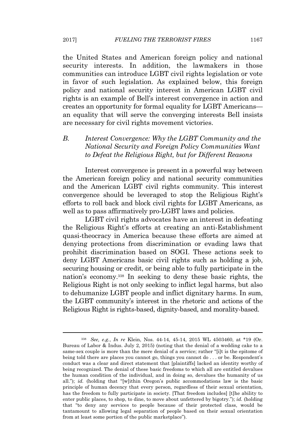the United States and American foreign policy and national security interests. In addition, the lawmakers in those communities can introduce LGBT civil rights legislation or vote in favor of such legislation. As explained below, this foreign policy and national security interest in American LGBT civil rights is an example of Bell's interest convergence in action and creates an opportunity for formal equality for LGBT Americans an equality that will serve the converging interests Bell insists are necessary for civil rights movement victories.

# *B. Interest Convergence: Why the LGBT Community and the National Security and Foreign Policy Communities Want to Defeat the Religious Right, but for Different Reasons*

Interest convergence is present in a powerful way between the American foreign policy and national security communities and the American LGBT civil rights community. This interest convergence should be leveraged to stop the Religious Right's efforts to roll back and block civil rights for LGBT Americans, as well as to pass affirmatively pro-LGBT laws and policies.

LGBT civil rights advocates have an interest in defeating the Religious Right's efforts at creating an anti-Establishment quasi-theocracy in America because these efforts are aimed at denying protections from discrimination or evading laws that prohibit discrimination based on SOGI. These actions seek to deny LGBT Americans basic civil rights such as holding a job, securing housing or credit, or being able to fully participate in the nation's economy.<sup>338</sup> In seeking to deny these basic rights, the Religious Right is not only seeking to inflict legal harms, but also to dehumanize LGBT people and inflict dignitary harms. In sum, the LGBT community's interest in the rhetoric and actions of the Religious Right is rights-based, dignity-based, and morality-based.

<sup>338</sup> *See, e.g.*, *In re* Klein, Nos. 44-14, 45-14, 2015 WL 4503460, at \*19 (Or. Bureau of Labor & Indus. July 2, 2015) (noting that the denial of a wedding cake to a same-sex couple is more than the mere denial of a service; rather "[i]t is the epitome of being told there are places you cannot go, things you cannot do . . . or be. Respondent's conduct was a clear and direct statement that [plaintiffs] lacked an identity worthy of being recognized. The denial of these basic freedoms to which all are entitled devalues the human condition of the individual, and in doing so, devalues the humanity of us all."); *id.* (holding that "[w]ithin Oregon's public accommodations law is the basic principle of human decency that every person, regardless of their sexual orientation, has the freedom to fully participate in society. [That freedom includes] [t]he ability to enter public places, to shop, to dine, to move about unfettered by bigotry."); *id.* (holding that "to deny any services to people because of their protected class, would be tantamount to allowing legal separation of people based on their sexual orientation from at least some portion of the public marketplace").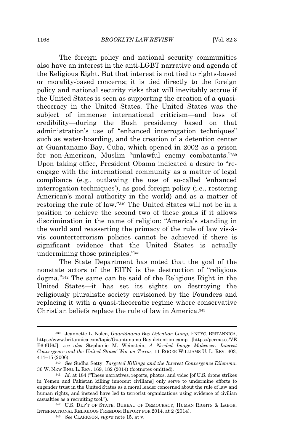The foreign policy and national security communities also have an interest in the anti-LGBT narrative and agenda of the Religious Right. But that interest is not tied to rights-based or morality-based concerns; it is tied directly to the foreign policy and national security risks that will inevitably accrue if the United States is seen as supporting the creation of a quasitheocracy in the United States. The United States was the subject of immense international criticism—and loss of credibility—during the Bush presidency based on that administration's use of "enhanced interrogation techniques" such as water-boarding, and the creation of a detention center at Guantanamo Bay, Cuba, which opened in 2002 as a prison for non-American, Muslim "unlawful enemy combatants."<sup>339</sup> Upon taking office, President Obama indicated a desire to "reengage with the international community as a matter of legal compliance (e.g., outlawing the use of so-called 'enhanced interrogation techniques'), as good foreign policy (i.e., restoring American's moral authority in the world) and as a matter of restoring the rule of law."<sup>340</sup> The United States will not be in a position to achieve the second two of these goals if it allows discrimination in the name of religion: "America's standing in the world and reasserting the primacy of the rule of law vis-àvis counterterrorism policies cannot be achieved if there is significant evidence that the United States is actually undermining those principles."<sup>341</sup>

The State Department has noted that the goal of the nonstate actors of the EITN is the destruction of "religious dogma."<sup>342</sup> The same can be said of the Religious Right in the United States—it has set its sights on destroying the religiously pluralistic society envisioned by the Founders and replacing it with a quasi-theocratic regime where conservative Christian beliefs replace the rule of law in America.<sup>343</sup>

<sup>339</sup> Jeannette L. Nolen, *Guantánamo Bay Detention Camp*, ENCYC. BRITANNICA, https://www.britannica.com/topic/Guantanamo-Bay-detention-camp [https://perma.cc/VE E6-6U6J]; *see also* Stephanie M. Weinstein, *A Needed Image Makeover: Interest Convergence and the United States' War on Terror*, 11 ROGER WILLIAMS U. L. REV. 403, 414–15 (2006).

<sup>340</sup> *See* Sudha Setty, *Targeted Killings and the Interest Convergence Dilemma*, 36 W. NEW ENG. L. REV. 169, 182 (2014) (footnotes omitted).

<sup>341</sup> *Id.* at 184 ("These narratives, reports, photos, and video [of U.S. drone strikes in Yemen and Pakistan killing innocent civilians] only serve to undermine efforts to engender trust in the United States as a moral leader concerned about the rule of law and human rights, and instead have led to terrorist organizations using evidence of civilian casualties as a recruiting tool.").

<sup>342</sup> U.S. DEP'T OF STATE, BUREAU OF DEMOCRACY, HUMAN RIGHTS & LABOR, INTERNATIONAL RELIGIOUS FREEDOM REPORT FOR 2014, at 2 (2014).

<sup>343</sup> *See* CLARKSON, *supra* note 15, at v.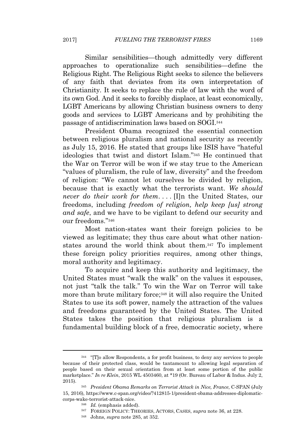Similar sensibilities—though admittedly very different approaches to operationalize such sensibilities—define the Religious Right. The Religious Right seeks to silence the believers of any faith that deviates from its own interpretation of Christianity. It seeks to replace the rule of law with the word of its own God. And it seeks to forcibly displace, at least economically, LGBT Americans by allowing Christian business owners to deny goods and services to LGBT Americans and by prohibiting the passage of antidiscrimination laws based on SOGI.<sup>344</sup>

President Obama recognized the essential connection between religious pluralism and national security as recently as July 15, 2016. He stated that groups like ISIS have "hateful ideologies that twist and distort Islam." <sup>345</sup> He continued that the War on Terror will be won if we stay true to the American "values of pluralism, the rule of law, diversity" and the freedom of religion: "We cannot let ourselves be divided by religion, because that is exactly what the terrorists want. *We should never do their work for them*. . . . [I]n the United States, our freedoms, including *freedom of religion, help keep [us] strong and safe*, and we have to be vigilant to defend our security and our freedoms." 346

Most nation-states want their foreign policies to be viewed as legitimate; they thus care about what other nationstates around the world think about them.<sup>347</sup> To implement these foreign policy priorities requires, among other things, moral authority and legitimacy.

To acquire and keep this authority and legitimacy, the United States must "walk the walk" on the values it espouses, not just "talk the talk." To win the War on Terror will take more than brute military force;<sup>348</sup> it will also require the United States to use its soft power, namely the attraction of the values and freedoms guaranteed by the United States. The United States takes the position that religious pluralism is a fundamental building block of a free, democratic society, where

- <sup>347</sup> FOREIGN POLICY: THEORIES, ACTORS, CASES, *supra* note 36, at 228.
- <sup>348</sup> Johns, *supra* note 285, at 352.

<sup>344</sup> "[T]o allow Respondents, a for profit business, to deny any services to people because of their protected class, would be tantamount to allowing legal separation of people based on their sexual orientation from at least some portion of the public marketplace." *In re Klein*, 2015 WL 4503460, at \*19 (Or. Bureau of Labor & Indus. July 2, 2015).

<sup>345</sup> *President Obama Remarks on Terrorist Attack in Nice, France*, C-SPAN (July 15, 2016), https://www.c-span.org/video/?412815-1/president-obama-addresses-diplomaticcorps-wake-terrorist-attack-nice.

<sup>346</sup> *Id.* (emphasis added).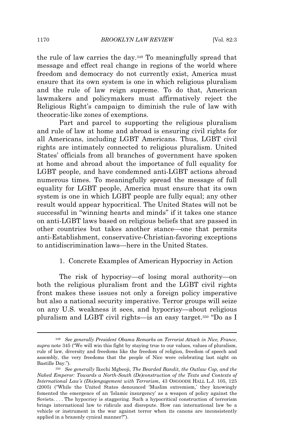the rule of law carries the day.<sup>349</sup> To meaningfully spread that message and effect real change in regions of the world where freedom and democracy do not currently exist, America must ensure that its own system is one in which religious pluralism and the rule of law reign supreme. To do that, American lawmakers and policymakers must affirmatively reject the Religious Right's campaign to diminish the rule of law with theocratic-like zones of exemptions.

Part and parcel to supporting the religious pluralism and rule of law at home and abroad is ensuring civil rights for all Americans, including LGBT Americans. Thus, LGBT civil rights are intimately connected to religious pluralism. United States' officials from all branches of government have spoken at home and abroad about the importance of full equality for LGBT people, and have condemned anti-LGBT actions abroad numerous times. To meaningfully spread the message of full equality for LGBT people, America must ensure that its own system is one in which LGBT people are fully equal; any other result would appear hypocritical. The United States will not be successful in "winning hearts and minds" if it takes one stance on anti-LGBT laws based on religious beliefs that are passed in other countries but takes another stance—one that permits anti-Establishment, conservative-Christian-favoring exceptions to antidiscrimination laws—here in the United States.

## 1. Concrete Examples of American Hypocrisy in Action

The risk of hypocrisy—of losing moral authority—on both the religious pluralism front and the LGBT civil rights front makes these issues not only a foreign policy imperative but also a national security imperative. Terror groups will seize on any U.S. weakness it sees, and hypocrisy—about religious pluralism and LGBT civil rights—is an easy target.<sup>350</sup> "Do as I

<sup>349</sup> *See generally President Obama Remarks on Terrorist Attack in Nice, France*, *supra* note 345 ("We will win this fight by staying true to our values, values of pluralism, rule of law, diversity and freedoms like the freedom of religion, freedom of speech and assembly, the very freedoms that the people of Nice were celebrating last night on Bastille Day.").

<sup>350</sup> *See generally* Ikechi Mgbeoji, *The Bearded Bandit, the Outlaw Cop, and the Naked Emperor: Towards a North-South (De)construction of the Texts and Contexts of International Law's (Dis)engagement with Terrorism*, 43 OSGOODE HALL L.J. 105, 125 (2005) ("While the United States denounced 'Muslim extremism,' they knowingly fomented the emergence of an 'Islamic insurgency' as a weapon of policy against the Soviets. . . . The hypocrisy is staggering. Such a hypocritical construction of terrorism brings international law to ridicule and disrepute. How can international law be a vehicle or instrument in the war against terror when its canons are inconsistently applied in a brazenly cynical manner?").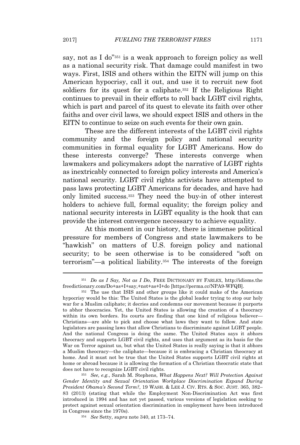say, not as I do"<sup>351</sup> is a weak approach to foreign policy as well as a national security risk. That damage could manifest in two ways. First, ISIS and others within the EITN will jump on this American hypocrisy, call it out, and use it to recruit new foot soldiers for its quest for a caliphate.<sup>352</sup> If the Religious Right continues to prevail in their efforts to roll back LGBT civil rights, which is part and parcel of its quest to elevate its faith over other faiths and over civil laws, we should expect ISIS and others in the EITN to continue to seize on such events for their own gain.

These are the different interests of the LGBT civil rights community and the foreign policy and national security communities in formal equality for LGBT Americans. How do these interests converge? These interests converge when lawmakers and policymakers adopt the narrative of LGBT rights as inextricably connected to foreign policy interests and America's national security. LGBT civil rights activists have attempted to pass laws protecting LGBT Americans for decades, and have had only limited success.<sup>353</sup> They need the buy-in of other interest holders to achieve full, formal equality; the foreign policy and national security interests in LGBT equality is the hook that can provide the interest convergence necessary to achieve equality.

At this moment in our history, there is immense political pressure for members of Congress and state lawmakers to be "hawkish" on matters of U.S. foreign policy and national security; to be seen otherwise is to be considered "soft on terrorism"—a political liability.<sup>354</sup> The interests of the foreign

<sup>351</sup> *Do as I Say, Not as I Do*, FREE DICTIONARY BY FARLEX, http://idioms.the freedictionary.com/Do+as+I+say,+not+as+I+do [https://perma.cc/NPA9-WFQB].

<sup>352</sup> The use that ISIS and other groups like it could make of the American hypocrisy would be this: The United States is the global leader trying to stop our holy war for a Muslim caliphate; it decries and condemns our movement because it purports to abhor theocracies. Yet, the United States is allowing the creation of a theocracy within its own borders. Its courts are finding that one kind of religious believer— Christians—are able to pick and choose what laws they want to follow. And state legislators are passing laws that allow Christians to discriminate against LGBT people. And the national Congress is doing the same. The United States says it abhors theocracy and supports LGBT civil rights, and uses that argument as its basis for the War on Terror against us, but what the United States is really saying is that it abhors a Muslim theocracy—the caliphate—because it is embracing a Christian theocracy at home. And it must not be true that the United States supports LGBT civil rights at home or abroad because it is allowing the formation of a Christian theocratic state that does not have to recognize LGBT civil rights.

<sup>353</sup> *See, e.g.*, Sarah M. Stephens, *What Happens Next? Will Protection Against Gender Identity and Sexual Orientation Workplace Discrimination Expand During President Obama's Second Term?*, 19 WASH. & LEE J. CIV. RTS. & SOC. JUST. 365, 382– 83 (2013) (stating that while the Employment Non-Discrimination Act was first introduced in 1994 and has not yet passed, various versions of legislation seeking to protect against sexual orientation discrimination in employment have been introduced in Congress since the 1970s).

<sup>354</sup> *See* Setty, *supra* note 340, at 173–74.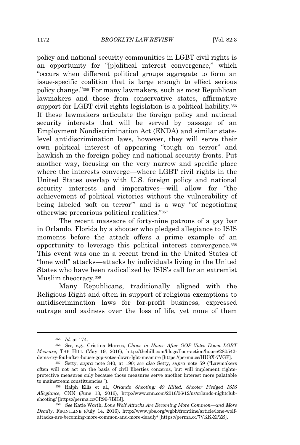policy and national security communities in LGBT civil rights is an opportunity for "[p]olitical interest convergence," which "occurs when different political groups aggregate to form an issue-specific coalition that is large enough to effect serious policy change."<sup>355</sup> For many lawmakers, such as most Republican lawmakers and those from conservative states, affirmative support for LGBT civil rights legislation is a political liability.<sup>356</sup> If these lawmakers articulate the foreign policy and national security interests that will be served by passage of an Employment Nondiscrimination Act (ENDA) and similar statelevel antidiscrimination laws, however, they will serve their own political interest of appearing "tough on terror" and hawkish in the foreign policy and national security fronts. Put another way, focusing on the very narrow and specific place where the interests converge—where LGBT civil rights in the United States overlap with U.S. foreign policy and national security interests and imperatives—will allow for "the achievement of political victories without the vulnerability of being labeled 'soft on terror'" and is a way "of negotiating otherwise precarious political realities."<sup>357</sup>

The recent massacre of forty-nine patrons of a gay bar in Orlando, Florida by a shooter who pledged allegiance to ISIS moments before the attack offers a prime example of an opportunity to leverage this political interest convergence.<sup>358</sup> This event was one in a recent trend in the United States of "lone wolf" attacks—attacks by individuals living in the United States who have been radicalized by ISIS's call for an extremist Muslim theocracy.<sup>359</sup>

Many Republicans, traditionally aligned with the Religious Right and often in support of religious exemptions to antidiscrimination laws for for-profit business, expressed outrage and sadness over the loss of life, yet none of them

<sup>355</sup> *Id.* at 174.

<sup>356</sup> *See, e.g.*, Cristina Marcos, *Chaos in House After GOP Votes Down LGBT Measure*, THE HILL (May 19, 2016), http://thehill.com/blogs/floor-action/house/280542 dems-cry-foul-after-house-gop-votes-down-lgbt-measure [https://perma.cc/HU3X-7VGP].

<sup>357</sup> Setty, *supra* note 340, at 190; *see also* Setty, *supra* note 59 ("Lawmakers often will not act on the basis of civil liberties concerns, but will implement rightsprotective measures only because those measures serve another interest more palatable to mainstream constituencies.").

<sup>358</sup> Ralph Ellis et al., *Orlando Shooting: 49 Killed, Shooter Pledged ISIS Allegiance*, CNN (June 13, 2016), http://www.cnn.com/2016/06/12/us/orlando-nightclubshooting/ [https://perma.cc/CR99-7BHJ].

<sup>359</sup> *See* Katie Worth, *Lone Wolf Attacks Are Becoming More Common—and More Deadly*, FRONTLINE (July 14, 2016), http://www.pbs.org/wgbh/frontline/article/lone-wolfattacks-are-becoming-more-common-and-more-deadly/ [https://perma.cc/7VKK-ZPZS].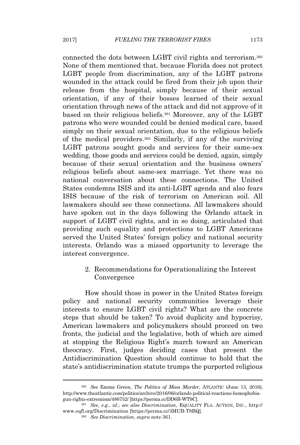connected the dots between LGBT civil rights and terrorism.<sup>360</sup> None of them mentioned that, because Florida does not protect LGBT people from discrimination, any of the LGBT patrons wounded in the attack could be fired from their job upon their release from the hospital, simply because of their sexual orientation, if any of their bosses learned of their sexual orientation through news of the attack and did not approve of it based on their religious beliefs.<sup>361</sup> Moreover, any of the LGBT patrons who were wounded could be denied medical care, based simply on their sexual orientation, due to the religious beliefs of the medical providers.<sup>362</sup> Similarly, if any of the surviving LGBT patrons sought goods and services for their same-sex wedding, those goods and services could be denied, again, simply because of their sexual orientation and the business owners' religious beliefs about same-sex marriage. Yet there was no national conversation about these connections. The United States condemns ISIS and its anti-LGBT agenda and also fears ISIS because of the risk of terrorism on American soil. All lawmakers should see these connections. All lawmakers should have spoken out in the days following the Orlando attack in support of LGBT civil rights, and in so doing, articulated that providing such equality and protections to LGBT Americans served the United States' foreign policy and national security interests. Orlando was a missed opportunity to leverage the interest convergence.

# 2. Recommendations for Operationalizing the Interest Convergence

How should those in power in the United States foreign policy and national security communities leverage their interests to ensure LGBT civil rights? What are the concrete steps that should be taken? To avoid duplicity and hypocrisy, American lawmakers and policymakers should proceed on two fronts, the judicial and the legislative, both of which are aimed at stopping the Religious Right's march toward an American theocracy. First, judges deciding cases that present the Antidiscrimination Question should continue to hold that the state's antidiscrimination statute trumps the purported religious

<sup>360</sup> *See* Emma Green, *The Politics of Mass Murder*, ATLANTIC (June 13, 2016), http://www.theatlantic.com/politics/archive/2016/06/orlando-political-reactions-homophobiagun-rights-extremism/486752/ [https://perma.cc/DD6B-WT9C].

<sup>361</sup> *See, e.g.*, *id.*; *see also Discrimination*, EQUALITY FLA. ACTION, INC., http:// www.eqfl.org/Discrimination [https://perma.cc/3MUB-T8BQ].

<sup>362</sup> *See Discrimination*, *supra* note 361*.*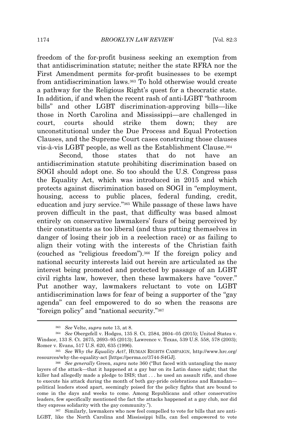freedom of the for-profit business seeking an exemption from that antidiscrimination statute; neither the state RFRA nor the First Amendment permits for-profit businesses to be exempt from antidiscrimination laws.<sup>363</sup> To hold otherwise would create a pathway for the Religious Right's quest for a theocratic state. In addition, if and when the recent rash of anti-LGBT "bathroom bills" and other LGBT discrimination-approving bills—like those in North Carolina and Mississippi—are challenged in court, courts should strike them down; they are unconstitutional under the Due Process and Equal Protection Clauses, and the Supreme Court cases construing those clauses vis-à-vis LGBT people, as well as the Establishment Clause.<sup>364</sup>

Second, those states that do not have an antidiscrimination statute prohibiting discrimination based on SOGI should adopt one. So too should the U.S. Congress pass the Equality Act, which was introduced in 2015 and which protects against discrimination based on SOGI in "employment, housing, access to public places, federal funding, credit, education and jury service."<sup>365</sup> While passage of these laws have proven difficult in the past, that difficulty was based almost entirely on conservative lawmakers' fears of being perceived by their constituents as too liberal (and thus putting themselves in danger of losing their job in a reelection race) or as failing to align their voting with the interests of the Christian faith (couched as "religious freedom").<sup>366</sup> If the foreign policy and national security interests laid out herein are articulated as the interest being promoted and protected by passage of an LGBT civil rights law, however, then these lawmakers have "cover." Put another way, lawmakers reluctant to vote on LGBT antidiscrimination laws for fear of being a supporter of the "gay agenda" can feel empowered to do so when the reasons are "foreign policy" and "national security."<sup>367</sup>

<sup>363</sup> *See* Velte, *supra* note 13, at 8.

<sup>364</sup> *See* Obergefell v. Hodges, 135 S. Ct. 2584, 2604–05 (2015); United States v. Windsor, 133 S. Ct. 2675, 2693–95 (2013); Lawrence v. Texas, 539 U.S. 558, 578 (2003); Romer v. Evans, 517 U.S. 620, 635 (1996).

<sup>365</sup> *See Why the Equality Act?*, HUMAN RIGHTS CAMPAIGN, http://www.hrc.org/ resources/why-the-equality-act [https://perma.cc/3744-S4GJ].

<sup>366</sup> *See generally* Green, *supra* note 360 ("But faced with untangling the many layers of the attack—that it happened at a gay bar on its Latin dance night; that the killer had allegedly made a pledge to ISIS; that . . . he used an assault rifle, and chose to execute his attack during the month of both gay-pride celebrations and Ramadan political leaders stood apart, seemingly poised for the policy fights that are bound to come in the days and weeks to come. Among Republicans and other conservative leaders, few specifically mentioned the fact the attacks happened at a gay club, nor did they express solidarity with the gay community.").

<sup>367</sup> Similarly, lawmakers who now feel compelled to vote for bills that are anti-LGBT, like the North Carolina and Mississippi bills, can feel empowered to vote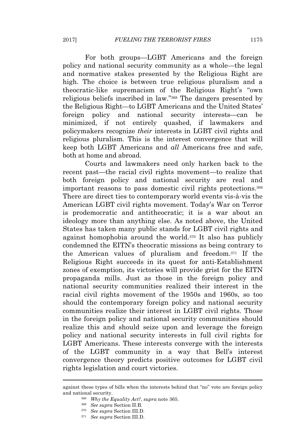For both groups—LGBT Americans and the foreign policy and national security community as a whole—the legal and normative stakes presented by the Religious Right are high. The choice is between true religious pluralism and a theocratic-like supremacism of the Religious Right's "own religious beliefs inscribed in law."<sup>368</sup> The dangers presented by the Religious Right—to LGBT Americans and the United States' foreign policy and national security interests—can be minimized, if not entirely quashed, if lawmakers and policymakers recognize *their* interests in LGBT civil rights and religious pluralism. This is the interest convergence that will keep both LGBT Americans and *all* Americans free and safe, both at home and abroad.

Courts and lawmakers need only harken back to the recent past—the racial civil rights movement—to realize that both foreign policy and national security are real and important reasons to pass domestic civil rights protections.<sup>369</sup> There are direct ties to contemporary world events vis-à-vis the American LGBT civil rights movement. Today's War on Terror is prodemocratic and antitheocratic; it is a war about an ideology more than anything else. As noted above, the United States has taken many public stands for LGBT civil rights and against homophobia around the world.<sup>370</sup> It also has publicly condemned the EITN's theocratic missions as being contrary to the American values of pluralism and freedom.<sup>371</sup> If the Religious Right succeeds in its quest for anti-Establishment zones of exemption, its victories will provide grist for the EITN propaganda mills. Just as those in the foreign policy and national security communities realized their interest in the racial civil rights movement of the 1950s and 1960s, so too should the contemporary foreign policy and national security communities realize their interest in LGBT civil rights. Those in the foreign policy and national security communities should realize this and should seize upon and leverage the foreign policy and national security interests in full civil rights for LGBT Americans. These interests converge with the interests of the LGBT community in a way that Bell's interest convergence theory predicts positive outcomes for LGBT civil rights legislation and court victories.

against these types of bills when the interests behind that "no" vote are foreign policy and national security.

<sup>368</sup> *Why the Equality Act?*, *supra* note 365.

<sup>369</sup> *See supra* Section II.B.

<sup>370</sup> *See supra* Section III.D.

<sup>371</sup> *See supra* Section III.D.